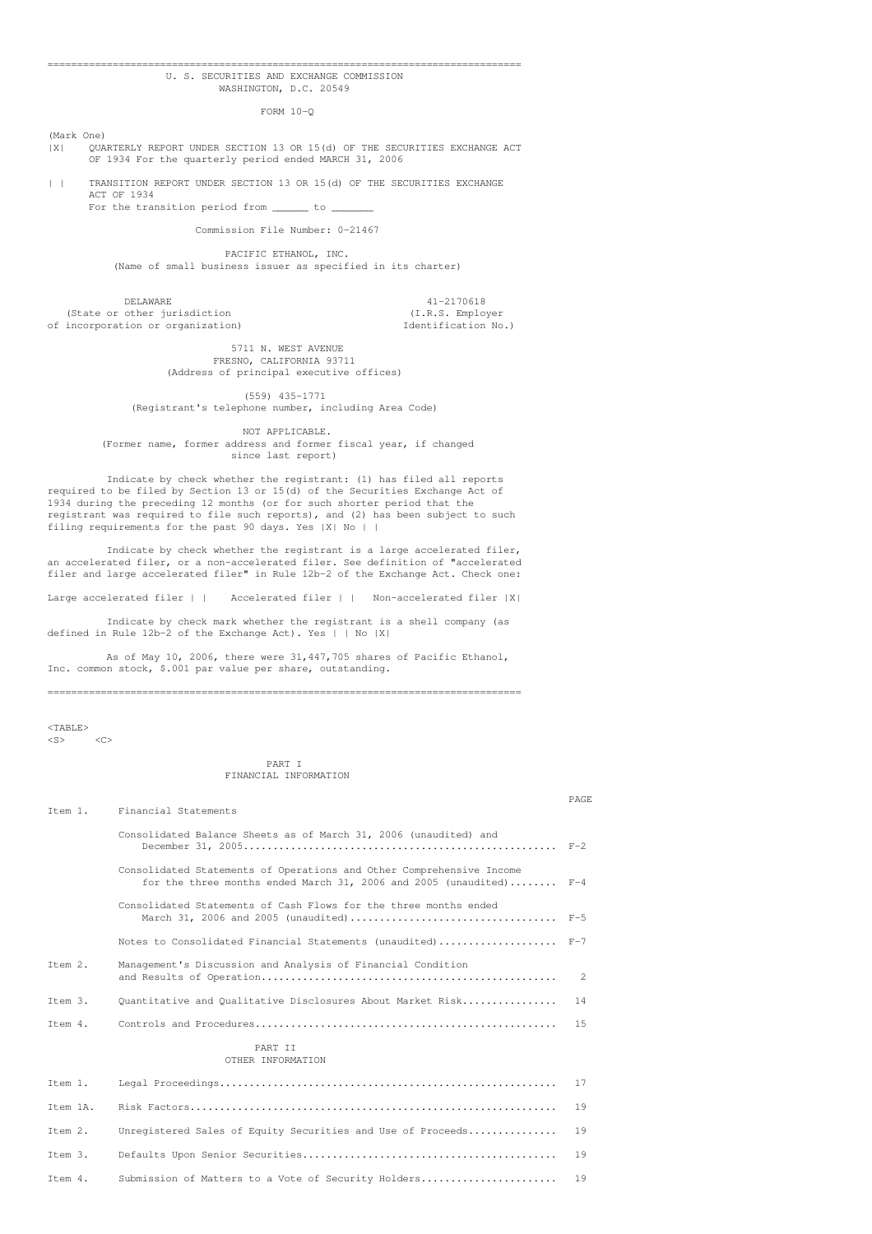#### ================================================================================ U. S. SECURITIES AND EXCHANGE COMMISSION WASHINGTON, D.C. 20549

FORM 10-Q

(Mark One)

- |X| QUARTERLY REPORT UNDER SECTION 13 OR 15(d) OF THE SECURITIES EXCHANGE ACT OF 1934 For the quarterly period ended MARCH 31, 2006
- | | TRANSITION REPORT UNDER SECTION 13 OR 15(d) OF THE SECURITIES EXCHANGE ACT OF 1934

For the transition period from \_\_\_\_\_\_ to \_\_\_\_\_\_\_

Commission File Number: 0-21467

PACIFIC ETHANOL, INC.

(Name of small business issuer as specified in its charter)

DELAWARE 41-2170618<br>
other jurisdiction (I.R.S. Employer) (State or other jurisdiction (I.R.S. Employer incorporation or organization) (I.R.S. Employer of incorporation or organization)

PAGE

5711 N. WEST AVENUE FRESNO, CALIFORNIA 93711 (Address of principal executive offices)

(559) 435-1771 (Registrant's telephone number, including Area Code)

NOT APPLICABLE. (Former name, former address and former fiscal year, if changed since last report)

Indicate by check whether the registrant: (1) has filed all reports required to be filed by Section 13 or 15(d) of the Securities Exchange Act of 1934 during the preceding 12 months (or for such shorter period that the registrant was required to file such reports), and (2) has been subject to such filing requirements for the past 90 days. Yes |X| No | |

Indicate by check whether the registrant is a large accelerated filer, an accelerated filer, or a non-accelerated filer. See definition of "accelerated filer and large accelerated filer" in Rule 12b-2 of the Exchange Act. Check one:

Large accelerated filer | | Accelerated filer | | Non-accelerated filer |X|

Indicate by check mark whether the registrant is a shell company (as defined in Rule 12b-2 of the Exchange Act). Yes | | No |X|

As of May 10, 2006, there were 31,447,705 shares of Pacific Ethanol, Inc. common stock, \$.001 par value per share, outstanding.

================================================================================

 $<$ TABLE><br> $<$ S> $<$ C>  $\langle$  S  $\rangle$ 

> PART I FINANCIAL INFORMATION

| Item 1.  | Financial Statements                                                                                                                         |                |
|----------|----------------------------------------------------------------------------------------------------------------------------------------------|----------------|
|          | Consolidated Balance Sheets as of March 31, 2006 (unaudited) and                                                                             |                |
|          | Consolidated Statements of Operations and Other Comprehensive Income<br>for the three months ended March 31, 2006 and 2005 (unaudited) $F-4$ |                |
|          | Consolidated Statements of Cash Flows for the three months ended                                                                             |                |
|          | Notes to Consolidated Financial Statements (unaudited)                                                                                       | $F-7$          |
| Item 2.  | Management's Discussion and Analysis of Financial Condition                                                                                  | $\overline{2}$ |
| Item 3.  | Quantitative and Qualitative Disclosures About Market Risk                                                                                   | 14             |
| Ttem 4.  |                                                                                                                                              | 1.5            |
|          | PART II<br>OTHER INFORMATION                                                                                                                 |                |
| Item 1.  |                                                                                                                                              | 17             |
| Item 1A. |                                                                                                                                              | 19             |
| Item 2.  | Unregistered Sales of Equity Securities and Use of Proceeds                                                                                  | 19             |
| Item 3.  |                                                                                                                                              | 19             |

Item 4. Submission of Matters to a Vote of Security Holders....................... 19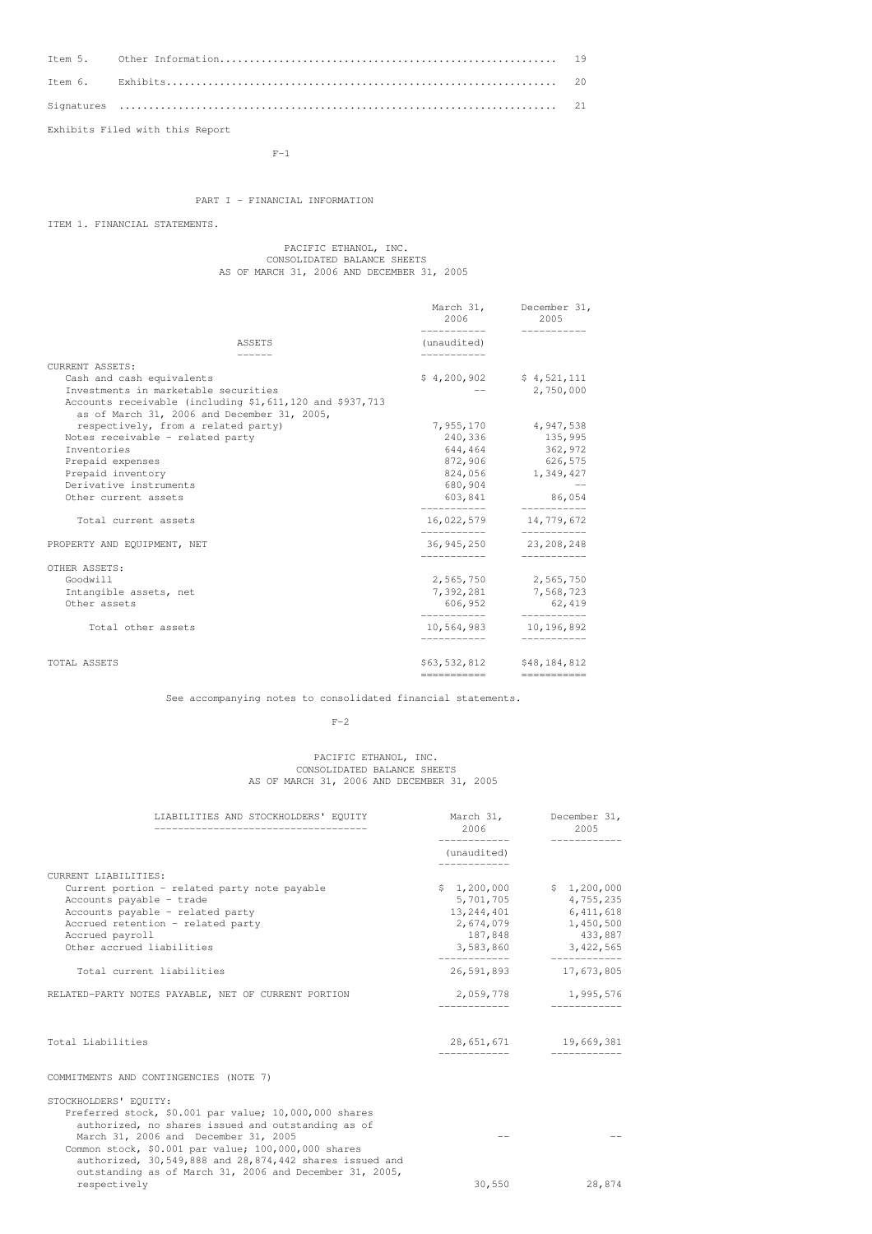Exhibits Filed with this Report

## $\mathrm{F}\,\text{--}\,1$

## PART I - FINANCIAL INFORMATION

ITEM 1. FINANCIAL STATEMENTS.

#### PACIFIC ETHANOL, INC. CONSOLIDATED BALANCE SHEETS AS OF MARCH 31, 2006 AND DECEMBER 31, 2005

|                                                                                                         | 2006<br>-----------    | March 31, December 31,<br>2005<br>----------- |
|---------------------------------------------------------------------------------------------------------|------------------------|-----------------------------------------------|
| ASSETS                                                                                                  | (unaudited)            |                                               |
| <b>CURRENT ASSETS:</b>                                                                                  |                        |                                               |
| Cash and cash equivalents                                                                               |                        | $$4,200,902$ $$4,521,111$                     |
| Investments in marketable securities                                                                    |                        | 2,750,000                                     |
| Accounts receivable (including \$1,611,120 and \$937,713<br>as of March 31, 2006 and December 31, 2005, |                        |                                               |
| respectively, from a related party)                                                                     |                        | 7,955,170 4,947,538                           |
| Notes receivable - related party                                                                        |                        | 240,336 135,995                               |
| Inventories                                                                                             |                        | 644,464 362,972                               |
| Prepaid expenses                                                                                        | 872,906                | 626,575                                       |
| Prepaid inventory                                                                                       |                        | 824,056 1,349,427                             |
| Derivative instruments                                                                                  | 680,904                | _____                                         |
| Other current assets                                                                                    | 603,841<br>___________ | 86,054                                        |
| Total current assets                                                                                    | ------------           | 16,022,579 14,779,672<br>_____________        |
| PROPERTY AND EQUIPMENT, NET                                                                             |                        | 36, 945, 250 23, 208, 248                     |
| OTHER ASSETS:                                                                                           |                        |                                               |
| Goodwill                                                                                                |                        | 2,565,750 2,565,750                           |
| Intangible assets, net                                                                                  |                        | 7,392,281 7,568,723                           |
| Other assets                                                                                            | 606,952                | 62,419<br>-----------                         |
| Total other assets                                                                                      | ------------           | 10,564,983 10,196,892<br>-----------          |
| TOTAL ASSETS                                                                                            | ============           | \$63,532,812 \$48,184,812<br>------------     |

See accompanying notes to consolidated financial statements.

## $F-2$

#### PACIFIC ETHANOL, INC. CONSOLIDATED BALANCE SHEETS AS OF MARCH 31, 2006 AND DECEMBER 31, 2005

| LIABILITIES AND STOCKHOLDERS' EQUITY<br>-------------------------------------                                                                                                                                                                                                                                                                             | 2006<br>-------------             | March 31, December 31,<br>2005<br>-------------                                                                   |
|-----------------------------------------------------------------------------------------------------------------------------------------------------------------------------------------------------------------------------------------------------------------------------------------------------------------------------------------------------------|-----------------------------------|-------------------------------------------------------------------------------------------------------------------|
|                                                                                                                                                                                                                                                                                                                                                           | (unaudited)                       |                                                                                                                   |
| CURRENT LIABILITIES:                                                                                                                                                                                                                                                                                                                                      |                                   |                                                                                                                   |
| Current portion - related party note payable<br>Accounts payable - trade<br>Accounts payable - related party<br>Accrued retention - related party<br>Accrued payroll<br>Other accrued liabilities                                                                                                                                                         | 5,701,705<br>2,674,079<br>187,848 | $$1,200,000$ $$1,200,000$<br>4,755,235<br>13, 244, 401 6, 411, 618<br>1,450,500<br>433,887<br>3,583,860 3,422,565 |
|                                                                                                                                                                                                                                                                                                                                                           |                                   |                                                                                                                   |
| Total current liabilities                                                                                                                                                                                                                                                                                                                                 | 26,591,893                        | 17,673,805                                                                                                        |
| RELATED-PARTY NOTES PAYABLE, NET OF CURRENT PORTION                                                                                                                                                                                                                                                                                                       | 2,059,778                         | 1,995,576                                                                                                         |
| Total Liabilities                                                                                                                                                                                                                                                                                                                                         |                                   | 28,651,671 19,669,381<br>-------------                                                                            |
| COMMITMENTS AND CONTINGENCIES (NOTE 7)                                                                                                                                                                                                                                                                                                                    |                                   |                                                                                                                   |
| STOCKHOLDERS' EOUITY:<br>Preferred stock, \$0.001 par value; 10,000,000 shares<br>authorized, no shares issued and outstanding as of<br>March 31, 2006 and December 31, 2005<br>Common stock, \$0.001 par value; 100,000,000 shares<br>authorized, 30,549,888 and 28,874,442 shares issued and<br>outstanding as of March 31, 2006 and December 31, 2005, |                                   |                                                                                                                   |
| respectively                                                                                                                                                                                                                                                                                                                                              | 30,550                            | 28,874                                                                                                            |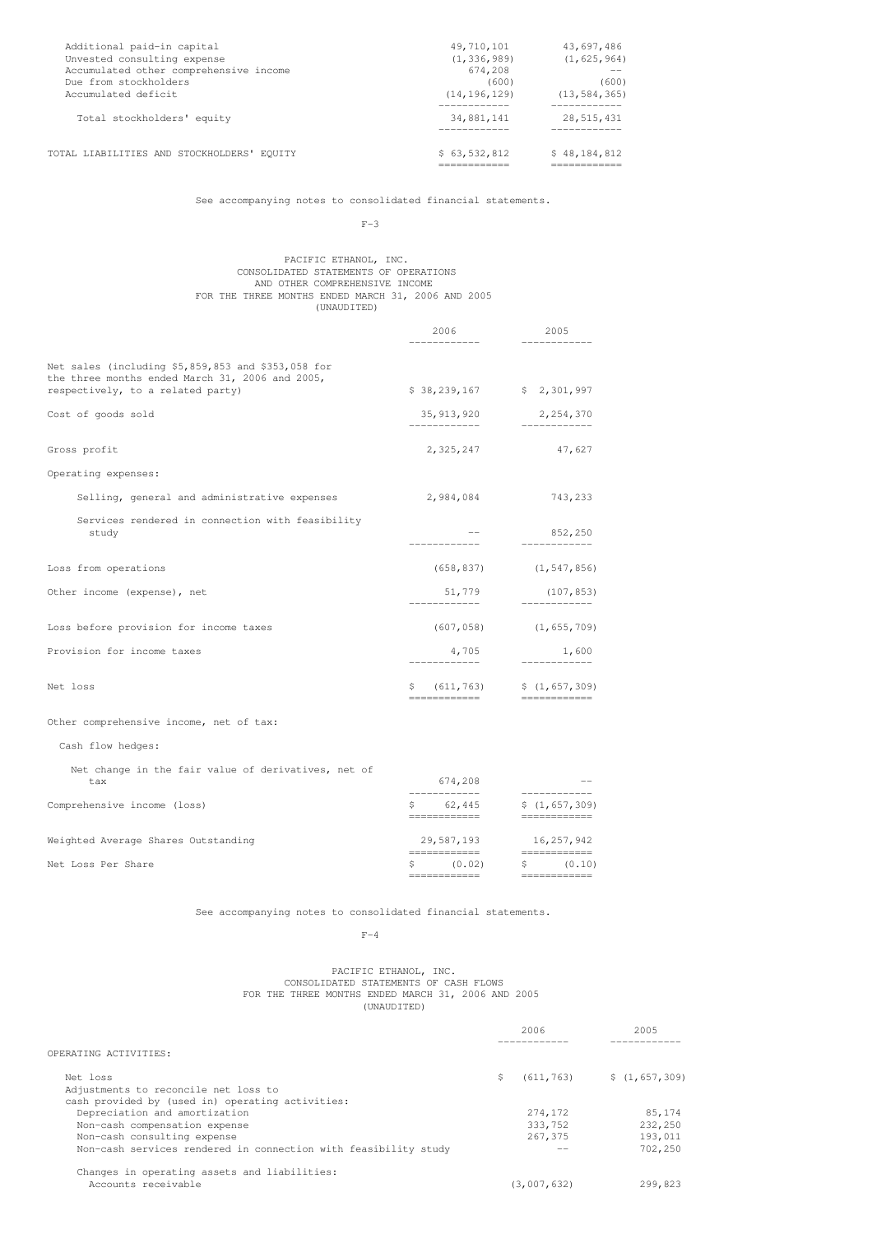| Additional paid-in capital                 | 49,710,101     | 43,697,486     |
|--------------------------------------------|----------------|----------------|
| Unvested consulting expense                | (1, 336, 989)  | (1, 625, 964)  |
| Accumulated other comprehensive income     | 674,208        |                |
| Due from stockholders                      | (600)          | (600)          |
| Accumulated deficit                        | (14, 196, 129) | (13, 584, 365) |
|                                            |                |                |
| Total stockholders' equity                 | 34,881,141     | 28, 515, 431   |
|                                            |                |                |
|                                            |                |                |
| TOTAL LIABILITIES AND STOCKHOLDERS' EOUITY | \$63,532,812   | \$48,184,812   |
|                                            |                | __________     |

See accompanying notes to consolidated financial statements.

## $F-3$

| PACIFIC ETHANOL, INC.<br>CONSOLIDATED STATEMENTS OF OPERATIONS<br>AND OTHER COMPREHENSIVE INCOME<br>FOR THE THREE MONTHS ENDED MARCH 31, 2006 AND 2005<br>(UNAUDITED) |                          |                                                                                                                                                                                                                                                                                                                                                                                                                                                                                                                        |  |
|-----------------------------------------------------------------------------------------------------------------------------------------------------------------------|--------------------------|------------------------------------------------------------------------------------------------------------------------------------------------------------------------------------------------------------------------------------------------------------------------------------------------------------------------------------------------------------------------------------------------------------------------------------------------------------------------------------------------------------------------|--|
|                                                                                                                                                                       | 2006<br>___________      | 2005<br>------------                                                                                                                                                                                                                                                                                                                                                                                                                                                                                                   |  |
| Net sales (including \$5,859,853 and \$353,058 for<br>the three months ended March 31, 2006 and 2005,<br>respectively, to a related party)                            | \$38,239,167 \$2,301,997 |                                                                                                                                                                                                                                                                                                                                                                                                                                                                                                                        |  |
| Cost of goods sold                                                                                                                                                    | 35,913,920               | 2,254,370                                                                                                                                                                                                                                                                                                                                                                                                                                                                                                              |  |
| Gross profit                                                                                                                                                          | 2,325,247                | 47,627                                                                                                                                                                                                                                                                                                                                                                                                                                                                                                                 |  |
| Operating expenses:                                                                                                                                                   |                          |                                                                                                                                                                                                                                                                                                                                                                                                                                                                                                                        |  |
| Selling, general and administrative expenses                                                                                                                          | 2,984,084                | 743,233                                                                                                                                                                                                                                                                                                                                                                                                                                                                                                                |  |
| Services rendered in connection with feasibility<br>study                                                                                                             | ------------             | 852,250<br>-----------                                                                                                                                                                                                                                                                                                                                                                                                                                                                                                 |  |
| Loss from operations                                                                                                                                                  |                          | $(658, 837)$ $(1, 547, 856)$                                                                                                                                                                                                                                                                                                                                                                                                                                                                                           |  |
| Other income (expense), net                                                                                                                                           | 51,779<br>------------   | (107, 853)<br>------------                                                                                                                                                                                                                                                                                                                                                                                                                                                                                             |  |
| Loss before provision for income taxes                                                                                                                                |                          | $(607, 058)$ $(1, 655, 709)$                                                                                                                                                                                                                                                                                                                                                                                                                                                                                           |  |
| Provision for income taxes                                                                                                                                            | 4,705                    | 1,600<br>---------                                                                                                                                                                                                                                                                                                                                                                                                                                                                                                     |  |
| Net loss                                                                                                                                                              | S.<br>============       | $(611, 763)$ $(1, 657, 309)$<br>$\begin{array}{cccccccccccccc} \multicolumn{2}{c}{} & \multicolumn{2}{c}{} & \multicolumn{2}{c}{} & \multicolumn{2}{c}{} & \multicolumn{2}{c}{} & \multicolumn{2}{c}{} & \multicolumn{2}{c}{} & \multicolumn{2}{c}{} & \multicolumn{2}{c}{} & \multicolumn{2}{c}{} & \multicolumn{2}{c}{} & \multicolumn{2}{c}{} & \multicolumn{2}{c}{} & \multicolumn{2}{c}{} & \multicolumn{2}{c}{} & \multicolumn{2}{c}{} & \multicolumn{2}{c}{} & \multicolumn{2}{c}{} & \multicolumn{2}{c}{} & \$ |  |
| Other comprehensive income, net of tax:                                                                                                                               |                          |                                                                                                                                                                                                                                                                                                                                                                                                                                                                                                                        |  |

Cash flow hedges:

| Net change in the fair value of derivatives, net of |   |                                             |   |                                         |
|-----------------------------------------------------|---|---------------------------------------------|---|-----------------------------------------|
| tax                                                 |   | 674,208                                     |   | $-$                                     |
|                                                     |   | --------                                    |   |                                         |
| Comprehensive income (loss)                         |   | 62,445                                      |   | \$(1, 657, 309)                         |
|                                                     |   | -------------<br>____________               |   | __________<br>-------------             |
| Weighted Average Shares Outstanding                 |   | 29,587,193<br>-------------<br>____________ |   | 16,257,942<br>________<br>------------- |
| Net Loss Per Share                                  | S | (0.02)<br>__________                        | S | (0.10)                                  |
|                                                     |   | ___________                                 |   | ___________                             |

## See accompanying notes to consolidated financial statements.

## $F-4$

#### PACIFIC ETHANOL, INC. CONSOLIDATED STATEMENTS OF CASH FLOWS FOR THE THREE MONTHS ENDED MARCH 31, 2006 AND 2005 (UNAUDITED)

2006 2005 ------------ ------------ OPERATING ACTIVITIES: Net loss \$ (611,763) \$ (1,657,309) Adjustments to reconcile net loss to cash provided by (used in) operating activities: Depreciation and amortization 274,172 85,174<br>
Non-cash compensation expense 333,752 232,250<br>
Non-cash consulting expense 267,375 193,011 Non-cash compensation expense 333,752 232,250 Non-cash consulting expense 267,375 193,011 193,011 Non-cash services rendered in connection with feasibility study -- 702,250 Changes in operating assets and liabilities: Accounts receivable (3,007,632) 299,823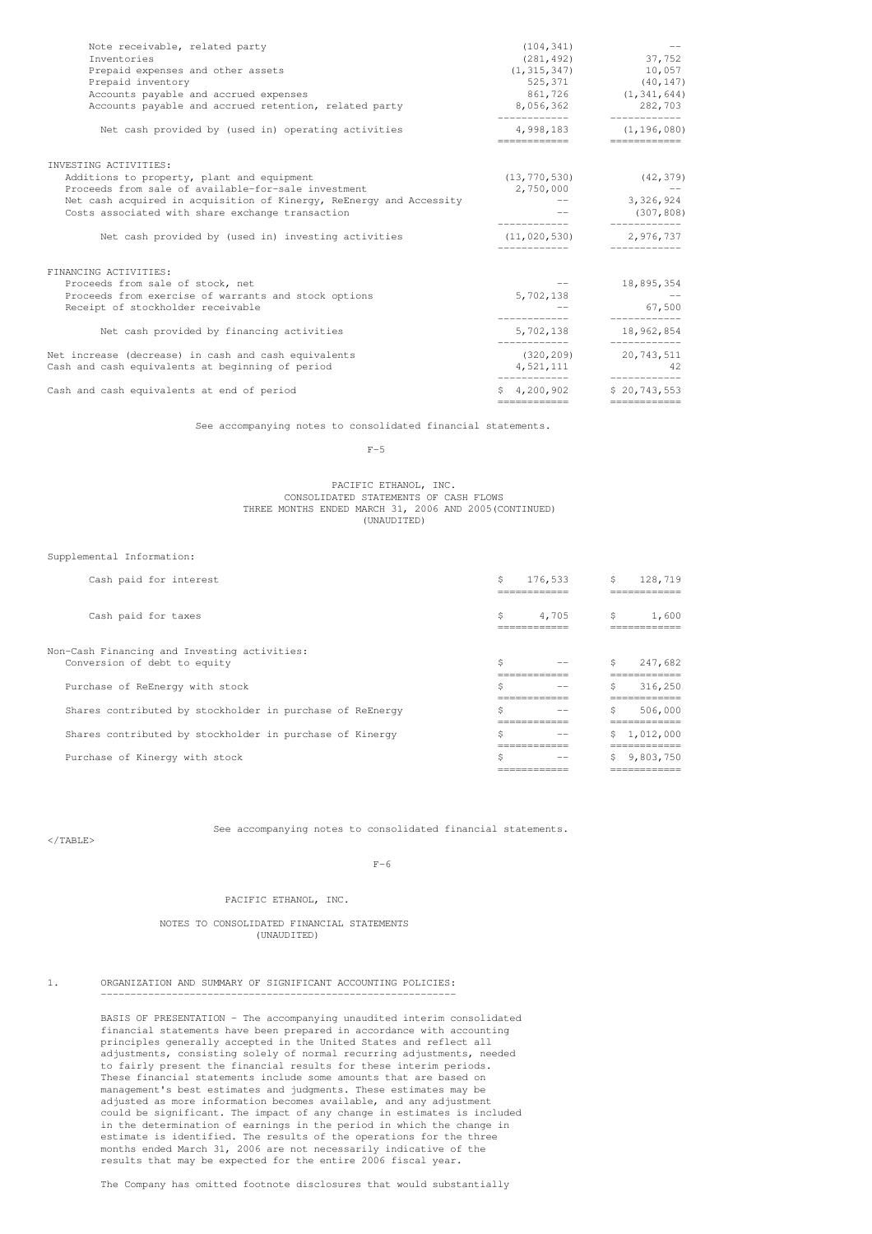| Note receivable, related party<br>Inventories<br>Prepaid expenses and other assets<br>Prepaid inventory<br>Accounts payable and accrued expenses<br>Accounts payable and accrued retention, related party<br>Net cash provided by (used in) operating activities | (104, 341)<br>(1, 315, 347)<br>8,056,362<br>============ | $ -$<br>$(281, 492)$ 37,752<br>10,057<br>525, 371 (40, 147)<br>861,726 (1,341,644)<br>282,703<br>4,998,183 (1,196,080)<br>=============                                                                                                                                                                                                                                                                                                                                                                                                                                 |
|------------------------------------------------------------------------------------------------------------------------------------------------------------------------------------------------------------------------------------------------------------------|----------------------------------------------------------|-------------------------------------------------------------------------------------------------------------------------------------------------------------------------------------------------------------------------------------------------------------------------------------------------------------------------------------------------------------------------------------------------------------------------------------------------------------------------------------------------------------------------------------------------------------------------|
| INVESTING ACTIVITIES:<br>Additions to property, plant and equipment<br>Proceeds from sale of available-for-sale investment<br>Net cash acquired in acquisition of Kinergy, ReEnergy and Accessity<br>Costs associated with share exchange transaction            | 2,750,000<br>-------------                               | $(13, 770, 530)$ $(42, 379)$<br>3,326,924<br>(307, 808)<br>______________                                                                                                                                                                                                                                                                                                                                                                                                                                                                                               |
| Net cash provided by (used in) investing activities                                                                                                                                                                                                              |                                                          | $(11, 020, 530)$ 2,976,737                                                                                                                                                                                                                                                                                                                                                                                                                                                                                                                                              |
| FINANCING ACTIVITIES:<br>Proceeds from sale of stock, net<br>Proceeds from exercise of warrants and stock options<br>Receipt of stockholder receivable                                                                                                           | 5,702,138                                                | 18,895,354<br>67,500                                                                                                                                                                                                                                                                                                                                                                                                                                                                                                                                                    |
| Net cash provided by financing activities                                                                                                                                                                                                                        | ------------                                             | ____________<br>5,702,138 18,962,854                                                                                                                                                                                                                                                                                                                                                                                                                                                                                                                                    |
| Net increase (decrease) in cash and cash equivalents<br>Cash and cash equivalents at beginning of period                                                                                                                                                         | -------------<br>4,521,111                               | ______________<br>$(320, 209)$ 20, 743, 511<br>42                                                                                                                                                                                                                                                                                                                                                                                                                                                                                                                       |
| Cash and cash equivalents at end of period                                                                                                                                                                                                                       | =============                                            | ___________<br>$\begin{array}{cc} 5 & 4.200.902 & 5 & 20.743.553 \end{array}$<br>$\begin{array}{cccccccccc} \multicolumn{2}{c}{} & \multicolumn{2}{c}{} & \multicolumn{2}{c}{} & \multicolumn{2}{c}{} & \multicolumn{2}{c}{} & \multicolumn{2}{c}{} & \multicolumn{2}{c}{} & \multicolumn{2}{c}{} & \multicolumn{2}{c}{} & \multicolumn{2}{c}{} & \multicolumn{2}{c}{} & \multicolumn{2}{c}{} & \multicolumn{2}{c}{} & \multicolumn{2}{c}{} & \multicolumn{2}{c}{} & \multicolumn{2}{c}{} & \multicolumn{2}{c}{} & \multicolumn{2}{c}{} & \multicolumn{2}{c}{} & \mult$ |

See accompanying notes to consolidated financial statements.

## $F-5$

#### PACIFIC ETHANOL, INC. CONSOLIDATED STATEMENTS OF CASH FLOWS THREE MONTHS ENDED MARCH 31, 2006 AND 2005(CONTINUED) (UNAUDITED)

## Supplemental Information:

| Cash paid for interest                                    | Ŝ  | 176,533                  | S. | 128,719      |
|-----------------------------------------------------------|----|--------------------------|----|--------------|
|                                                           |    | ____________             |    | ------------ |
| Cash paid for taxes                                       | Ś  | 4,705                    | S  | 1,600        |
|                                                           |    | ------------             |    | ============ |
| Non-Cash Financing and Investing activities:              |    |                          |    |              |
| Conversion of debt to equity                              | Ŝ  | $- -$                    | S  | 247,682      |
|                                                           |    | ============             |    | ____________ |
| Purchase of ReEnergy with stock                           | Ś  | $- -$                    | \$ | 316,250      |
|                                                           |    | -----------              |    | -----------  |
| Shares contributed by stockholder in purchase of ReEnergy | Ś  | --                       | Ŝ  | 506,000      |
|                                                           |    | ____________             |    | ___________  |
| Shares contributed by stockholder in purchase of Kinergy  | \$ | $- -$                    | Ŝ. | 1,012,000    |
|                                                           |    | ============             |    | ------------ |
| Purchase of Kinergy with stock                            | Ś  | $-$                      |    | 9,803,750    |
|                                                           |    | ____________<br>-------- |    | ------------ |
|                                                           |    |                          |    |              |

 $\langle$ /TABLE>

See accompanying notes to consolidated financial statements.

## $F-6$

#### PACIFIC ETHANOL, INC.

## NOTES TO CONSOLIDATED FINANCIAL STATEMENTS (UNAUDITED)

#### 1. ORGANIZATION AND SUMMARY OF SIGNIFICANT ACCOUNTING POLICIES: ------------------------------------------------------------

BASIS OF PRESENTATION - The accompanying unaudited interim consolidated financial statements have been prepared in accordance with accounting principles generally accepted in the United States and reflect all adjustments, consisting solely of normal recurring adjustments, needed to fairly present the financial results for these interim periods. These financial statements include some amounts that are based on management's best estimates and judgments. These estimates may be adjusted as more information becomes available, and any adjustment could be significant. The impact of any change in estimates is included in the determination of earnings in the period in which the change in estimate is identified. The results of the operations for the three months ended March 31, 2006 are not necessarily indicative of the results that may be expected for the entire 2006 fiscal year.

The Company has omitted footnote disclosures that would substantially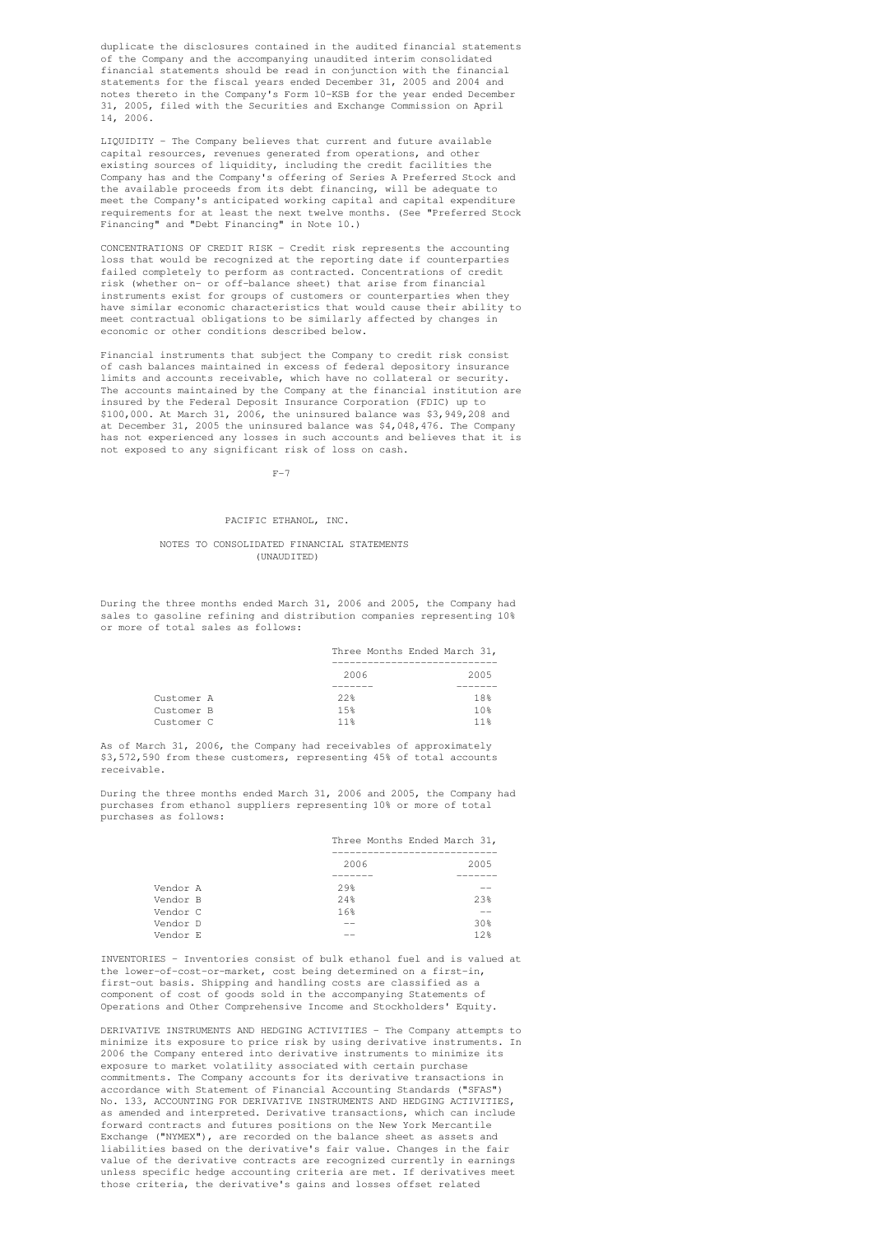duplicate the disclosures contained in the audited financial statements of the Company and the accompanying unaudited interim consolidated financial statements should be read in conjunction with the financial statements for the fiscal years ended December 31, 2005 and 2004 and notes thereto in the Company's Form 10-KSB for the year ended December 31, 2005, filed with the Securities and Exchange Commission on April 14, 2006.

LIQUIDITY - The Company believes that current and future available capital resources, revenues generated from operations, and other existing sources of liquidity, including the credit facilities the Company has and the Company's offering of Series A Preferred Stock and the available proceeds from its debt financing, will be adequate to meet the Company's anticipated working capital and capital expenditure requirements for at least the next twelve months. (See "Preferred Stock Financing" and "Debt Financing" in Note 10.)

CONCENTRATIONS OF CREDIT RISK - Credit risk represents the accounting loss that would be recognized at the reporting date if counterparties failed completely to perform as contracted. Concentrations of credit risk (whether on- or off-balance sheet) that arise from financial instruments exist for groups of customers or counterparties when they have similar economic characteristics that would cause their ability to meet contractual obligations to be similarly affected by changes in economic or other conditions described below.

Financial instruments that subject the Company to credit risk consist of cash balances maintained in excess of federal depository insurance limits and accounts receivable, which have no collateral or security. The accounts maintained by the Company at the financial institution are insured by the Federal Deposit Insurance Corporation (FDIC) up to \$100,000. At March 31, 2006, the uninsured balance was \$3,949,208 and at December 31, 2005 the uninsured balance was \$4,048,476. The Company has not experienced any losses in such accounts and believes that it is not exposed to any significant risk of loss on cash.

F-7

#### PACIFIC ETHANOL, INC.

## NOTES TO CONSOLIDATED FINANCIAL STATEMENTS (UNAUDITED)

During the three months ended March 31, 2006 and 2005, the Company had sales to gasoline refining and distribution companies representing 10% or more of total sales as follows:

## Three Months Ended March 31,

|            | 2006    | 2005            |
|------------|---------|-----------------|
|            | ------- |                 |
| Customer A | 2.2%    | 18%             |
| Customer B | 1.5%    | 10 <sub>3</sub> |
| Customer C | 11%     | 11 응            |

As of March 31, 2006, the Company had receivables of approximately \$3,572,590 from these customers, representing 45% of total accounts receivable.

During the three months ended March 31, 2006 and 2005, the Company had purchases from ethanol suppliers representing 10% or more of total purchases as follows:

|          | Three Months Ended March 31, |         |
|----------|------------------------------|---------|
|          |                              |         |
|          | 2006                         | 2005    |
|          | -------                      | ------- |
| Vendor A | 29 <sub>8</sub>              | --      |
| Vendor B | 2.4%                         | 2.3%    |
| Vendor C | 16%                          | --      |
| Vendor D | --                           | 30%     |
| Vendor E | --                           | 12%     |

INVENTORIES - Inventories consist of bulk ethanol fuel and is valued at the lower-of-cost-or-market, cost being determined on a first-in, first-out basis. Shipping and handling costs are classified as a component of cost of goods sold in the accompanying Statements of Operations and Other Comprehensive Income and Stockholders' Equity.

DERIVATIVE INSTRUMENTS AND HEDGING ACTIVITIES - The Company attempts to minimize its exposure to price risk by using derivative instruments. In 2006 the Company entered into derivative instruments to minimize its exposure to market volatility associated with certain purchase commitments. The Company accounts for its derivative transactions in accordance with Statement of Financial Accounting Standards ("SFAS") No. 133, ACCOUNTING FOR DERIVATIVE INSTRUMENTS AND HEDGING ACTIVITIES, as amended and interpreted. Derivative transactions, which can include forward contracts and futures positions on the New York Mercantile Exchange ("NYMEX"), are recorded on the balance sheet as assets and liabilities based on the derivative's fair value. Changes in the fair value of the derivative contracts are recognized currently in earnings unless specific hedge accounting criteria are met. If derivatives meet those criteria, the derivative's gains and losses offset related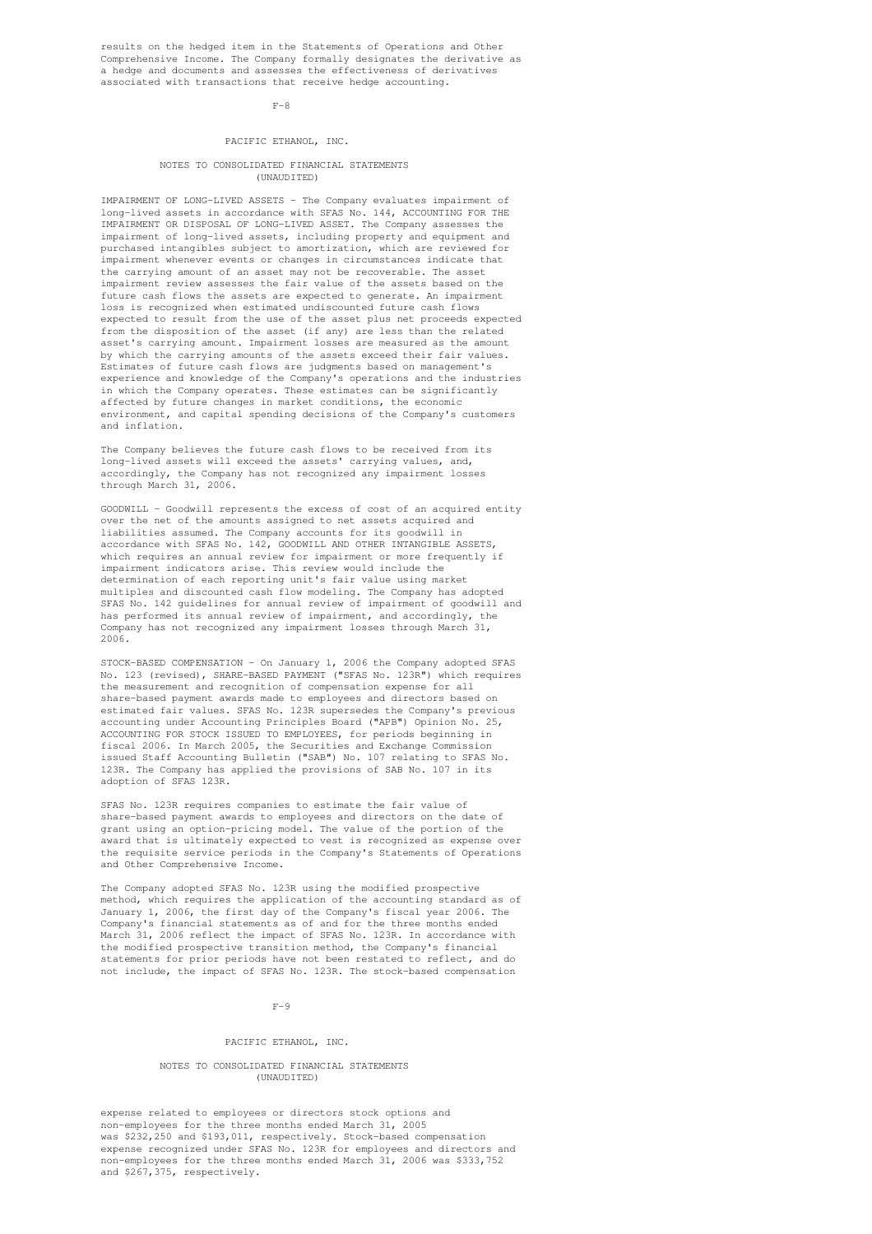results on the hedged item in the Statements of Operations and Other Comprehensive Income. The Company formally designates the derivative as a hedge and documents and assesses the effectiveness of derivatives associated with transactions that receive hedge accounting.

## $F - 8$

#### PACIFIC ETHANOL, INC.

#### NOTES TO CONSOLIDATED FINANCIAL STATEMENTS (UNAUDITED)

IMPAIRMENT OF LONG-LIVED ASSETS - The Company evaluates impairment of long-lived assets in accordance with SFAS No. 144, ACCOUNTING FOR THE IMPAIRMENT OR DISPOSAL OF LONG-LIVED ASSET. The Company assesses the impairment of long-lived assets, including property and equipment and purchased intangibles subject to amortization, which are reviewed for impairment whenever events or changes in circumstances indicate that the carrying amount of an asset may not be recoverable. The asset impairment review assesses the fair value of the assets based on the future cash flows the assets are expected to generate. An impairment loss is recognized when estimated undiscounted future cash flows expected to result from the use of the asset plus net proceeds expected from the disposition of the asset (if any) are less than the related asset's carrying amount. Impairment losses are measured as the amount by which the carrying amounts of the assets exceed their fair values. Estimates of future cash flows are judgments based on management's experience and knowledge of the Company's operations and the industries in which the Company operates. These estimates can be significantly affected by future changes in market conditions, the economic environment, and capital spending decisions of the Company's customers and inflation.

The Company believes the future cash flows to be received from its long-lived assets will exceed the assets' carrying values, and, accordingly, the Company has not recognized any impairment losses through March 31, 2006.

GOODWILL - Goodwill represents the excess of cost of an acquired entity over the net of the amounts assigned to net assets acquired and liabilities assumed. The Company accounts for its goodwill in accordance with SFAS No. 142, GOODWILL AND OTHER INTANGIBLE ASSETS, which requires an annual review for impairment or more frequently if impairment indicators arise. This review would include the determination of each reporting unit's fair value using market multiples and discounted cash flow modeling. The Company has adopted SFAS No. 142 guidelines for annual review of impairment of goodwill and has performed its annual review of impairment, and accordingly, the Company has not recognized any impairment losses through March 31, 2006.

STOCK-BASED COMPENSATION - On January 1, 2006 the Company adopted SFAS No. 123 (revised), SHARE-BASED PAYMENT ("SFAS No. 123R") which requires the measurement and recognition of compensation expense for all share-based payment awards made to employees and directors based on estimated fair values. SFAS No. 123R supersedes the Company's previous accounting under Accounting Principles Board ("APB") Opinion No. 25, ACCOUNTING FOR STOCK ISSUED TO EMPLOYEES, for periods beginning in fiscal 2006. In March 2005, the Securities and Exchange Commission issued Staff Accounting Bulletin ("SAB") No. 107 relating to SFAS No. 123R. The Company has applied the provisions of SAB No. 107 in its adoption of SFAS 123R.

SFAS No. 123R requires companies to estimate the fair value of share-based payment awards to employees and directors on the date of grant using an option-pricing model. The value of the portion of the award that is ultimately expected to vest is recognized as expense over the requisite service periods in the Company's Statements of Operations and Other Comprehensive Income.

The Company adopted SFAS No. 123R using the modified prospective method, which requires the application of the accounting standard as of January 1, 2006, the first day of the Company's fiscal year 2006. The Company's financial statements as of and for the three months ended March 31, 2006 reflect the impact of SFAS No. 123R. In accordance with the modified prospective transition method, the Company's financial statements for prior periods have not been restated to reflect, and do not include, the impact of SFAS No. 123R. The stock-based compensation

#### $F-Q$

#### PACIFIC ETHANOL, INC.

#### NOTES TO CONSOLIDATED FINANCIAL STATEMENTS (UNAUDITED)

expense related to employees or directors stock options and non-employees for the three months ended March 31, 2005 was \$232,250 and \$193,011, respectively. Stock-based compensation expense recognized under SFAS No. 123R for employees and directors and non-employees for the three months ended March 31, 2006 was \$333,752 and \$267,375, respectively.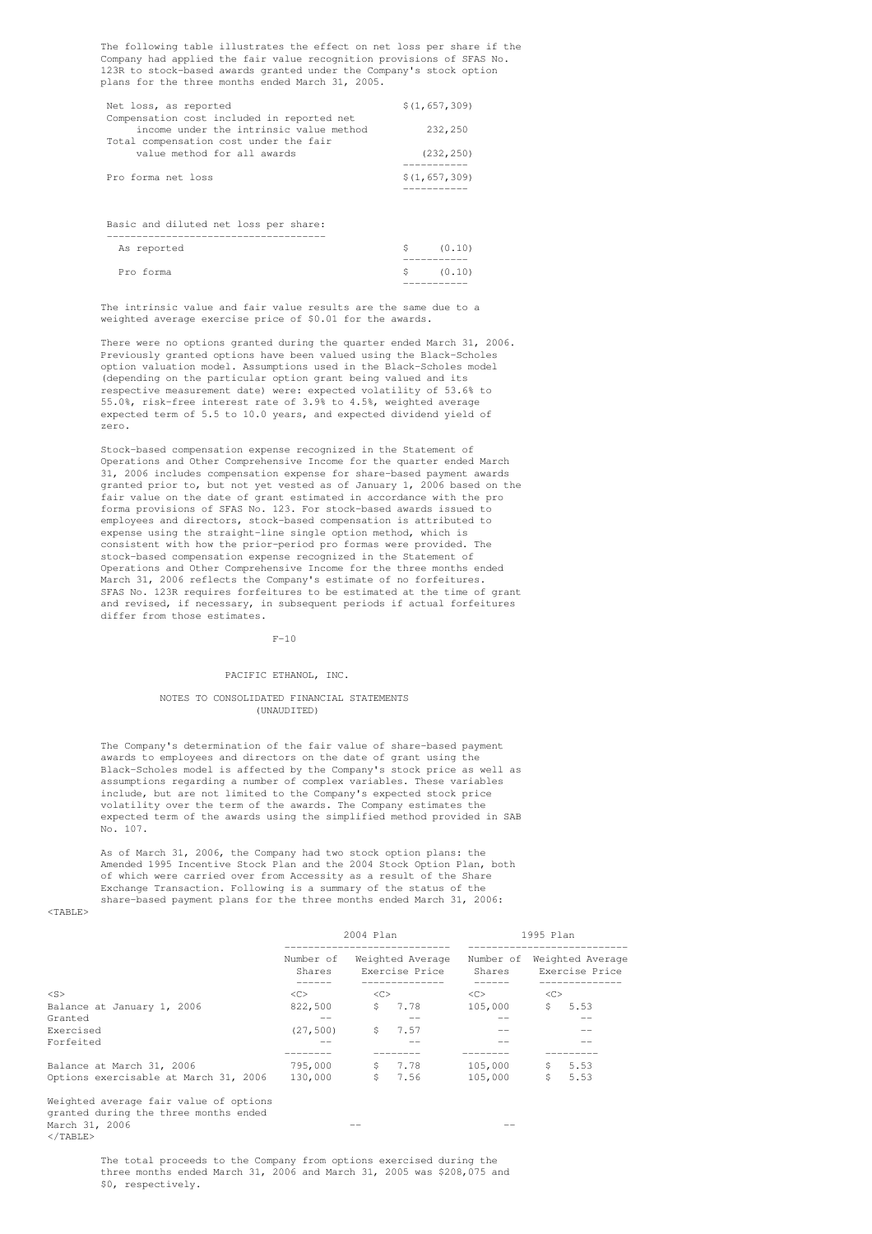The following table illustrates the effect on net loss per share if the Company had applied the fair value recognition provisions of SFAS No. 123R to stock-based awards granted under the Company's stock option plans for the three months ended March 31, 2005.

| Net loss, as reported                                                                 | \$(1, 657, 309) |
|---------------------------------------------------------------------------------------|-----------------|
| Compensation cost included in reported net<br>income under the intrinsic value method | 232,250         |
| Total compensation cost under the fair                                                |                 |
| value method for all awards                                                           | (232, 250)      |
|                                                                                       |                 |
| Pro forma net loss                                                                    | \$(1,657,309)   |
|                                                                                       |                 |

Basic and diluted net loss per share:

| As reported | S. | (0.10) |
|-------------|----|--------|
|             |    |        |
| Pro forma   | S. | (0.10) |
|             |    |        |

The intrinsic value and fair value results are the same due to a weighted average exercise price of \$0.01 for the awards.

There were no options granted during the quarter ended March 31, 2006. Previously granted options have been valued using the Black-Scholes option valuation model. Assumptions used in the Black-Scholes model (depending on the particular option grant being valued and its respective measurement date) were: expected volatility of 53.6% to 55.0%, risk-free interest rate of 3.9% to 4.5%, weighted average expected term of 5.5 to 10.0 years, and expected dividend yield of zero.

Stock-based compensation expense recognized in the Statement of Operations and Other Comprehensive Income for the quarter ended March 31, 2006 includes compensation expense for share-based payment awards granted prior to, but not yet vested as of January 1, 2006 based on the fair value on the date of grant estimated in accordance with the pro forma provisions of SFAS No. 123. For stock-based awards issued to employees and directors, stock-based compensation is attributed to expense using the straight-line single option method, which is consistent with how the prior-period pro formas were provided. The stock-based compensation expense recognized in the Statement of Operations and Other Comprehensive Income for the three months ended March 31, 2006 reflects the Company's estimate of no forfeitures. SFAS No. 123R requires forfeitures to be estimated at the time of grant and revised, if necessary, in subsequent periods if actual forfeitures differ from those estimates.

## $F-10$

## PACIFIC ETHANOL, INC.

## NOTES TO CONSOLIDATED FINANCIAL STATEMENTS (UNAUDITED)

The Company's determination of the fair value of share-based payment awards to employees and directors on the date of grant using the Black-Scholes model is affected by the Company's stock price as well as assumptions regarding a number of complex variables. These variables include, but are not limited to the Company's expected stock price volatility over the term of the awards. The Company estimates the expected term of the awards using the simplified method provided in SAB No. 107.

As of March 31, 2006, the Company had two stock option plans: the Amended 1995 Incentive Stock Plan and the 2004 Stock Option Plan, both of which were carried over from Accessity as a result of the Share Exchange Transaction. Following is a summary of the status of the share-based payment plans for the three months ended March 31, 2006:

## <TABLE>

|                                                                                 | 2004 Plan           |     |                                    | 1995 Plan           |     |                                    |
|---------------------------------------------------------------------------------|---------------------|-----|------------------------------------|---------------------|-----|------------------------------------|
|                                                                                 | Number of<br>Shares |     | Weighted Average<br>Exercise Price | Number of<br>Shares |     | Weighted Average<br>Exercise Price |
| $<$ S>                                                                          | <<                  | <<  |                                    | <<                  | <<  | ----------                         |
| Balance at January 1, 2006                                                      | 822,500             | S.  | 7.78                               | 105,000             | S.  | 5.53                               |
| Granted                                                                         | --                  |     | $- -$                              | --                  |     |                                    |
| Exercised                                                                       | (27, 500)           | \$. | 7.57                               | $- -$               |     | --                                 |
| Forfeited                                                                       |                     |     |                                    |                     |     |                                    |
|                                                                                 |                     |     |                                    |                     |     |                                    |
| Balance at March 31, 2006                                                       | 795,000             | \$. | 7.78                               | 105,000             | \$. | 5.53                               |
| Options exercisable at March 31, 2006                                           | 130,000             | \$  | 7.56                               | 105,000             | \$. | 5.53                               |
| Weighted average fair value of options<br>granted during the three months ended |                     |     |                                    |                     |     |                                    |

March 31, 2006 -- --  $\langle$ /TABLE>

> The total proceeds to the Company from options exercised during the three months ended March 31, 2006 and March 31, 2005 was \$208,075 and \$0, respectively.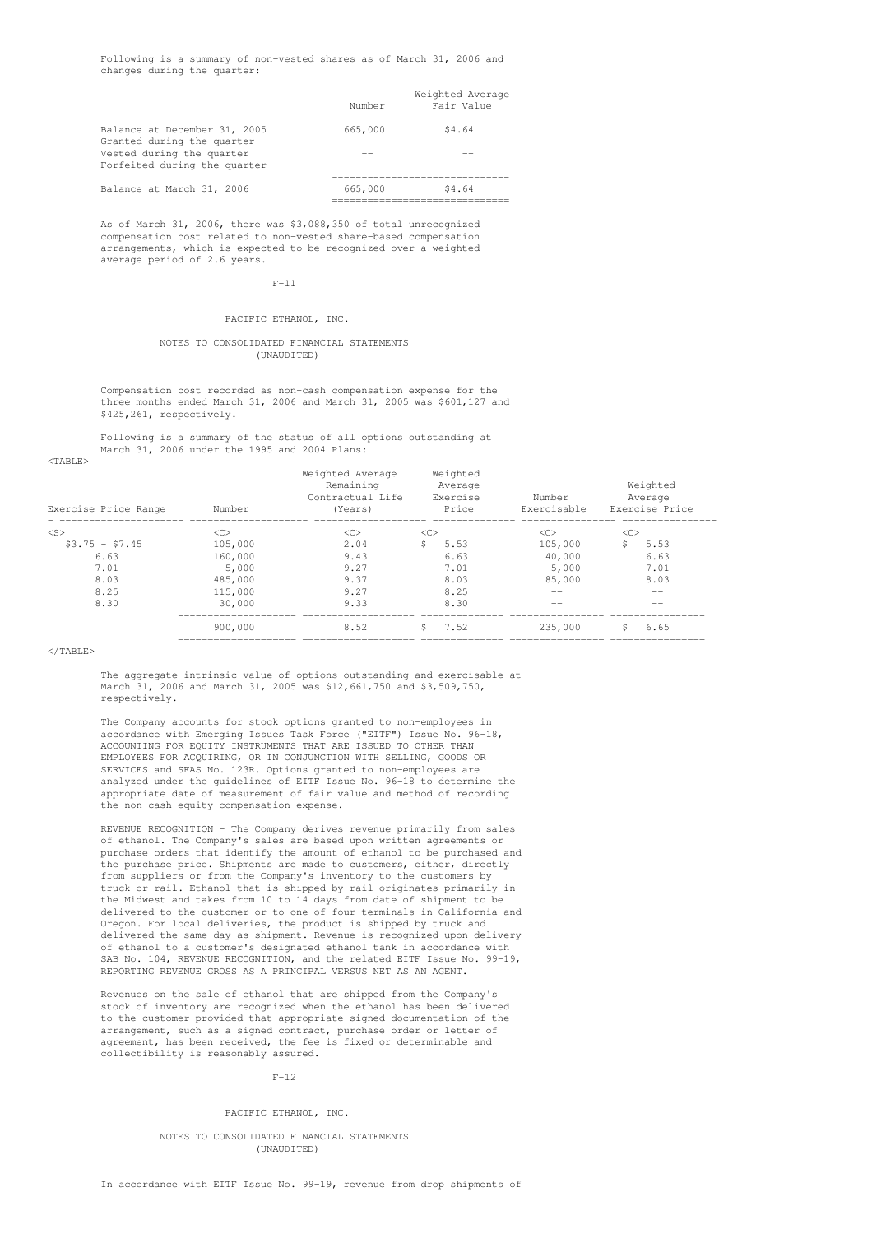Following is a summary of non-vested shares as of March 31, 2006 and changes during the quarter:

|                              |         | Weighted Average |
|------------------------------|---------|------------------|
|                              | Number  | Fair Value       |
|                              |         |                  |
| Balance at December 31, 2005 | 665,000 | \$4.64           |
| Granted during the quarter   | --      | __               |
| Vested during the quarter    | --      | __               |
| Forfeited during the quarter | --      | __               |
|                              |         |                  |
| Balance at March 31, 2006    | 665,000 | \$4.64           |
|                              |         |                  |

As of March 31, 2006, there was \$3,088,350 of total unrecognized compensation cost related to non-vested share-based compensation arrangements, which is expected to be recognized over a weighted average period of 2.6 years.

 $F-11$ 

## PACIFIC ETHANOL, INC.

## NOTES TO CONSOLIDATED FINANCIAL STATEMENTS (UNAUDITED)

Compensation cost recorded as non-cash compensation expense for the three months ended March 31, 2006 and March 31, 2005 was \$601,127 and \$425,261, respectively.

Following is a summary of the status of all options outstanding at March 31, 2006 under the 1995 and 2004 Plans:

| Exercise Price Range | Number                            | Weighted Average<br>Remaining<br>Contractual Life<br>(Years) | Weighted<br>Average<br>Exercise<br>Price | Number<br>Exercisable | Weighted<br>Average<br>Exercise Price |
|----------------------|-----------------------------------|--------------------------------------------------------------|------------------------------------------|-----------------------|---------------------------------------|
| $<$ S>               | <<                                | <<                                                           | <<                                       | <<                    | __________<br><<                      |
| $$3.75 - $7.45$      | 105,000                           | 2.04                                                         | S<br>5.53                                | 105,000               | 5.53                                  |
| 6.63                 | 160,000                           | 9.43                                                         | 6.63                                     | 40,000                | 6.63                                  |
| 7.01                 | 5,000                             | 9.27                                                         | 7.01                                     | 5,000                 | 7.01                                  |
| 8.03                 | 485,000                           | 9.37                                                         | 8.03                                     | 85,000                | 8.03                                  |
| 8.25                 | 115,000                           | 9.27                                                         | 8.25                                     | $- -$                 | --                                    |
| 8.30                 | 30,000                            | 9.33                                                         | 8.30                                     | $- -$                 | --                                    |
|                      | 900,000<br>---------------------- | 8.52                                                         | 7.52                                     | 235,000               | Ŝ<br>6.65<br>_________________        |

 $\langle$ /TABLE>

 $<sub>TARTER</sub>$ </sub>

The aggregate intrinsic value of options outstanding and exercisable at March 31, 2006 and March 31, 2005 was \$12,661,750 and \$3,509,750, respectively.

The Company accounts for stock options granted to non-employees in accordance with Emerging Issues Task Force ("EITF") Issue No. 96-18, ACCOUNTING FOR EQUITY INSTRUMENTS THAT ARE ISSUED TO OTHER THAN EMPLOYEES FOR ACQUIRING, OR IN CONJUNCTION WITH SELLING, GOODS OR SERVICES and SFAS No. 123R. Options granted to non-employees are analyzed under the guidelines of EITF Issue No. 96-18 to determine the appropriate date of measurement of fair value and method of recording the non-cash equity compensation expense.

REVENUE RECOGNITION - The Company derives revenue primarily from sales of ethanol. The Company's sales are based upon written agreements or purchase orders that identify the amount of ethanol to be purchased and the purchase price. Shipments are made to customers, either, directly from suppliers or from the Company's inventory to the customers by truck or rail. Ethanol that is shipped by rail originates primarily in the Midwest and takes from 10 to 14 days from date of shipment to be delivered to the customer or to one of four terminals in California and Oregon. For local deliveries, the product is shipped by truck and delivered the same day as shipment. Revenue is recognized upon delivery of ethanol to a customer's designated ethanol tank in accordance with SAB No. 104, REVENUE RECOGNITION, and the related EITF Issue No. 99-19, REPORTING REVENUE GROSS AS A PRINCIPAL VERSUS NET AS AN AGENT.

Revenues on the sale of ethanol that are shipped from the Company's stock of inventory are recognized when the ethanol has been delivered to the customer provided that appropriate signed documentation of the arrangement, such as a signed contract, purchase order or letter of agreement, has been received, the fee is fixed or determinable and collectibility is reasonably assured.

## $F-12$

## PACIFIC ETHANOL, INC.

NOTES TO CONSOLIDATED FINANCIAL STATEMENTS (UNAUDITED)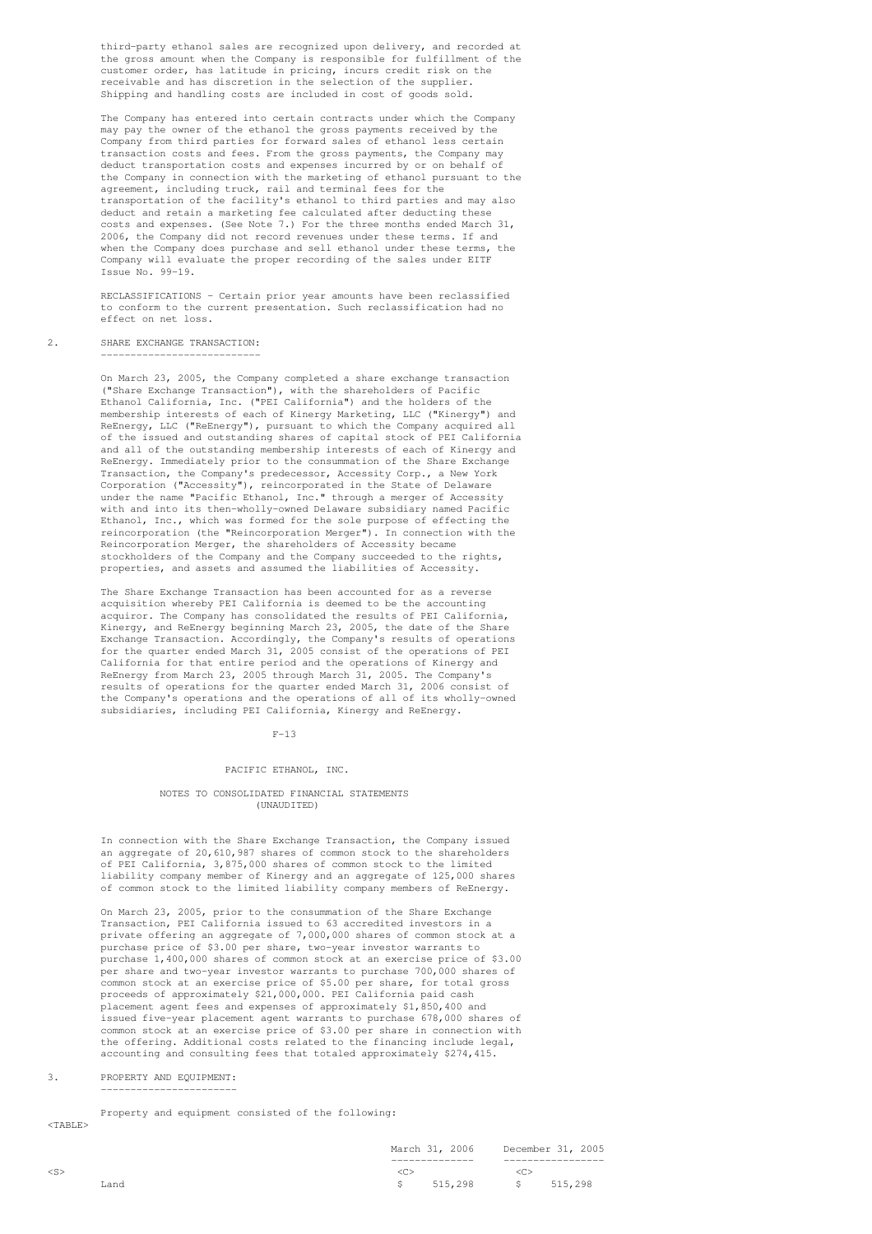third-party ethanol sales are recognized upon delivery, and recorded at the gross amount when the Company is responsible for fulfillment of the customer order, has latitude in pricing, incurs credit risk on the receivable and has discretion in the selection of the supplier. Shipping and handling costs are included in cost of goods sold.

The Company has entered into certain contracts under which the Company may pay the owner of the ethanol the gross payments received by the Company from third parties for forward sales of ethanol less certain transaction costs and fees. From the gross payments, the Company may deduct transportation costs and expenses incurred by or on behalf of the Company in connection with the marketing of ethanol pursuant to the agreement, including truck, rail and terminal fees for the transportation of the facility's ethanol to third parties and may also deduct and retain a marketing fee calculated after deducting these costs and expenses. (See Note 7.) For the three months ended March 31, 2006, the Company did not record revenues under these terms. If and when the Company does purchase and sell ethanol under these terms, the Company will evaluate the proper recording of the sales under EITF Issue No. 99-19.

RECLASSIFICATIONS - Certain prior year amounts have been reclassified to conform to the current presentation. Such reclassification had no effect on net loss.

## 2. SHARE EXCHANGE TRANSACTION:

---------------------------

On March 23, 2005, the Company completed a share exchange transaction ("Share Exchange Transaction"), with the shareholders of Pacific Ethanol California, Inc. ("PEI California") and the holders of the membership interests of each of Kinergy Marketing, LLC ("Kinergy") and ReEnergy, LLC ("ReEnergy"), pursuant to which the Company acquired all of the issued and outstanding shares of capital stock of PEI California and all of the outstanding membership interests of each of Kinergy and ReEnergy. Immediately prior to the consummation of the Share Exchange Transaction, the Company's predecessor, Accessity Corp., a New York Corporation ("Accessity"), reincorporated in the State of Delaware under the name "Pacific Ethanol, Inc." through a merger of Accessity with and into its then-wholly-owned Delaware subsidiary named Pacific Ethanol, Inc., which was formed for the sole purpose of effecting the reincorporation (the "Reincorporation Merger"). In connection with the Reincorporation Merger, the shareholders of Accessity became stockholders of the Company and the Company succeeded to the rights, properties, and assets and assumed the liabilities of Accessity.

The Share Exchange Transaction has been accounted for as a reverse acquisition whereby PEI California is deemed to be the accounting acquiror. The Company has consolidated the results of PEI California, Kinergy, and ReEnergy beginning March 23, 2005, the date of the Share Exchange Transaction. Accordingly, the Company's results of operations for the quarter ended March 31, 2005 consist of the operations of PEI California for that entire period and the operations of Kinergy and ReEnergy from March 23, 2005 through March 31, 2005. The Company's results of operations for the quarter ended March 31, 2006 consist of the Company's operations and the operations of all of its wholly-owned subsidiaries, including PEI California, Kinergy and ReEnergy.

#### $F-13$

#### PACIFIC ETHANOL, INC.

## NOTES TO CONSOLIDATED FINANCIAL STATEMENTS (UNAUDITED)

In connection with the Share Exchange Transaction, the Company issued an aggregate of 20,610,987 shares of common stock to the shareholders of PEI California, 3,875,000 shares of common stock to the limited liability company member of Kinergy and an aggregate of 125,000 shares of common stock to the limited liability company members of ReEnergy.

On March 23, 2005, prior to the consummation of the Share Exchange Transaction, PEI California issued to 63 accredited investors in a private offering an aggregate of 7,000,000 shares of common stock at a purchase price of \$3.00 per share, two-year investor warrants to purchase 1,400,000 shares of common stock at an exercise price of \$3.00 per share and two-year investor warrants to purchase 700,000 shares of common stock at an exercise price of \$5.00 per share, for total gross proceeds of approximately \$21,000,000. PEI California paid cash placement agent fees and expenses of approximately \$1,850,400 and issued five-year placement agent warrants to purchase 678,000 shares of common stock at an exercise price of \$3.00 per share in connection with the offering. Additional costs related to the financing include legal, accounting and consulting fees that totaled approximately \$274,415.

3. PROPERTY AND EQUIPMENT: -----------------------

Property and equipment consisted of the following:

March 31, 2006 December 31, 2005 -------------- ----------------- <S><C><C><C><C><C> Land  $\sim$  515,298  $\sim$  515,298  $\sim$  515,298

<TABLE>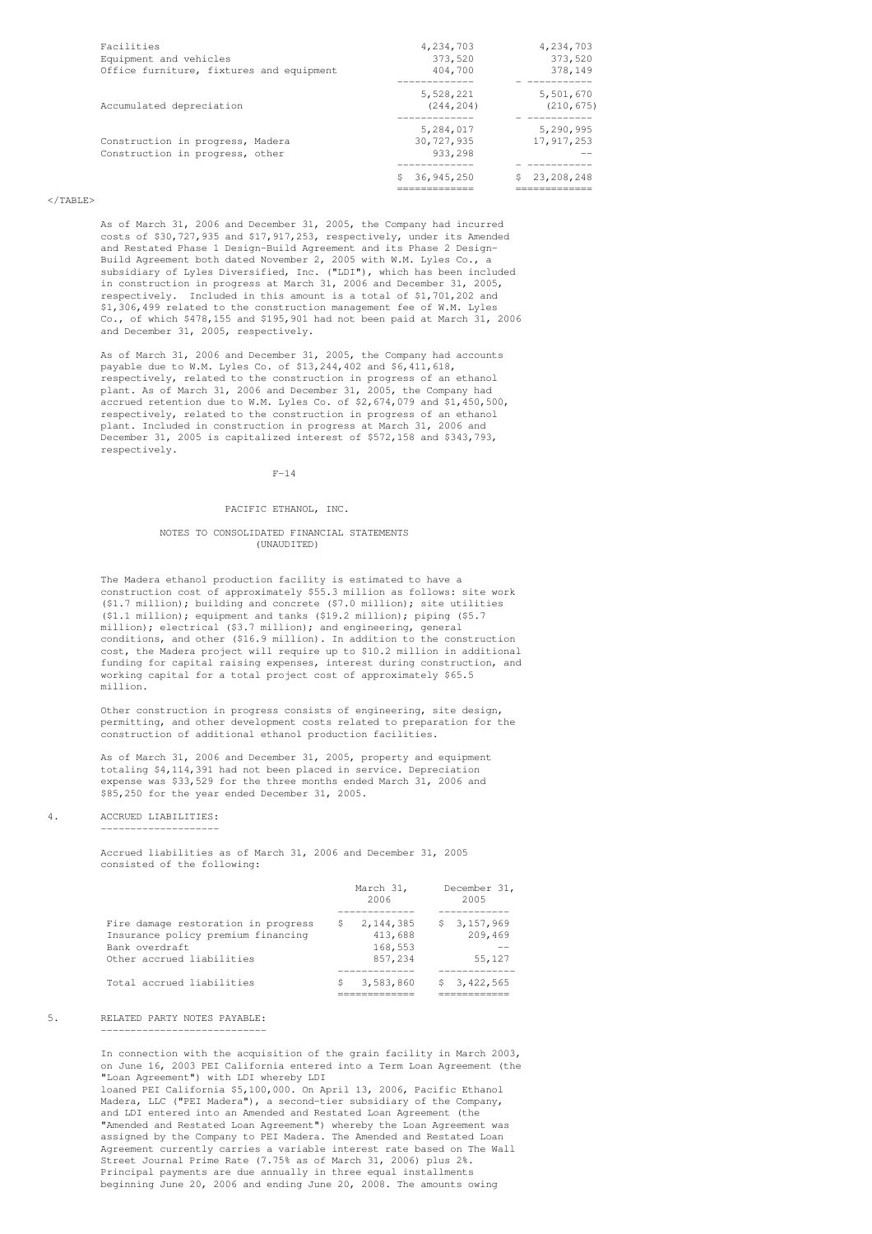| Facilities<br>Equipment and vehicles<br>Office furniture, fixtures and equipment | 4,234,703<br>373,520<br>404,700      | 4,234,703<br>373,520<br>378,149 |
|----------------------------------------------------------------------------------|--------------------------------------|---------------------------------|
| Accumulated depreciation                                                         | 5,528,221<br>(244, 204)<br>--------- | 5,501,670<br>(210, 675)         |
| Construction in progress, Madera<br>Construction in progress, other              | 5,284,017<br>30,727,935<br>933,298   | 5,290,995<br>17, 917, 253       |
|                                                                                  | 36,945,250<br>___________            | 23, 208, 248<br>--------------  |

## </TABLE>

As of March 31, 2006 and December 31, 2005, the Company had incurred costs of \$30,727,935 and \$17,917,253, respectively, under its Amended and Restated Phase 1 Design-Build Agreement and its Phase 2 Design-Build Agreement both dated November 2, 2005 with W.M. Lyles Co., a subsidiary of Lyles Diversified, Inc. ("LDI"), which has been included in construction in progress at March 31, 2006 and December 31, 2005, respectively. Included in this amount is a total of \$1,701,202 and \$1,306,499 related to the construction management fee of W.M. Lyles Co., of which \$478,155 and \$195,901 had not been paid at March 31, 2006 and December 31, 2005, respectively.

As of March 31, 2006 and December 31, 2005, the Company had accounts payable due to W.M. Lyles Co. of \$13,244,402 and \$6,411,618, respectively, related to the construction in progress of an ethanol plant. As of March 31, 2006 and December 31, 2005, the Company had accrued retention due to W.M. Lyles Co. of \$2,674,079 and \$1,450,500, respectively, related to the construction in progress of an ethanol plant. Included in construction in progress at March 31, 2006 and December 31, 2005 is capitalized interest of \$572,158 and \$343,793, respectively.

## F-14

## PACIFIC ETHANOL, INC.

#### NOTES TO CONSOLIDATED FINANCIAL STATEMENTS (UNAUDITED)

The Madera ethanol production facility is estimated to have a construction cost of approximately \$55.3 million as follows: site work (\$1.7 million); building and concrete (\$7.0 million); site utilities (\$1.1 million); equipment and tanks (\$19.2 million); piping (\$5.7 million); electrical (\$3.7 million); and engineering, general conditions, and other (\$16.9 million). In addition to the construction cost, the Madera project will require up to \$10.2 million in additional funding for capital raising expenses, interest during construction, and working capital for a total project cost of approximately \$65.5 million.

Other construction in progress consists of engineering, site design, permitting, and other development costs related to preparation for the construction of additional ethanol production facilities.

As of March 31, 2006 and December 31, 2005, property and equipment totaling \$4,114,391 had not been placed in service. Depreciation expense was \$33,529 for the three months ended March 31, 2006 and \$85,250 for the year ended December 31, 2005.

## 4. ACCRUED LIABILITIES:

--------------------

Accrued liabilities as of March 31, 2006 and December 31, 2005 consisted of the following:

|                                     | March 31,<br>2006 | December 31,<br>2005 |
|-------------------------------------|-------------------|----------------------|
|                                     |                   |                      |
| Fire damage restoration in progress | 2, 144, 385<br>S  | \$3,157,969          |
| Insurance policy premium financing  | 413,688           | 209,469              |
| Bank overdraft                      | 168,553           |                      |
| Other accrued liabilities           | 857,234           | 55,127               |
|                                     |                   |                      |
| Total accrued liabilities           | 3,583,860<br>S    | \$3,422,565          |
|                                     | ___________       | _________            |

#### 5. RELATED PARTY NOTES PAYABLE: ----------------------------

In connection with the acquisition of the grain facility in March 2003, on June 16, 2003 PEI California entered into a Term Loan Agreement (the "Loan Agreement") with LDI whereby LDI loaned PEI California \$5,100,000. On April 13, 2006, Pacific Ethanol Madera, LLC ("PEI Madera"), a second-tier subsidiary of the Company, and LDI entered into an Amended and Restated Loan Agreement (the "Amended and Restated Loan Agreement") whereby the Loan Agreement was assigned by the Company to PEI Madera. The Amended and Restated Loan Agreement currently carries a variable interest rate based on The Wall Street Journal Prime Rate (7.75% as of March 31, 2006) plus 2%. Principal payments are due annually in three equal installments beginning June 20, 2006 and ending June 20, 2008. The amounts owing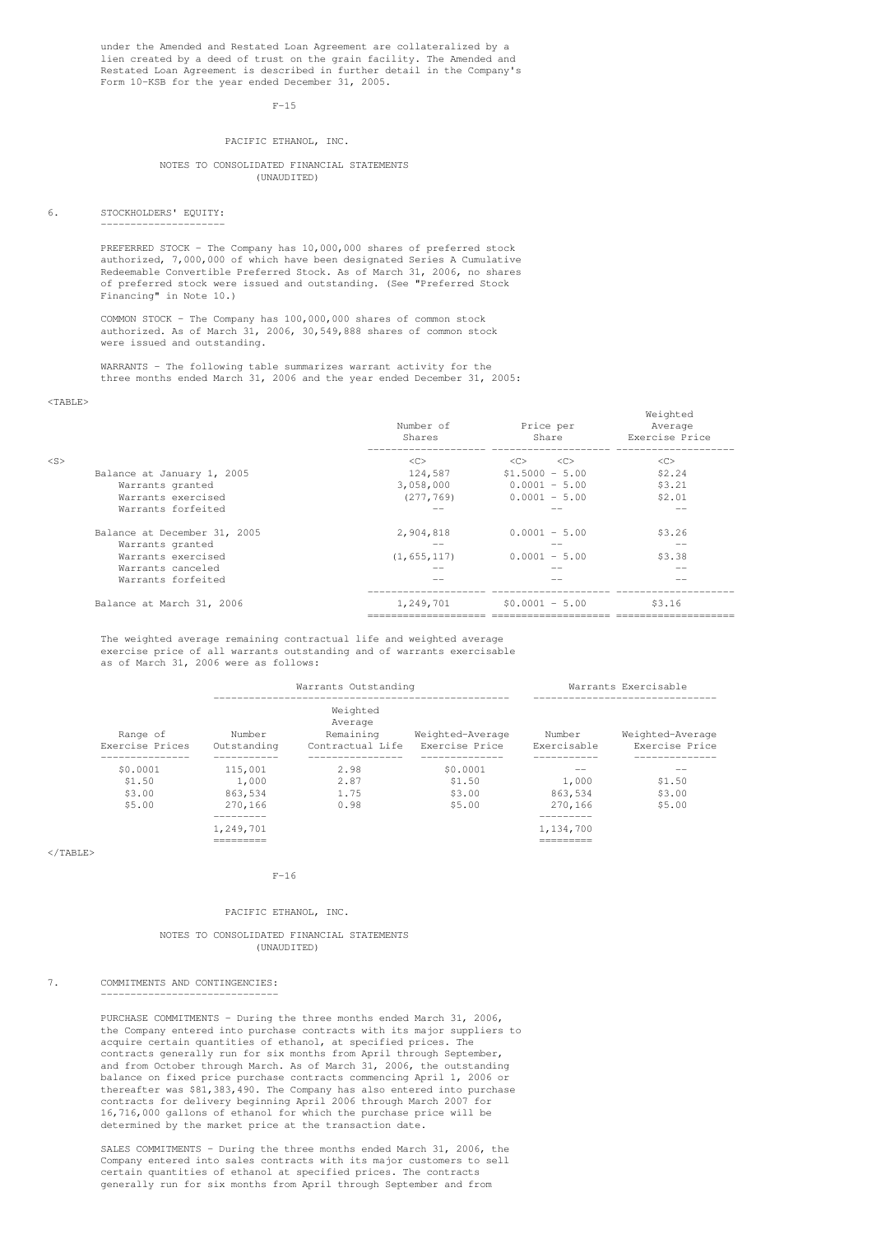under the Amended and Restated Loan Agreement are collateralized by a lien created by a deed of trust on the grain facility. The Amended and Restated Loan Agreement is described in further detail in the Company's Form 10-KSB for the year ended December 31, 2005.

#### $F-15$

## PACIFIC ETHANOL, INC.

#### NOTES TO CONSOLIDATED FINANCIAL STATEMENTS (UNAUDITED)

## 6. STOCKHOLDERS' EQUITY:

---------------------

PREFERRED STOCK - The Company has 10,000,000 shares of preferred stock authorized, 7,000,000 of which have been designated Series A Cumulative Redeemable Convertible Preferred Stock. As of March 31, 2006, no shares of preferred stock were issued and outstanding. (See "Preferred Stock Financing" in Note 10.)

COMMON STOCK - The Company has 100,000,000 shares of common stock authorized. As of March 31, 2006, 30,549,888 shares of common stock were issued and outstanding.

WARRANTS - The following table summarizes warrant activity for the three months ended March 31, 2006 and the year ended December 31, 2005:

#### <TABLE>

| ישעשתי |                              | Number of<br>Shares | Price per<br>Share | Weighted<br>Average<br>Exercise Price |
|--------|------------------------------|---------------------|--------------------|---------------------------------------|
| $<$ S> |                              | <<                  | <<<br>$<<$ $>>$    | <<                                    |
|        | Balance at January 1, 2005   | 124,587             | $$1.5000 - 5.00$   | \$2.24                                |
|        | Warrants granted             | 3,058,000           | $0.0001 - 5.00$    | \$3.21                                |
|        | Warrants exercised           | (277, 769)          | $0.0001 - 5.00$    | \$2.01                                |
|        | Warrants forfeited           | $- -$               | --                 | $- -$                                 |
|        | Balance at December 31, 2005 | 2,904,818           | $0.0001 - 5.00$    | \$3.26                                |
|        | Warrants granted             | $- -$               | $- -$              | $ -$                                  |
|        | Warrants exercised           | (1, 655, 117)       | $0.0001 - 5.00$    | \$3.38                                |
|        | Warrants canceled            |                     |                    |                                       |
|        | Warrants forfeited           | --                  |                    |                                       |
|        | Balance at March 31, 2006    | 1,249,701           | $$0.0001 - 5.00$   | \$3.16                                |
|        |                              |                     |                    |                                       |

The weighted average remaining contractual life and weighted average exercise price of all warrants outstanding and of warrants exercisable as of March 31, 2006 were as follows:

|             |                             | Warrants Outstanding   |                                                      |                                    |                          | Warrants Exercisable               |
|-------------|-----------------------------|------------------------|------------------------------------------------------|------------------------------------|--------------------------|------------------------------------|
|             | Range of<br>Exercise Prices | Number<br>Outstanding  | Weighted<br>Average<br>Remaining<br>Contractual Life | Weighted-Average<br>Exercise Price | Number<br>Exercisable    | Weighted-Average<br>Exercise Price |
|             | \$0.0001                    | 115,001                | 2.98                                                 | \$0.0001                           | $- -$                    | $- -$                              |
|             | \$1.50                      | 1,000                  | 2.87                                                 | \$1.50                             | 1,000                    | \$1.50                             |
|             | \$3.00                      | 863,534                | 1.75                                                 | \$3.00                             | 863,534                  | \$3.00                             |
|             | \$5.00                      | 270,166                | 0.98                                                 | \$5.00                             | 270,166                  | \$5.00                             |
|             |                             | ---------              |                                                      |                                    | ---------                |                                    |
|             |                             | 1,249,701              |                                                      |                                    | 1,134,700                |                                    |
|             |                             | _________<br>_________ |                                                      |                                    | _________<br>----------- |                                    |
| $<$ /TABLE> |                             |                        |                                                      |                                    |                          |                                    |

## F-16

## PACIFIC ETHANOL, INC.

## NOTES TO CONSOLIDATED FINANCIAL STATEMENTS (UNAUDITED)

7. COMMITMENTS AND CONTINGENCIES:

------------------------------

PURCHASE COMMITMENTS - During the three months ended March 31, 2006, the Company entered into purchase contracts with its major suppliers to acquire certain quantities of ethanol, at specified prices. The contracts generally run for six months from April through September, and from October through March. As of March 31, 2006, the outstanding balance on fixed price purchase contracts commencing April 1, 2006 or thereafter was \$81,383,490. The Company has also entered into purchase contracts for delivery beginning April 2006 through March 2007 for 16,716,000 gallons of ethanol for which the purchase price will be determined by the market price at the transaction date.

SALES COMMITMENTS - During the three months ended March 31, 2006, the Company entered into sales contracts with its major customers to sell certain quantities of ethanol at specified prices. The contracts generally run for six months from April through September and from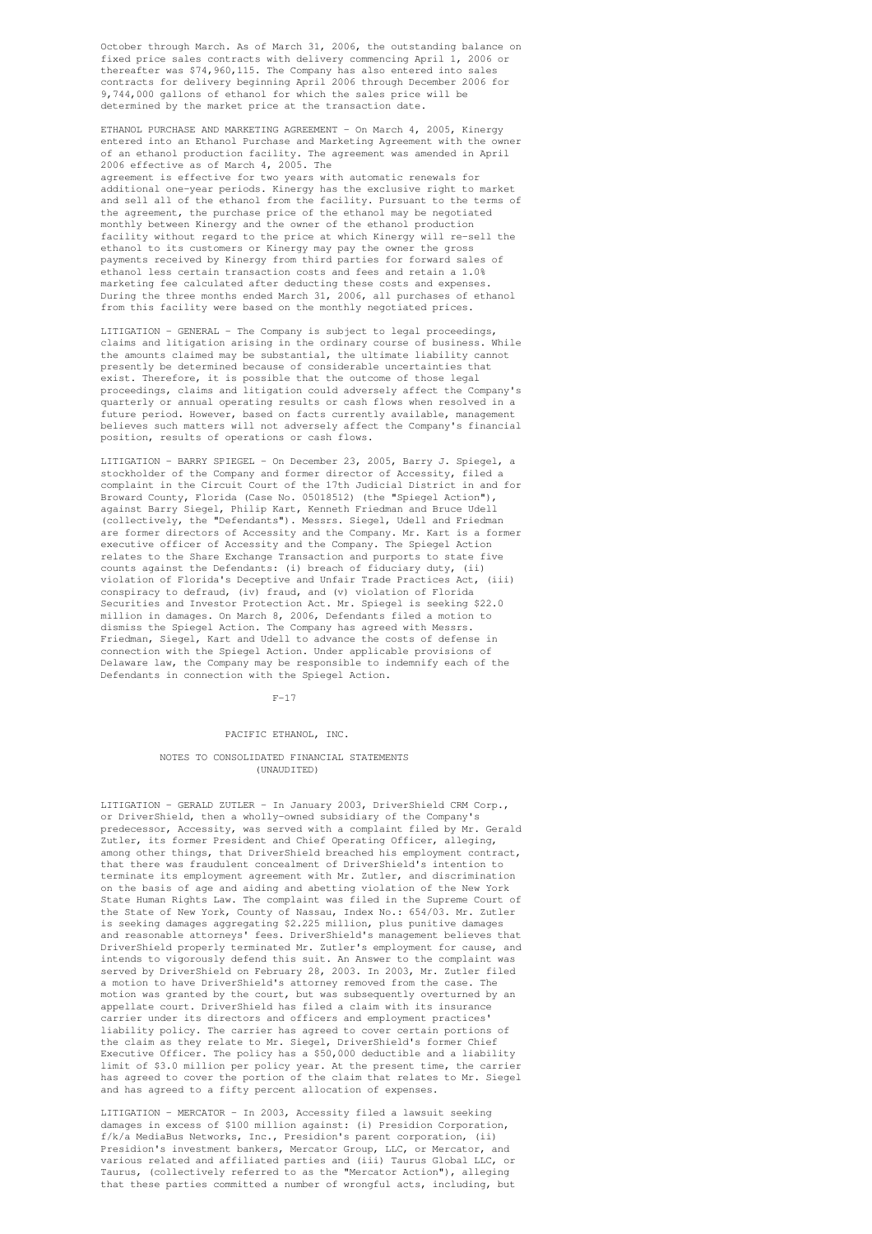October through March. As of March 31, 2006, the outstanding balance on fixed price sales contracts with delivery commencing April 1, 2006 or thereafter was \$74,960,115. The Company has also entered into sales contracts for delivery beginning April 2006 through December 2006 for 9,744,000 gallons of ethanol for which the sales price will be determined by the market price at the transaction date.

ETHANOL PURCHASE AND MARKETING AGREEMENT - On March 4, 2005, Kinergy entered into an Ethanol Purchase and Marketing Agreement with the owner of an ethanol production facility. The agreement was amended in April 2006 effective as of March 4, 2005. The

agreement is effective for two years with automatic renewals for additional one-year periods. Kinergy has the exclusive right to market and sell all of the ethanol from the facility. Pursuant to the terms of the agreement, the purchase price of the ethanol may be negotiated monthly between Kinergy and the owner of the ethanol production facility without regard to the price at which Kinergy will re-sell the ethanol to its customers or Kinergy may pay the owner the gross payments received by Kinergy from third parties for forward sales of ethanol less certain transaction costs and fees and retain a 1.0% marketing fee calculated after deducting these costs and expenses. During the three months ended March 31, 2006, all purchases of ethanol from this facility were based on the monthly negotiated prices.

LITIGATION - GENERAL - The Company is subject to legal proceedings, claims and litigation arising in the ordinary course of business. While the amounts claimed may be substantial, the ultimate liability cannot presently be determined because of considerable uncertainties that exist. Therefore, it is possible that the outcome of those legal proceedings, claims and litigation could adversely affect the Company's quarterly or annual operating results or cash flows when resolved in a future period. However, based on facts currently available, management believes such matters will not adversely affect the Company's financial position, results of operations or cash flows.

LITIGATION - BARRY SPIEGEL - On December 23, 2005, Barry J. Spiegel, a stockholder of the Company and former director of Accessity, filed a complaint in the Circuit Court of the 17th Judicial District in and for Broward County, Florida (Case No. 05018512) (the "Spiegel Action"), against Barry Siegel, Philip Kart, Kenneth Friedman and Bruce Udell (collectively, the "Defendants"). Messrs. Siegel, Udell and Friedman are former directors of Accessity and the Company. Mr. Kart is a former executive officer of Accessity and the Company. The Spiegel Action relates to the Share Exchange Transaction and purports to state five counts against the Defendants: (i) breach of fiduciary duty, (ii) violation of Florida's Deceptive and Unfair Trade Practices Act, (iii) conspiracy to defraud, (iv) fraud, and (v) violation of Florida Securities and Investor Protection Act. Mr. Spiegel is seeking \$22.0 million in damages. On March 8, 2006, Defendants filed a motion to dismiss the Spiegel Action. The Company has agreed with Messrs. Friedman, Siegel, Kart and Udell to advance the costs of defense in connection with the Spiegel Action. Under applicable provisions of Delaware law, the Company may be responsible to indemnify each of the Defendants in connection with the Spiegel Action.

 $F-17$ 

#### PACIFIC ETHANOL, INC.

## NOTES TO CONSOLIDATED FINANCIAL STATEMENTS (UNAUDITED)

LITIGATION - GERALD ZUTLER - In January 2003, DriverShield CRM Corp., or DriverShield, then a wholly-owned subsidiary of the Company's predecessor, Accessity, was served with a complaint filed by Mr. Gerald Zutler, its former President and Chief Operating Officer, alleging, among other things, that DriverShield breached his employment contract, that there was fraudulent concealment of DriverShield's intention to terminate its employment agreement with Mr. Zutler, and discrimination on the basis of age and aiding and abetting violation of the New York State Human Rights Law. The complaint was filed in the Supreme Court of the State of New York, County of Nassau, Index No.: 654/03. Mr. Zutler is seeking damages aggregating \$2.225 million, plus punitive damages and reasonable attorneys' fees. DriverShield's management believes that DriverShield properly terminated Mr. Zutler's employment for cause, and intends to vigorously defend this suit. An Answer to the complaint was served by DriverShield on February 28, 2003. In 2003, Mr. Zutler filed a motion to have DriverShield's attorney removed from the case. The motion was granted by the court, but was subsequently overturned by an appellate court. DriverShield has filed a claim with its insurance carrier under its directors and officers and employment practices' liability policy. The carrier has agreed to cover certain portions of the claim as they relate to Mr. Siegel, DriverShield's former Chief Executive Officer. The policy has a \$50,000 deductible and a liability limit of \$3.0 million per policy year. At the present time, the carrier has agreed to cover the portion of the claim that relates to Mr. Siegel and has agreed to a fifty percent allocation of expenses.

LITIGATION - MERCATOR - In 2003, Accessity filed a lawsuit seeking damages in excess of \$100 million against: (i) Presidion Corporation, f/k/a MediaBus Networks, Inc., Presidion's parent corporation, (ii) Presidion's investment bankers, Mercator Group, LLC, or Mercator, and various related and affiliated parties and (iii) Taurus Global LLC, or Taurus, (collectively referred to as the "Mercator Action"), alleging that these parties committed a number of wrongful acts, including, but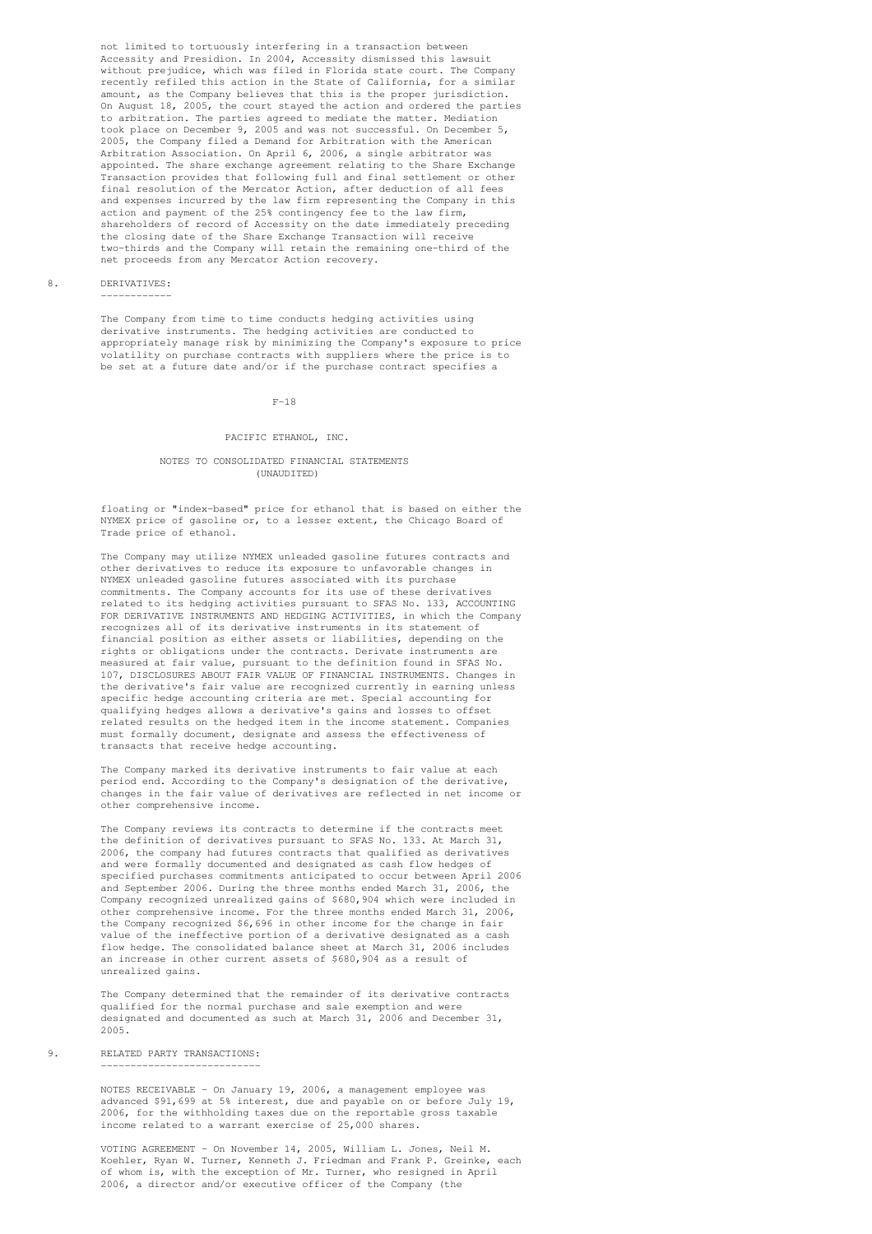not limited to tortuously interfering in a transaction between Accessity and Presidion. In 2004, Accessity dismissed this lawsuit without prejudice, which was filed in Florida state court. The Company recently refiled this action in the State of California, for a similar amount, as the Company believes that this is the proper jurisdiction. On August 18, 2005, the court stayed the action and ordered the parties to arbitration. The parties agreed to mediate the matter. Mediation took place on December 9, 2005 and was not successful. On December 5, 2005, the Company filed a Demand for Arbitration with the American Arbitration Association. On April 6, 2006, a single arbitrator was appointed. The share exchange agreement relating to the Share Exchange Transaction provides that following full and final settlement or other final resolution of the Mercator Action, after deduction of all fees and expenses incurred by the law firm representing the Company in this action and payment of the 25% contingency fee to the law firm, shareholders of record of Accessity on the date immediately preceding the closing date of the Share Exchange Transaction will receive two-thirds and the Company will retain the remaining one-third of the net proceeds from any Mercator Action recovery.

## 8. DERIVATIVES: ------------

The Company from time to time conducts hedging activities using derivative instruments. The hedging activities are conducted to appropriately manage risk by minimizing the Company's exposure to price volatility on purchase contracts with suppliers where the price is to be set at a future date and/or if the purchase contract specifies a

 $F-18$ 

#### PACIFIC ETHANOL, INC.

## NOTES TO CONSOLIDATED FINANCIAL STATEMENTS (UNAUDITED)

floating or "index-based" price for ethanol that is based on either the NYMEX price of gasoline or, to a lesser extent, the Chicago Board of Trade price of ethanol.

The Company may utilize NYMEX unleaded gasoline futures contracts and other derivatives to reduce its exposure to unfavorable changes in NYMEX unleaded gasoline futures associated with its purchase commitments. The Company accounts for its use of these derivatives related to its hedging activities pursuant to SFAS No. 133, ACCOUNTING FOR DERIVATIVE INSTRUMENTS AND HEDGING ACTIVITIES, in which the Company recognizes all of its derivative instruments in its statement of financial position as either assets or liabilities, depending on the rights or obligations under the contracts. Derivate instruments are measured at fair value, pursuant to the definition found in SFAS No. 107, DISCLOSURES ABOUT FAIR VALUE OF FINANCIAL INSTRUMENTS. Changes in the derivative's fair value are recognized currently in earning unless specific hedge accounting criteria are met. Special accounting for qualifying hedges allows a derivative's gains and losses to offset related results on the hedged item in the income statement. Companies must formally document, designate and assess the effectiveness of transacts that receive hedge accounting.

The Company marked its derivative instruments to fair value at each period end. According to the Company's designation of the derivative, changes in the fair value of derivatives are reflected in net income or other comprehensive income.

The Company reviews its contracts to determine if the contracts meet the definition of derivatives pursuant to SFAS No. 133. At March 31, 2006, the company had futures contracts that qualified as derivatives and were formally documented and designated as cash flow hedges of specified purchases commitments anticipated to occur between April 2006 and September 2006. During the three months ended March 31, 2006, the Company recognized unrealized gains of \$680,904 which were included in other comprehensive income. For the three months ended March 31, 2006, the Company recognized \$6,696 in other income for the change in fair value of the ineffective portion of a derivative designated as a cash flow hedge. The consolidated balance sheet at March 31, 2006 includes an increase in other current assets of \$680,904 as a result of unrealized gains.

The Company determined that the remainder of its derivative contracts qualified for the normal purchase and sale exemption and were designated and documented as such at March 31, 2006 and December 31, 2005.

## 9. RELATED PARTY TRANSACTIONS:

---------------------------

NOTES RECEIVABLE - On January 19, 2006, a management employee was advanced \$91,699 at 5% interest, due and payable on or before July 19, 2006, for the withholding taxes due on the reportable gross taxable income related to a warrant exercise of 25,000 shares.

VOTING AGREEMENT - On November 14, 2005, William L. Jones, Neil M. Koehler, Ryan W. Turner, Kenneth J. Friedman and Frank P. Greinke, each of whom is, with the exception of Mr. Turner, who resigned in April 2006, a director and/or executive officer of the Company (the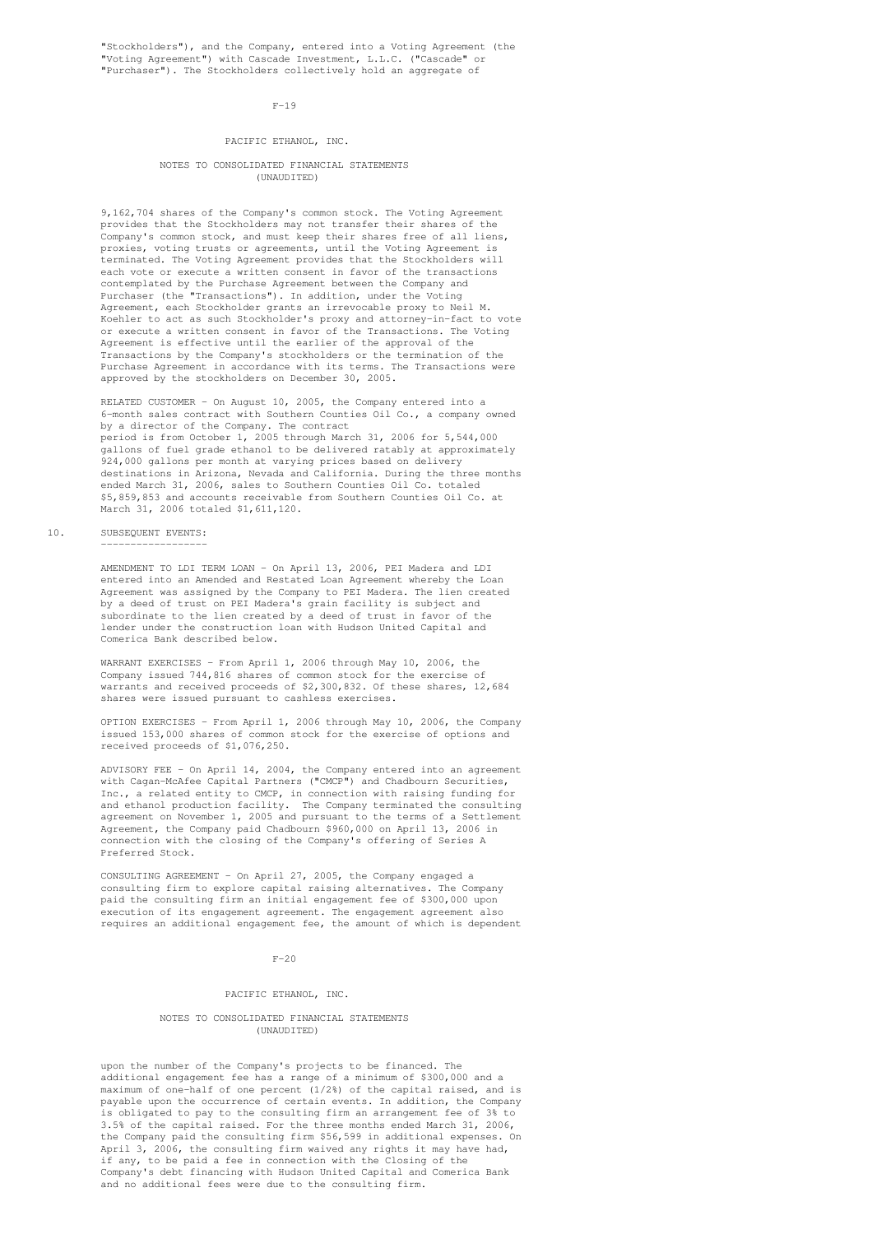## $F-19$

#### PACIFIC ETHANOL, INC.

#### NOTES TO CONSOLIDATED FINANCIAL STATEMENTS (UNAUDITED)

9,162,704 shares of the Company's common stock. The Voting Agreement provides that the Stockholders may not transfer their shares of the Company's common stock, and must keep their shares free of all liens, proxies, voting trusts or agreements, until the Voting Agreement is terminated. The Voting Agreement provides that the Stockholders will each vote or execute a written consent in favor of the transactions contemplated by the Purchase Agreement between the Company and Purchaser (the "Transactions"). In addition, under the Voting Agreement, each Stockholder grants an irrevocable proxy to Neil M. Koehler to act as such Stockholder's proxy and attorney-in-fact to vote or execute a written consent in favor of the Transactions. The Voting Agreement is effective until the earlier of the approval of the Transactions by the Company's stockholders or the termination of the Purchase Agreement in accordance with its terms. The Transactions were approved by the stockholders on December 30, 2005.

RELATED CUSTOMER - On August 10, 2005, the Company entered into a 6-month sales contract with Southern Counties Oil Co., a company owned by a director of the Company. The contract period is from October 1, 2005 through March 31, 2006 for 5,544,000 gallons of fuel grade ethanol to be delivered ratably at approximately 924,000 gallons per month at varying prices based on delivery destinations in Arizona, Nevada and California. During the three months ended March 31, 2006, sales to Southern Counties Oil Co. totaled \$5,859,853 and accounts receivable from Southern Counties Oil Co. at March 31, 2006 totaled \$1,611,120.

#### 10. SUBSEQUENT EVENTS:

------------------

AMENDMENT TO LDI TERM LOAN - On April 13, 2006, PEI Madera and LDI entered into an Amended and Restated Loan Agreement whereby the Loan Agreement was assigned by the Company to PEI Madera. The lien created by a deed of trust on PEI Madera's grain facility is subject and subordinate to the lien created by a deed of trust in favor of the lender under the construction loan with Hudson United Capital and Comerica Bank described below.

WARRANT EXERCISES - From April 1, 2006 through May 10, 2006, the Company issued 744,816 shares of common stock for the exercise of warrants and received proceeds of \$2,300,832. Of these shares, 12,684 shares were issued pursuant to cashless exercises.

OPTION EXERCISES - From April 1, 2006 through May 10, 2006, the Company issued 153,000 shares of common stock for the exercise of options and received proceeds of \$1,076,250.

ADVISORY FEE - On April 14, 2004, the Company entered into an agreement with Cagan-McAfee Capital Partners ("CMCP") and Chadbourn Securities, Inc., a related entity to CMCP, in connection with raising funding for and ethanol production facility. The Company terminated the consulting agreement on November 1, 2005 and pursuant to the terms of a Settlement Agreement, the Company paid Chadbourn \$960,000 on April 13, 2006 in connection with the closing of the Company's offering of Series A Preferred Stock.

CONSULTING AGREEMENT - On April 27, 2005, the Company engaged a consulting firm to explore capital raising alternatives. The Company paid the consulting firm an initial engagement fee of \$300,000 upon execution of its engagement agreement. The engagement agreement also requires an additional engagement fee, the amount of which is dependent

## $F-20$

#### PACIFIC ETHANOL, INC.

#### NOTES TO CONSOLIDATED FINANCIAL STATEMENTS (UNAUDITED)

upon the number of the Company's projects to be financed. The additional engagement fee has a range of a minimum of \$300,000 and a maximum of one-half of one percent (1/2%) of the capital raised, and is payable upon the occurrence of certain events. In addition, the Company is obligated to pay to the consulting firm an arrangement fee of 3% to 3.5% of the capital raised. For the three months ended March 31, 2006, the Company paid the consulting firm \$56,599 in additional expenses. On April 3, 2006, the consulting firm waived any rights it may have had, if any, to be paid a fee in connection with the Closing of the Company's debt financing with Hudson United Capital and Comerica Bank and no additional fees were due to the consulting firm.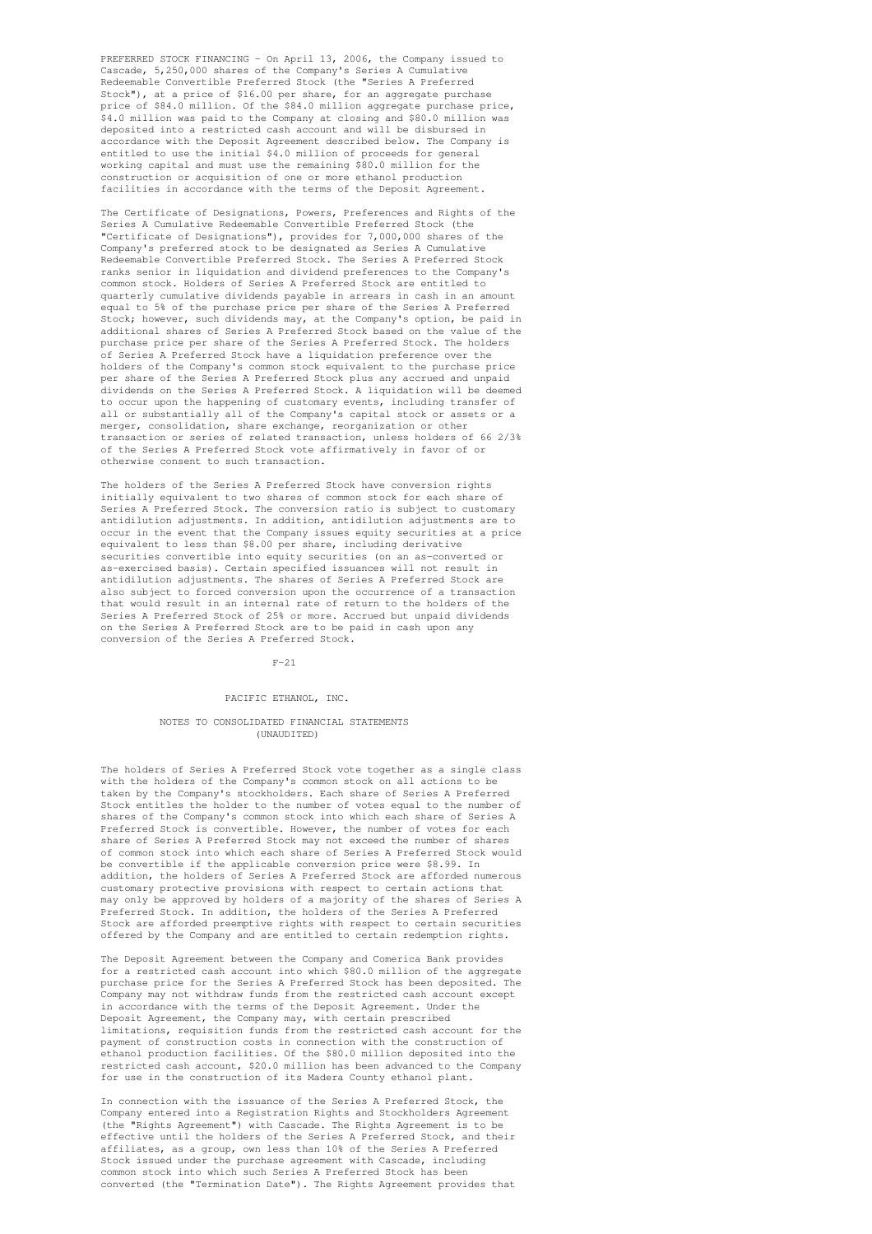PREFERRED STOCK FINANCING - On April 13, 2006, the Company issued to Cascade, 5,250,000 shares of the Company's Series A Cumulative Redeemable Convertible Preferred Stock (the "Series A Preferred Stock"), at a price of \$16.00 per share, for an aggregate purchase price of \$84.0 million. Of the \$84.0 million aggregate purchase price, \$4.0 million was paid to the Company at closing and \$80.0 million was deposited into a restricted cash account and will be disbursed in accordance with the Deposit Agreement described below. The Company is entitled to use the initial \$4.0 million of proceeds for general working capital and must use the remaining \$80.0 million for the construction or acquisition of one or more ethanol production facilities in accordance with the terms of the Deposit Agreement.

The Certificate of Designations, Powers, Preferences and Rights of the Series A Cumulative Redeemable Convertible Preferred Stock (the "Certificate of Designations"), provides for 7,000,000 shares of the Company's preferred stock to be designated as Series A Cumulative Redeemable Convertible Preferred Stock. The Series A Preferred Stock ranks senior in liquidation and dividend preferences to the Company's common stock. Holders of Series A Preferred Stock are entitled to quarterly cumulative dividends payable in arrears in cash in an amount equal to 5% of the purchase price per share of the Series A Preferred Stock; however, such dividends may, at the Company's option, be paid in additional shares of Series A Preferred Stock based on the value of the purchase price per share of the Series A Preferred Stock. The holders of Series A Preferred Stock have a liquidation preference over the holders of the Company's common stock equivalent to the purchase price per share of the Series A Preferred Stock plus any accrued and unpaid dividends on the Series A Preferred Stock. A liquidation will be deemed to occur upon the happening of customary events, including transfer of all or substantially all of the Company's capital stock or assets or a merger, consolidation, share exchange, reorganization or other transaction or series of related transaction, unless holders of 66 2/3% of the Series A Preferred Stock vote affirmatively in favor of or otherwise consent to such transaction.

The holders of the Series A Preferred Stock have conversion rights initially equivalent to two shares of common stock for each share of Series A Preferred Stock. The conversion ratio is subject to customary antidilution adjustments. In addition, antidilution adjustments are to occur in the event that the Company issues equity securities at a price equivalent to less than \$8.00 per share, including derivative securities convertible into equity securities (on an as-converted or as-exercised basis). Certain specified issuances will not result in antidilution adjustments. The shares of Series A Preferred Stock are also subject to forced conversion upon the occurrence of a transaction that would result in an internal rate of return to the holders of the Series A Preferred Stock of 25% or more. Accrued but unpaid dividends on the Series A Preferred Stock are to be paid in cash upon any conversion of the Series A Preferred Stock.

## $F-21$

## PACIFIC ETHANOL, INC.

#### NOTES TO CONSOLIDATED FINANCIAL STATEMENTS (UNAUDITED)

The holders of Series A Preferred Stock vote together as a single class with the holders of the Company's common stock on all actions to be taken by the Company's stockholders. Each share of Series A Preferred Stock entitles the holder to the number of votes equal to the number of shares of the Company's common stock into which each share of Series A Preferred Stock is convertible. However, the number of votes for each share of Series A Preferred Stock may not exceed the number of shares of common stock into which each share of Series A Preferred Stock would be convertible if the applicable conversion price were \$8.99. In addition, the holders of Series A Preferred Stock are afforded numerous customary protective provisions with respect to certain actions that may only be approved by holders of a majority of the shares of Series A Preferred Stock. In addition, the holders of the Series A Preferred Stock are afforded preemptive rights with respect to certain securities offered by the Company and are entitled to certain redemption rights.

The Deposit Agreement between the Company and Comerica Bank provides for a restricted cash account into which \$80.0 million of the aggregate purchase price for the Series A Preferred Stock has been deposited. The Company may not withdraw funds from the restricted cash account except in accordance with the terms of the Deposit Agreement. Under the Deposit Agreement, the Company may, with certain prescribed limitations, requisition funds from the restricted cash account for the payment of construction costs in connection with the construction of ethanol production facilities. Of the \$80.0 million deposited into the restricted cash account, \$20.0 million has been advanced to the Company for use in the construction of its Madera County ethanol plant.

In connection with the issuance of the Series A Preferred Stock, the Company entered into a Registration Rights and Stockholders Agreement (the "Rights Agreement") with Cascade. The Rights Agreement is to be effective until the holders of the Series A Preferred Stock, and their affiliates, as a group, own less than 10% of the Series A Preferred Stock issued under the purchase agreement with Cascade, including common stock into which such Series A Preferred Stock has been converted (the "Termination Date"). The Rights Agreement provides that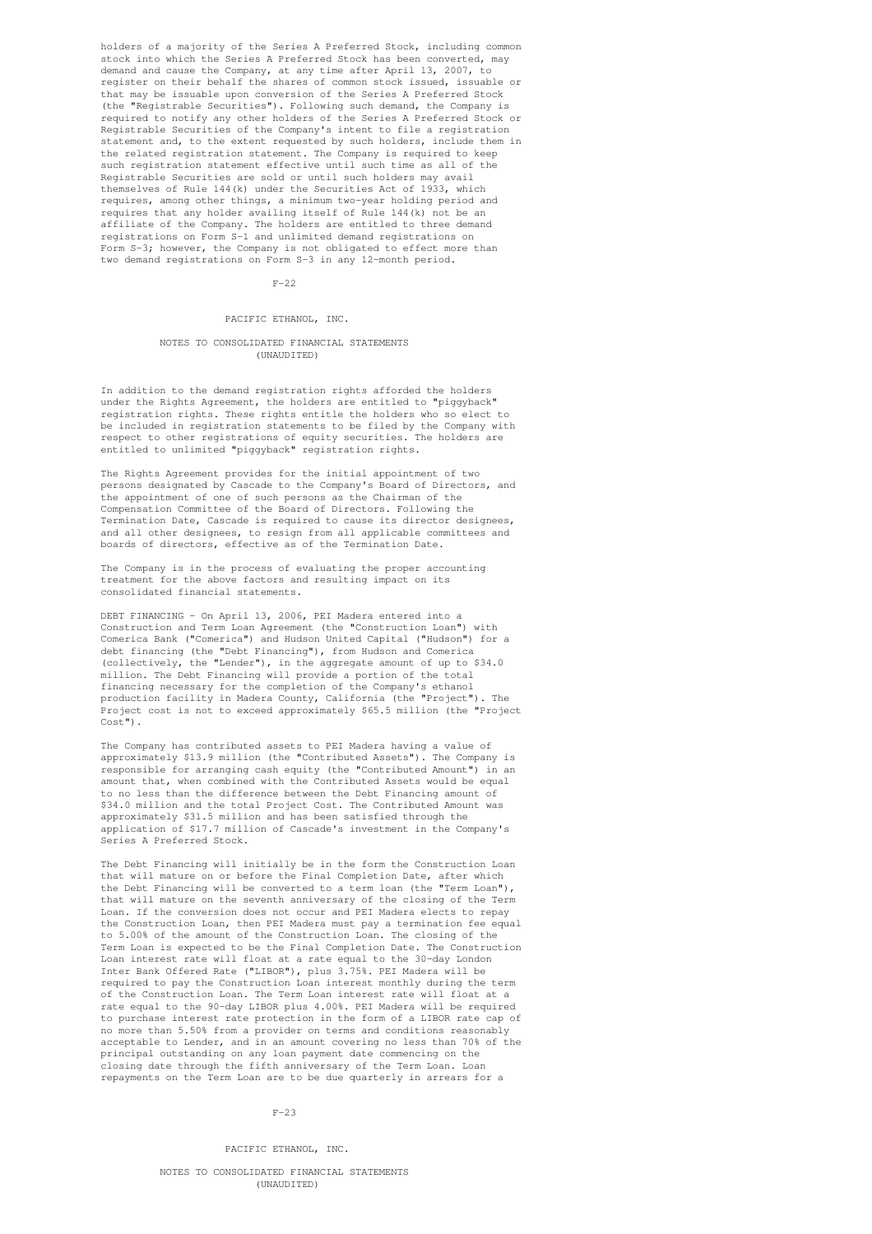holders of a majority of the Series A Preferred Stock, including common stock into which the Series A Preferred Stock has been converted, may demand and cause the Company, at any time after April 13, 2007, to register on their behalf the shares of common stock issued, issuable or that may be issuable upon conversion of the Series A Preferred Stock (the "Registrable Securities"). Following such demand, the Company is required to notify any other holders of the Series A Preferred Stock or Registrable Securities of the Company's intent to file a registration statement and, to the extent requested by such holders, include them in the related registration statement. The Company is required to keep such registration statement effective until such time as all of the Registrable Securities are sold or until such holders may avail themselves of Rule 144(k) under the Securities Act of 1933, which requires, among other things, a minimum two-year holding period and requires that any holder availing itself of Rule 144(k) not be an affiliate of the Company. The holders are entitled to three demand registrations on Form S-1 and unlimited demand registrations on Form S-3; however, the Company is not obligated to effect more than two demand registrations on Form S-3 in any 12-month period.

#### $F-22$

## PACIFIC ETHANOL, INC.

## NOTES TO CONSOLIDATED FINANCIAL STATEMENTS (UNAUDITED)

In addition to the demand registration rights afforded the holders under the Rights Agreement, the holders are entitled to "piggyback" registration rights. These rights entitle the holders who so elect to be included in registration statements to be filed by the Company with respect to other registrations of equity securities. The holders are entitled to unlimited "piggyback" registration rights.

The Rights Agreement provides for the initial appointment of two persons designated by Cascade to the Company's Board of Directors, and the appointment of one of such persons as the Chairman of the Compensation Committee of the Board of Directors. Following the Termination Date, Cascade is required to cause its director designees, and all other designees, to resign from all applicable committees and boards of directors, effective as of the Termination Date.

The Company is in the process of evaluating the proper accounting treatment for the above factors and resulting impact on its consolidated financial statements.

DEBT FINANCING - On April 13, 2006, PEI Madera entered into a Construction and Term Loan Agreement (the "Construction Loan") with Comerica Bank ("Comerica") and Hudson United Capital ("Hudson") for a debt financing (the "Debt Financing"), from Hudson and Comerica (collectively, the "Lender"), in the aggregate amount of up to \$34.0 million. The Debt Financing will provide a portion of the total financing necessary for the completion of the Company's ethanol production facility in Madera County, California (the "Project"). The Project cost is not to exceed approximately \$65.5 million (the "Project Cost").

The Company has contributed assets to PEI Madera having a value of approximately \$13.9 million (the "Contributed Assets"). The Company is responsible for arranging cash equity (the "Contributed Amount") in an amount that, when combined with the Contributed Assets would be equal to no less than the difference between the Debt Financing amount of \$34.0 million and the total Project Cost. The Contributed Amount was approximately \$31.5 million and has been satisfied through the application of \$17.7 million of Cascade's investment in the Company's Series A Preferred Stock.

The Debt Financing will initially be in the form the Construction Loan that will mature on or before the Final Completion Date, after which the Debt Financing will be converted to a term loan (the "Term Loan"), that will mature on the seventh anniversary of the closing of the Term Loan. If the conversion does not occur and PEI Madera elects to repay the Construction Loan, then PEI Madera must pay a termination fee equal to 5.00% of the amount of the Construction Loan. The closing of the Term Loan is expected to be the Final Completion Date. The Construction Loan interest rate will float at a rate equal to the 30-day London Inter Bank Offered Rate ("LIBOR"), plus 3.75%. PEI Madera will be required to pay the Construction Loan interest monthly during the term of the Construction Loan. The Term Loan interest rate will float at a rate equal to the 90-day LIBOR plus 4.00%. PEI Madera will be required to purchase interest rate protection in the form of a LIBOR rate cap of no more than 5.50% from a provider on terms and conditions reasonably acceptable to Lender, and in an amount covering no less than 70% of the principal outstanding on any loan payment date commencing on the closing date through the fifth anniversary of the Term Loan. Loan repayments on the Term Loan are to be due quarterly in arrears for a

#### $F-23$

## PACIFIC ETHANOL, INC.

NOTES TO CONSOLIDATED FINANCIAL STATEMENTS (UNAUDITED)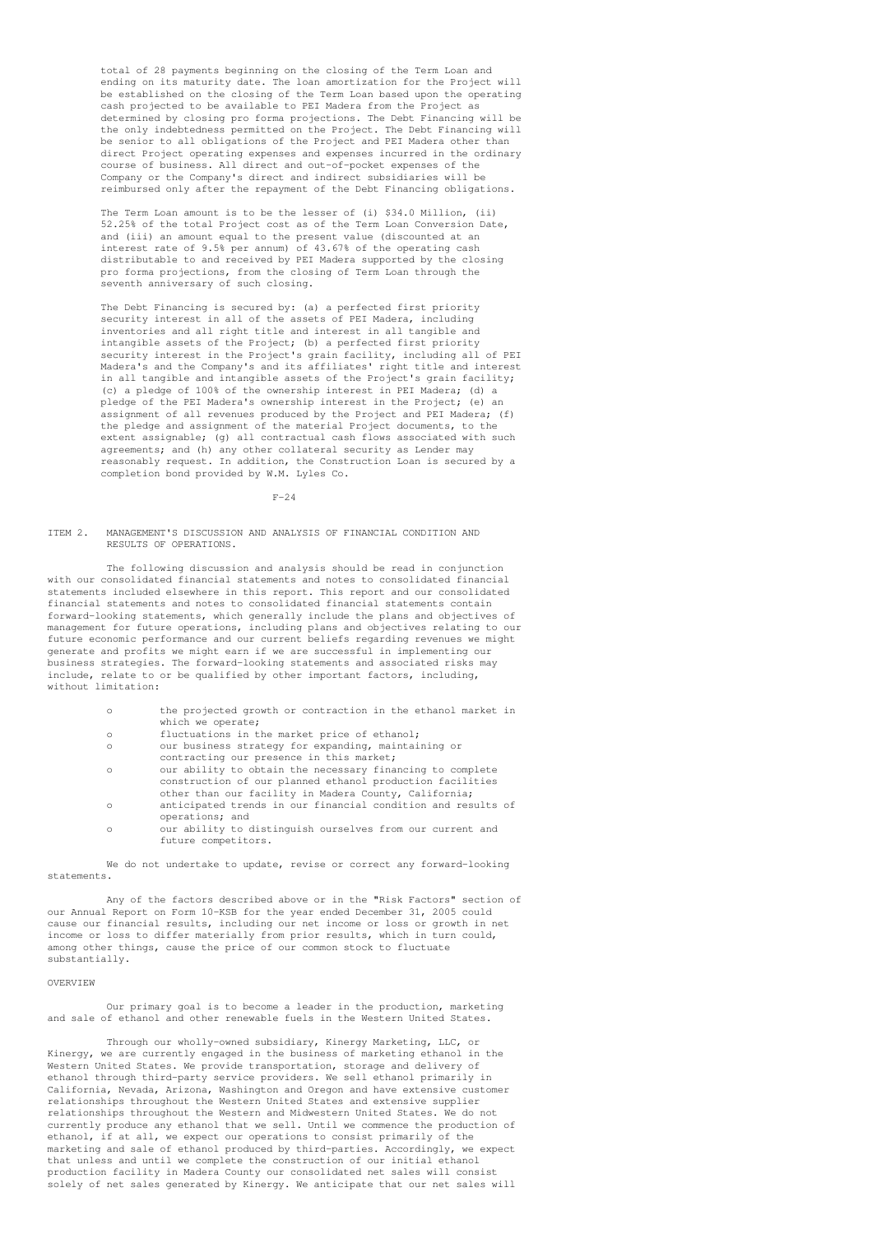total of 28 payments beginning on the closing of the Term Loan and ending on its maturity date. The loan amortization for the Project will be established on the closing of the Term Loan based upon the operating cash projected to be available to PEI Madera from the Project as determined by closing pro forma projections. The Debt Financing will be the only indebtedness permitted on the Project. The Debt Financing will be senior to all obligations of the Project and PEI Madera other than direct Project operating expenses and expenses incurred in the ordinary course of business. All direct and out-of-pocket expenses of the Company or the Company's direct and indirect subsidiaries will be reimbursed only after the repayment of the Debt Financing obligations.

The Term Loan amount is to be the lesser of (i) \$34.0 Million, (ii) 52.25% of the total Project cost as of the Term Loan Conversion Date, and (iii) an amount equal to the present value (discounted at an interest rate of 9.5% per annum) of 43.67% of the operating cash distributable to and received by PEI Madera supported by the closing pro forma projections, from the closing of Term Loan through the seventh anniversary of such closing.

The Debt Financing is secured by: (a) a perfected first priority security interest in all of the assets of PEI Madera, including inventories and all right title and interest in all tangible and intangible assets of the Project; (b) a perfected first priority security interest in the Project's grain facility, including all of PEI Madera's and the Company's and its affiliates' right title and interest in all tangible and intangible assets of the Project's grain facility; (c) a pledge of 100% of the ownership interest in PEI Madera; (d) a pledge of the PEI Madera's ownership interest in the Project; (e) an assignment of all revenues produced by the Project and PEI Madera; (f) the pledge and assignment of the material Project documents, to the extent assignable; (g) all contractual cash flows associated with such agreements; and (h) any other collateral security as Lender may reasonably request. In addition, the Construction Loan is secured by a completion bond provided by W.M. Lyles Co.

 $F-24$ 

#### ITEM 2. MANAGEMENT'S DISCUSSION AND ANALYSIS OF FINANCIAL CONDITION AND RESULTS OF OPERATIONS.

The following discussion and analysis should be read in conjunction with our consolidated financial statements and notes to consolidated financial statements included elsewhere in this report. This report and our consolidated financial statements and notes to consolidated financial statements contain forward-looking statements, which generally include the plans and objectives of management for future operations, including plans and objectives relating to our future economic performance and our current beliefs regarding revenues we might generate and profits we might earn if we are successful in implementing our business strategies. The forward-looking statements and associated risks may include, relate to or be qualified by other important factors, including, without limitation:

- o the projected growth or contraction in the ethanol market in which we operate;
- o fluctuations in the market price of ethanol;
- o our business strategy for expanding, maintaining or
- contracting our presence in this market;
- o our ability to obtain the necessary financing to complete construction of our planned ethanol production facilities other than our facility in Madera County, California;
- o anticipated trends in our financial condition and results of operations; and
- o our ability to distinguish ourselves from our current and future competitors.

We do not undertake to update, revise or correct any forward-looking statements.

Any of the factors described above or in the "Risk Factors" section of our Annual Report on Form 10-KSB for the year ended December 31, 2005 could cause our financial results, including our net income or loss or growth in net income or loss to differ materially from prior results, which in turn could, among other things, cause the price of our common stock to fluctuate substantially.

#### OVERVIEW

Our primary goal is to become a leader in the production, marketing and sale of ethanol and other renewable fuels in the Western United States.

Through our wholly-owned subsidiary, Kinergy Marketing, LLC, or Kinergy, we are currently engaged in the business of marketing ethanol in the Western United States. We provide transportation, storage and delivery of ethanol through third-party service providers. We sell ethanol primarily in California, Nevada, Arizona, Washington and Oregon and have extensive customer relationships throughout the Western United States and extensive supplier relationships throughout the Western and Midwestern United States. We do not currently produce any ethanol that we sell. Until we commence the production of ethanol, if at all, we expect our operations to consist primarily of the marketing and sale of ethanol produced by third-parties. Accordingly, we expect that unless and until we complete the construction of our initial ethanol production facility in Madera County our consolidated net sales will consist solely of net sales generated by Kinergy. We anticipate that our net sales will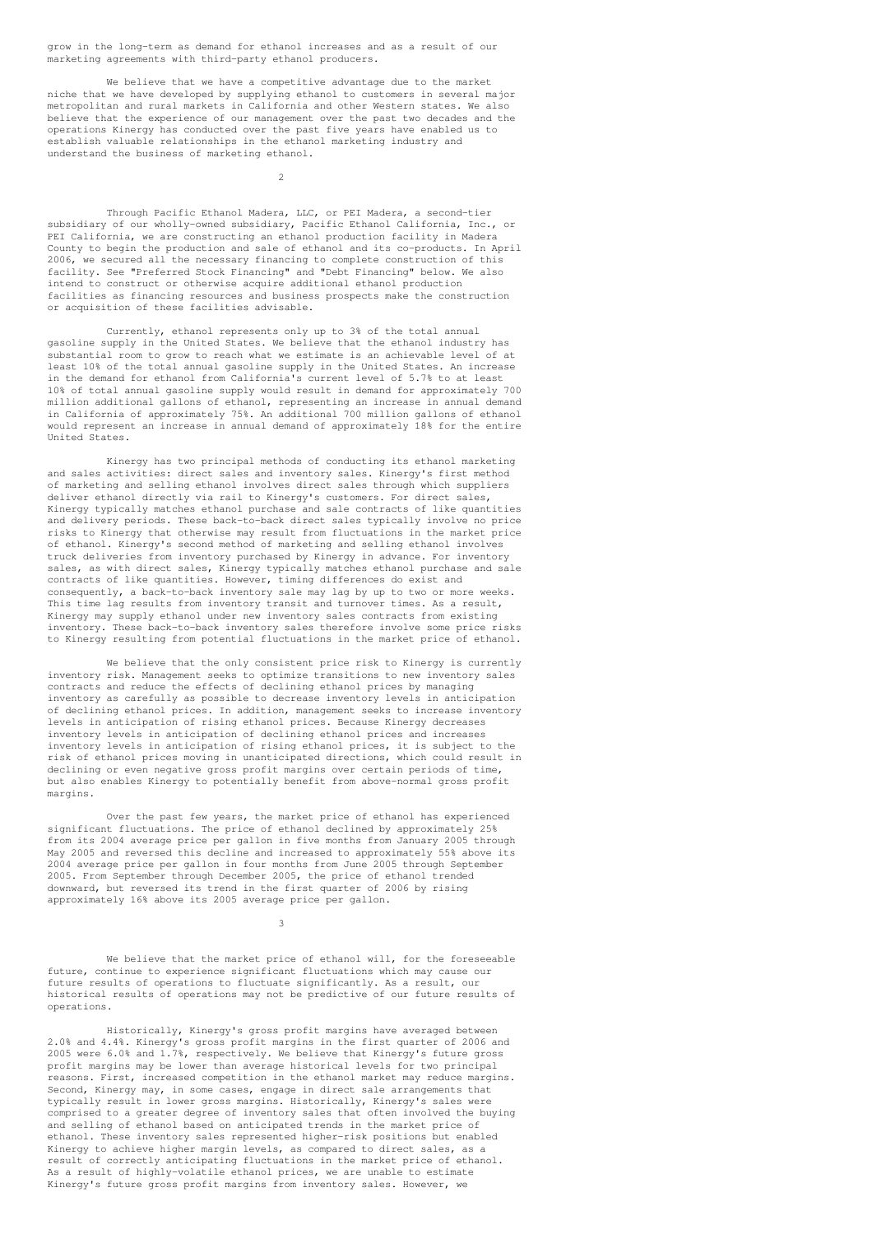grow in the long-term as demand for ethanol increases and as a result of our marketing agreements with third-party ethanol producers.

We believe that we have a competitive advantage due to the market niche that we have developed by supplying ethanol to customers in several major metropolitan and rural markets in California and other Western states. We also believe that the experience of our management over the past two decades and the operations Kinergy has conducted over the past five years have enabled us to establish valuable relationships in the ethanol marketing industry and understand the business of marketing ethanol.

2

Through Pacific Ethanol Madera, LLC, or PEI Madera, a second-tier subsidiary of our wholly-owned subsidiary, Pacific Ethanol California, Inc., or PEI California, we are constructing an ethanol production facility in Madera County to begin the production and sale of ethanol and its co-products. In April 2006, we secured all the necessary financing to complete construction of this facility. See "Preferred Stock Financing" and "Debt Financing" below. We also intend to construct or otherwise acquire additional ethanol production facilities as financing resources and business prospects make the construction or acquisition of these facilities advisable.

Currently, ethanol represents only up to 3% of the total annual gasoline supply in the United States. We believe that the ethanol industry has substantial room to grow to reach what we estimate is an achievable level of at least 10% of the total annual gasoline supply in the United States. An increase in the demand for ethanol from California's current level of 5.7% to at least 10% of total annual gasoline supply would result in demand for approximately 700 million additional gallons of ethanol, representing an increase in annual demand in California of approximately 75%. An additional 700 million gallons of ethanol would represent an increase in annual demand of approximately 18% for the entire United States.

Kinergy has two principal methods of conducting its ethanol marketing and sales activities: direct sales and inventory sales. Kinergy's first method of marketing and selling ethanol involves direct sales through which suppliers deliver ethanol directly via rail to Kinergy's customers. For direct sales, Kinergy typically matches ethanol purchase and sale contracts of like quantities and delivery periods. These back-to-back direct sales typically involve no price risks to Kinergy that otherwise may result from fluctuations in the market price of ethanol. Kinergy's second method of marketing and selling ethanol involves truck deliveries from inventory purchased by Kinergy in advance. For inventory sales, as with direct sales, Kinergy typically matches ethanol purchase and sale contracts of like quantities. However, timing differences do exist and consequently, a back-to-back inventory sale may lag by up to two or more weeks. This time lag results from inventory transit and turnover times. As a result, Kinergy may supply ethanol under new inventory sales contracts from existing inventory. These back-to-back inventory sales therefore involve some price risks to Kinergy resulting from potential fluctuations in the market price of ethanol.

We believe that the only consistent price risk to Kinergy is currently inventory risk. Management seeks to optimize transitions to new inventory sales contracts and reduce the effects of declining ethanol prices by managing inventory as carefully as possible to decrease inventory levels in anticipation of declining ethanol prices. In addition, management seeks to increase inventory levels in anticipation of rising ethanol prices. Because Kinergy decreases inventory levels in anticipation of declining ethanol prices and increases inventory levels in anticipation of rising ethanol prices, it is subject to the risk of ethanol prices moving in unanticipated directions, which could result in declining or even negative gross profit margins over certain periods of time, but also enables Kinergy to potentially benefit from above-normal gross profit margins.

Over the past few years, the market price of ethanol has experienced significant fluctuations. The price of ethanol declined by approximately 25% from its 2004 average price per gallon in five months from January 2005 through May 2005 and reversed this decline and increased to approximately 55% above its 2004 average price per gallon in four months from June 2005 through September 2005. From September through December 2005, the price of ethanol trended downward, but reversed its trend in the first quarter of 2006 by rising approximately 16% above its 2005 average price per gallon.

 $\overline{3}$ 

We believe that the market price of ethanol will, for the foreseeable future, continue to experience significant fluctuations which may cause our future results of operations to fluctuate significantly. As a result, our historical results of operations may not be predictive of our future results of operations.

Historically, Kinergy's gross profit margins have averaged between 2.0% and 4.4%. Kinergy's gross profit margins in the first quarter of 2006 and 2005 were 6.0% and 1.7%, respectively. We believe that Kinergy's future gross profit margins may be lower than average historical levels for two principal reasons. First, increased competition in the ethanol market may reduce margins. Second, Kinergy may, in some cases, engage in direct sale arrangements that typically result in lower gross margins. Historically, Kinergy's sales were comprised to a greater degree of inventory sales that often involved the buying and selling of ethanol based on anticipated trends in the market price of ethanol. These inventory sales represented higher-risk positions but enabled Kinergy to achieve higher margin levels, as compared to direct sales, as a result of correctly anticipating fluctuations in the market price of ethanol. As a result of highly-volatile ethanol prices, we are unable to estimate Kinergy's future gross profit margins from inventory sales. However, we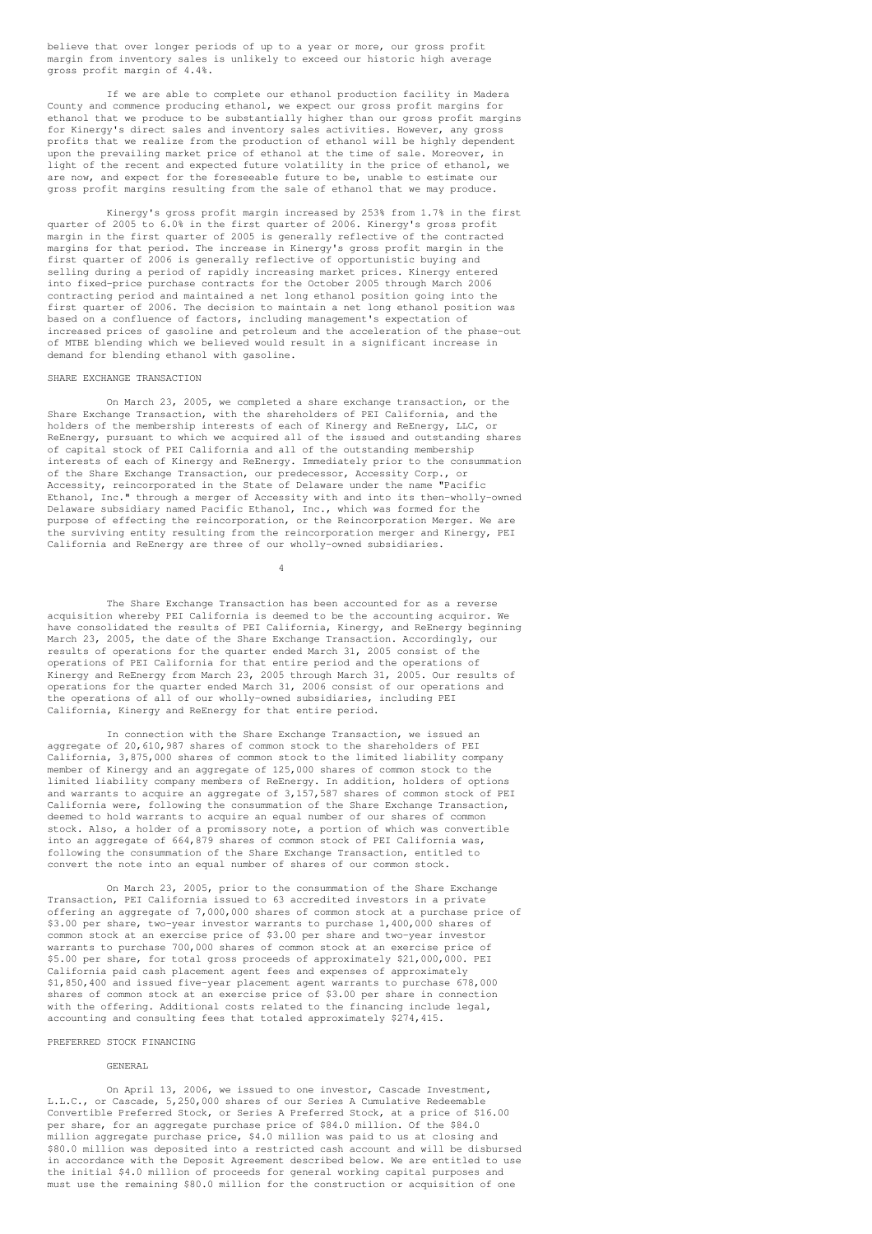believe that over longer periods of up to a year or more, our gross profit margin from inventory sales is unlikely to exceed our historic high average gross profit margin of 4.4%.

If we are able to complete our ethanol production facility in Madera County and commence producing ethanol, we expect our gross profit margins for ethanol that we produce to be substantially higher than our gross profit margins for Kinergy's direct sales and inventory sales activities. However, any gross profits that we realize from the production of ethanol will be highly dependent upon the prevailing market price of ethanol at the time of sale. Moreover, in light of the recent and expected future volatility in the price of ethanol, we are now, and expect for the foreseeable future to be, unable to estimate our gross profit margins resulting from the sale of ethanol that we may produce.

Kinergy's gross profit margin increased by 253% from 1.7% in the first quarter of 2005 to 6.0% in the first quarter of 2006. Kinergy's gross profit margin in the first quarter of 2005 is generally reflective of the contracted margins for that period. The increase in Kinergy's gross profit margin in the first quarter of 2006 is generally reflective of opportunistic buying and selling during a period of rapidly increasing market prices. Kinergy entered into fixed-price purchase contracts for the October 2005 through March 2006 contracting period and maintained a net long ethanol position going into the first quarter of 2006. The decision to maintain a net long ethanol position was based on a confluence of factors, including management's expectation of increased prices of gasoline and petroleum and the acceleration of the phase-out of MTBE blending which we believed would result in a significant increase in demand for blending ethanol with gasoline.

#### SHARE EXCHANGE TRANSACTION

On March 23, 2005, we completed a share exchange transaction, or the Share Exchange Transaction, with the shareholders of PEI California, and the holders of the membership interests of each of Kinergy and ReEnergy, LLC, or ReEnergy, pursuant to which we acquired all of the issued and outstanding shares of capital stock of PEI California and all of the outstanding membership interests of each of Kinergy and ReEnergy. Immediately prior to the consummation of the Share Exchange Transaction, our predecessor, Accessity Corp., or Accessity, reincorporated in the State of Delaware under the name "Pacific Ethanol, Inc." through a merger of Accessity with and into its then-wholly-owned Delaware subsidiary named Pacific Ethanol, Inc., which was formed for the purpose of effecting the reincorporation, or the Reincorporation Merger. We are the surviving entity resulting from the reincorporation merger and Kinergy, PEI California and ReEnergy are three of our wholly-owned subsidiaries.

4

The Share Exchange Transaction has been accounted for as a reverse acquisition whereby PEI California is deemed to be the accounting acquiror. We have consolidated the results of PEI California, Kinergy, and ReEnergy beginning March 23, 2005, the date of the Share Exchange Transaction. Accordingly, our results of operations for the quarter ended March 31, 2005 consist of the operations of PEI California for that entire period and the operations of Kinergy and ReEnergy from March 23, 2005 through March 31, 2005. Our results of operations for the quarter ended March 31, 2006 consist of our operations and the operations of all of our wholly-owned subsidiaries, including PEI California, Kinergy and ReEnergy for that entire period.

In connection with the Share Exchange Transaction, we issued an aggregate of 20,610,987 shares of common stock to the shareholders of PEI California, 3,875,000 shares of common stock to the limited liability company member of Kinergy and an aggregate of 125,000 shares of common stock to the limited liability company members of ReEnergy. In addition, holders of options and warrants to acquire an aggregate of 3,157,587 shares of common stock of PEI California were, following the consummation of the Share Exchange Transaction, deemed to hold warrants to acquire an equal number of our shares of common stock. Also, a holder of a promissory note, a portion of which was convertible into an aggregate of 664,879 shares of common stock of PEI California was, following the consummation of the Share Exchange Transaction, entitled to convert the note into an equal number of shares of our common stock.

On March 23, 2005, prior to the consummation of the Share Exchange Transaction, PEI California issued to 63 accredited investors in a private offering an aggregate of 7,000,000 shares of common stock at a purchase price of \$3.00 per share, two-year investor warrants to purchase 1,400,000 shares of common stock at an exercise price of \$3.00 per share and two-year investor warrants to purchase 700,000 shares of common stock at an exercise price of \$5.00 per share, for total gross proceeds of approximately \$21,000,000. PEI California paid cash placement agent fees and expenses of approximately \$1,850,400 and issued five-year placement agent warrants to purchase 678,000 shares of common stock at an exercise price of \$3.00 per share in connection with the offering. Additional costs related to the financing include legal, accounting and consulting fees that totaled approximately \$274,415.

## PREFERRED STOCK FINANCING

## GENERAL

On April 13, 2006, we issued to one investor, Cascade Investment, L.L.C., or Cascade, 5,250,000 shares of our Series A Cumulative Redeemable Convertible Preferred Stock, or Series A Preferred Stock, at a price of \$16.00 per share, for an aggregate purchase price of \$84.0 million. Of the \$84.0 million aggregate purchase price, \$4.0 million was paid to us at closing and \$80.0 million was deposited into a restricted cash account and will be disbursed in accordance with the Deposit Agreement described below. We are entitled to use the initial \$4.0 million of proceeds for general working capital purposes and must use the remaining \$80.0 million for the construction or acquisition of one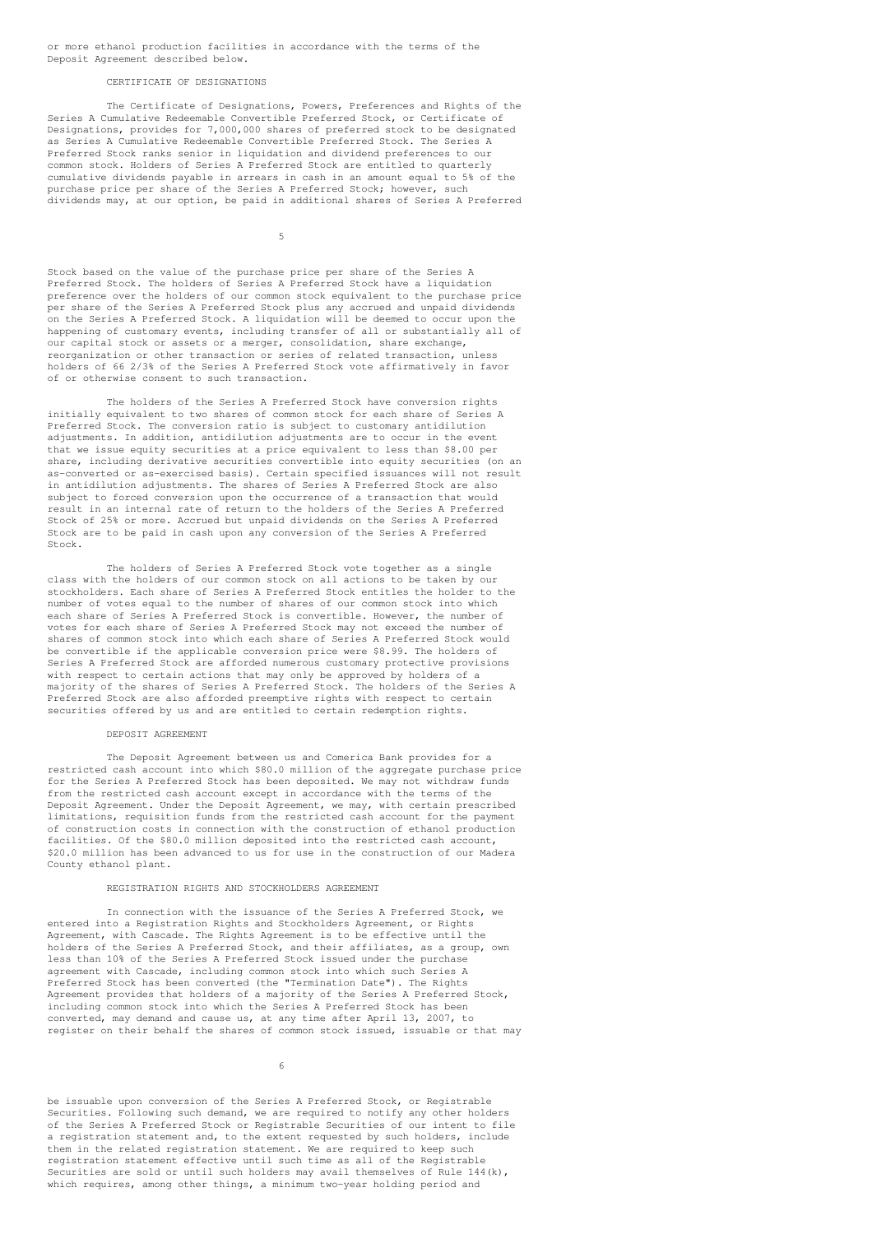or more ethanol production facilities in accordance with the terms of the Deposit Agreement described below.

#### CERTIFICATE OF DESIGNATIONS

The Certificate of Designations, Powers, Preferences and Rights of the Series A Cumulative Redeemable Convertible Preferred Stock, or Certificate of Designations, provides for 7,000,000 shares of preferred stock to be designated as Series A Cumulative Redeemable Convertible Preferred Stock. The Series A Preferred Stock ranks senior in liquidation and dividend preferences to our common stock. Holders of Series A Preferred Stock are entitled to quarterly cumulative dividends payable in arrears in cash in an amount equal to 5% of the purchase price per share of the Series A Preferred Stock; however, such dividends may, at our option, be paid in additional shares of Series A Preferred

5

Stock based on the value of the purchase price per share of the Series A Preferred Stock. The holders of Series A Preferred Stock have a liquidation preference over the holders of our common stock equivalent to the purchase price per share of the Series A Preferred Stock plus any accrued and unpaid dividends on the Series A Preferred Stock. A liquidation will be deemed to occur upon the happening of customary events, including transfer of all or substantially all of our capital stock or assets or a merger, consolidation, share exchange, reorganization or other transaction or series of related transaction, unless holders of 66 2/3% of the Series A Preferred Stock vote affirmatively in favor of or otherwise consent to such transaction.

The holders of the Series A Preferred Stock have conversion rights initially equivalent to two shares of common stock for each share of Series A Preferred Stock. The conversion ratio is subject to customary antidilution adjustments. In addition, antidilution adjustments are to occur in the event that we issue equity securities at a price equivalent to less than \$8.00 per share, including derivative securities convertible into equity securities (on an as-converted or as-exercised basis). Certain specified issuances will not result in antidilution adjustments. The shares of Series A Preferred Stock are also subject to forced conversion upon the occurrence of a transaction that would result in an internal rate of return to the holders of the Series A Preferred Stock of 25% or more. Accrued but unpaid dividends on the Series A Preferred Stock are to be paid in cash upon any conversion of the Series A Preferred  $S + \alpha \alpha k$ 

The holders of Series A Preferred Stock vote together as a single class with the holders of our common stock on all actions to be taken by our stockholders. Each share of Series A Preferred Stock entitles the holder to the number of votes equal to the number of shares of our common stock into which each share of Series A Preferred Stock is convertible. However, the number of votes for each share of Series A Preferred Stock may not exceed the number of shares of common stock into which each share of Series A Preferred Stock would be convertible if the applicable conversion price were \$8.99. The holders of Series A Preferred Stock are afforded numerous customary protective provisions with respect to certain actions that may only be approved by holders of a majority of the shares of Series A Preferred Stock. The holders of the Series A Preferred Stock are also afforded preemptive rights with respect to certain securities offered by us and are entitled to certain redemption rights.

#### DEPOSIT AGREEMENT

The Deposit Agreement between us and Comerica Bank provides for a restricted cash account into which \$80.0 million of the aggregate purchase price for the Series A Preferred Stock has been deposited. We may not withdraw funds from the restricted cash account except in accordance with the terms of the Deposit Agreement. Under the Deposit Agreement, we may, with certain prescribed limitations, requisition funds from the restricted cash account for the payment of construction costs in connection with the construction of ethanol production facilities. Of the \$80.0 million deposited into the restricted cash account, \$20.0 million has been advanced to us for use in the construction of our Madera County ethanol plant.

## REGISTRATION RIGHTS AND STOCKHOLDERS AGREEMENT

In connection with the issuance of the Series A Preferred Stock, we entered into a Registration Rights and Stockholders Agreement, or Rights Agreement, with Cascade. The Rights Agreement is to be effective until the holders of the Series A Preferred Stock, and their affiliates, as a group, own less than 10% of the Series A Preferred Stock issued under the purchase agreement with Cascade, including common stock into which such Series A Preferred Stock has been converted (the "Termination Date"). The Rights Agreement provides that holders of a majority of the Series A Preferred Stock, including common stock into which the Series A Preferred Stock has been converted, may demand and cause us, at any time after April 13, 2007, to register on their behalf the shares of common stock issued, issuable or that may

6

be issuable upon conversion of the Series A Preferred Stock, or Registrable Securities. Following such demand, we are required to notify any other holders of the Series A Preferred Stock or Registrable Securities of our intent to file a registration statement and, to the extent requested by such holders, include them in the related registration statement. We are required to keep such registration statement effective until such time as all of the Registrable Securities are sold or until such holders may avail themselves of Rule  $144(k)$ , which requires, among other things, a minimum two-year holding period and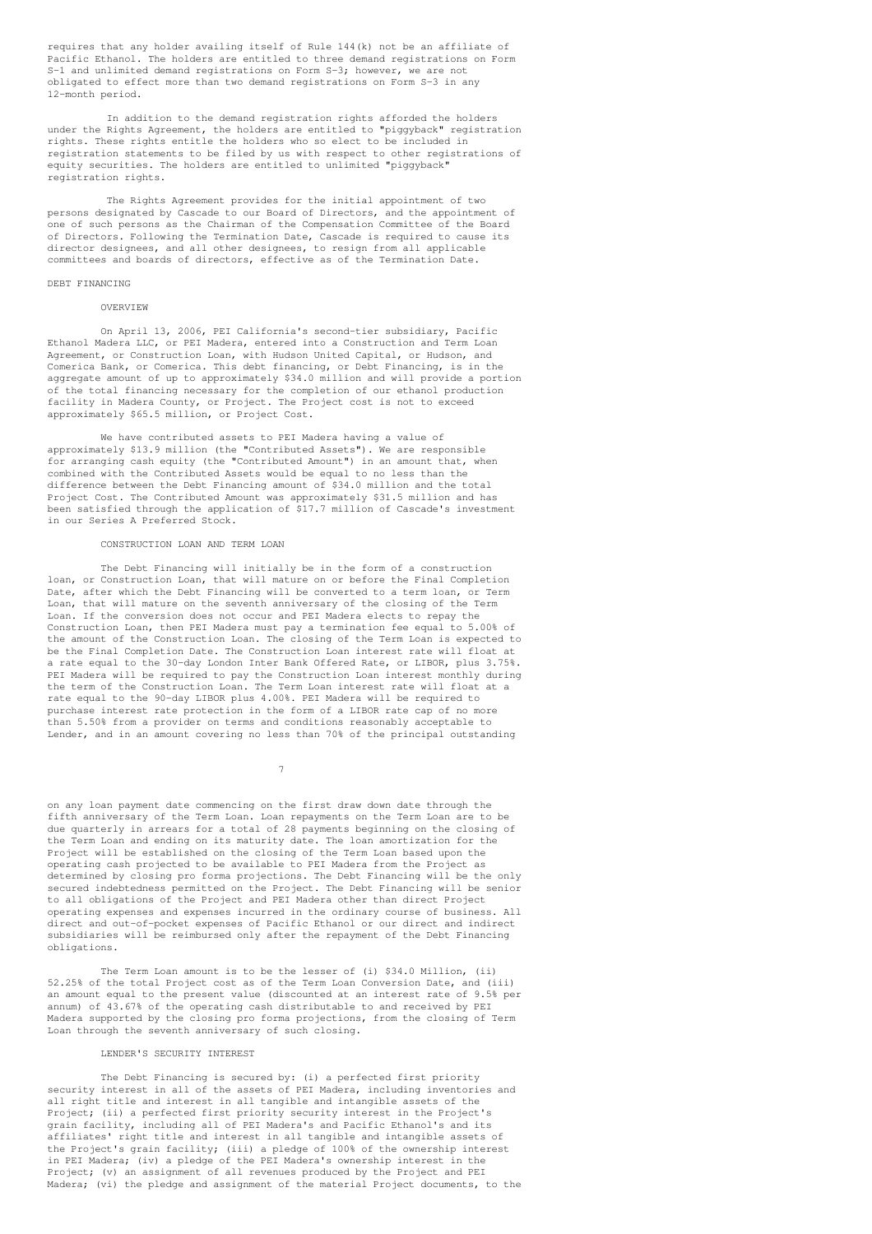requires that any holder availing itself of Rule 144(k) not be an affiliate of Pacific Ethanol. The holders are entitled to three demand registrations on Form S-1 and unlimited demand registrations on Form S-3; however, we are not obligated to effect more than two demand registrations on Form S-3 in any 12-month period.

In addition to the demand registration rights afforded the holders under the Rights Agreement, the holders are entitled to "piggyback" registration rights. These rights entitle the holders who so elect to be included in registration statements to be filed by us with respect to other registrations of equity securities. The holders are entitled to unlimited "piggyback" registration rights.

The Rights Agreement provides for the initial appointment of two persons designated by Cascade to our Board of Directors, and the appointment of one of such persons as the Chairman of the Compensation Committee of the Board of Directors. Following the Termination Date, Cascade is required to cause its director designees, and all other designees, to resign from all applicable committees and boards of directors, effective as of the Termination Date.

## DEBT FINANCING

## OVERVIEW

On April 13, 2006, PEI California's second-tier subsidiary, Pacific Ethanol Madera LLC, or PEI Madera, entered into a Construction and Term Loan Agreement, or Construction Loan, with Hudson United Capital, or Hudson, and Comerica Bank, or Comerica. This debt financing, or Debt Financing, is in the aggregate amount of up to approximately \$34.0 million and will provide a portion of the total financing necessary for the completion of our ethanol production facility in Madera County, or Project. The Project cost is not to exceed approximately \$65.5 million, or Project Cost.

We have contributed assets to PEI Madera having a value of approximately \$13.9 million (the "Contributed Assets"). We are responsible for arranging cash equity (the "Contributed Amount") in an amount that, when combined with the Contributed Assets would be equal to no less than the difference between the Debt Financing amount of  $\hat{s}34.0$  million and the total Project Cost. The Contributed Amount was approximately \$31.5 million and has been satisfied through the application of \$17.7 million of Cascade's investment in our Series A Preferred Stock.

## CONSTRUCTION LOAN AND TERM LOAN

The Debt Financing will initially be in the form of a construction loan, or Construction Loan, that will mature on or before the Final Completion Date, after which the Debt Financing will be converted to a term loan, or Term Loan, that will mature on the seventh anniversary of the closing of the Term Loan. If the conversion does not occur and PEI Madera elects to repay the Construction Loan, then PEI Madera must pay a termination fee equal to 5.00% of the amount of the Construction Loan. The closing of the Term Loan is expected to be the Final Completion Date. The Construction Loan interest rate will float at a rate equal to the 30-day London Inter Bank Offered Rate, or LIBOR, plus 3.75%. PEI Madera will be required to pay the Construction Loan interest monthly during the term of the Construction Loan. The Term Loan interest rate will float at a rate equal to the 90-day LIBOR plus 4.00%. PEI Madera will be required to purchase interest rate protection in the form of a LIBOR rate cap of no more than 5.50% from a provider on terms and conditions reasonably acceptable to Lender, and in an amount covering no less than 70% of the principal outstanding

7

any loan payment date commencing on the first draw down date through the fifth anniversary of the Term Loan. Loan repayments on the Term Loan are to be due quarterly in arrears for a total of 28 payments beginning on the closing of the Term Loan and ending on its maturity date. The loan amortization for the Project will be established on the closing of the Term Loan based upon the operating cash projected to be available to PEI Madera from the Project as determined by closing pro forma projections. The Debt Financing will be the only secured indebtedness permitted on the Project. The Debt Financing will be senior to all obligations of the Project and PEI Madera other than direct Project operating expenses and expenses incurred in the ordinary course of business. All direct and out-of-pocket expenses of Pacific Ethanol or our direct and indirect subsidiaries will be reimbursed only after the repayment of the Debt Financing obligations.

The Term Loan amount is to be the lesser of (i) \$34.0 Million, (ii) 52.25% of the total Project cost as of the Term Loan Conversion Date, and (iii) an amount equal to the present value (discounted at an interest rate of 9.5% per annum) of 43.67% of the operating cash distributable to and received by PEI Madera supported by the closing pro forma projections, from the closing of Term Loan through the seventh anniversary of such closing.

## LENDER'S SECURITY INTEREST

The Debt Financing is secured by: (i) a perfected first priority security interest in all of the assets of PEI Madera, including inventories and all right title and interest in all tangible and intangible assets of the Project; (ii) a perfected first priority security interest in the Project's grain facility, including all of PEI Madera's and Pacific Ethanol's and its affiliates' right title and interest in all tangible and intangible assets of the Project's grain facility; (iii) a pledge of 100% of the ownership interest in PEI Madera; (iv) a pledge of the PEI Madera's ownership interest in the Project; (v) an assignment of all revenues produced by the Project and PEI Madera; (vi) the pledge and assignment of the material Project documents, to the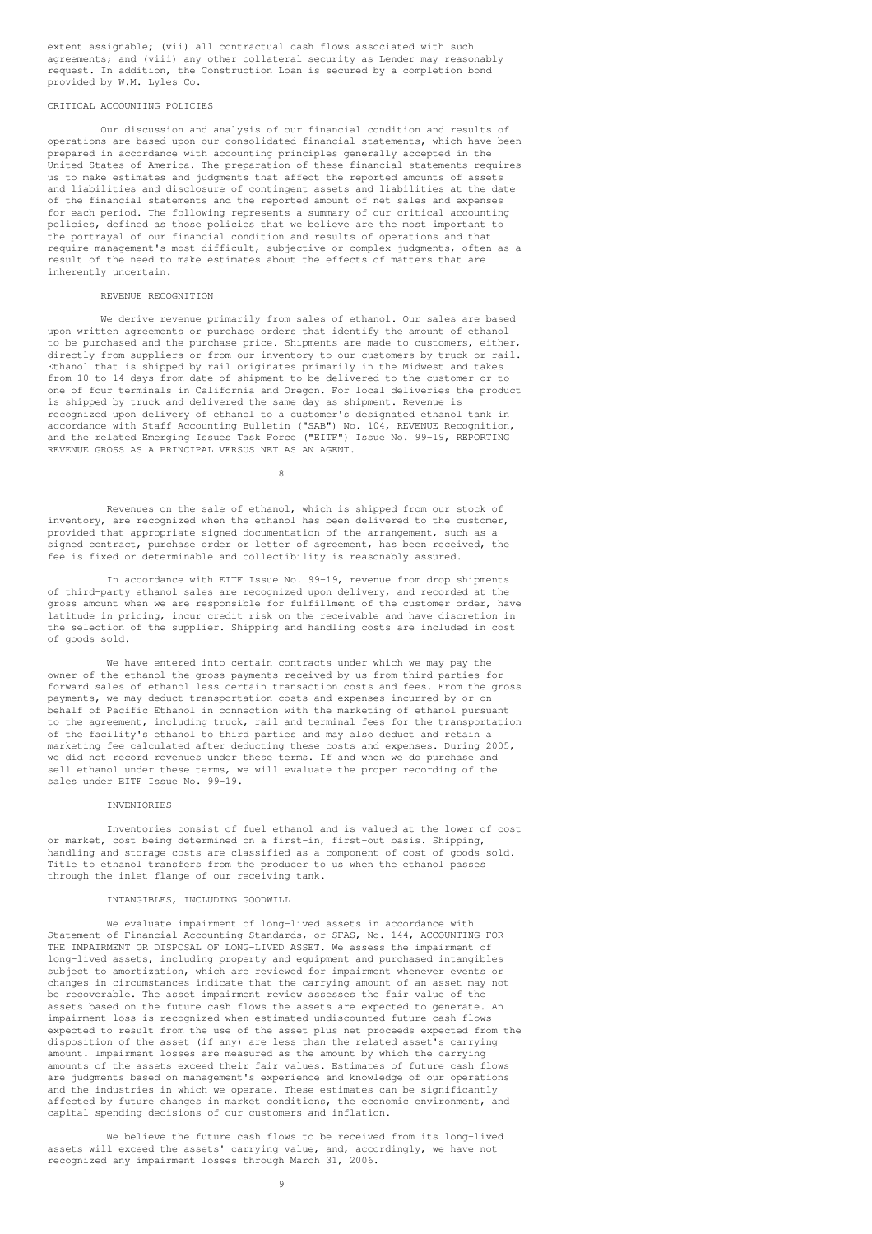extent assignable; (vii) all contractual cash flows associated with such agreements; and (viii) any other collateral security as Lender may reasonably request. In addition, the Construction Loan is secured by a completion bond provided by W.M. Lyles Co.

#### CRITICAL ACCOUNTING POLICIES

Our discussion and analysis of our financial condition and results of operations are based upon our consolidated financial statements, which have been prepared in accordance with accounting principles generally accepted in the United States of America. The preparation of these financial statements requires us to make estimates and judgments that affect the reported amounts of assets and liabilities and disclosure of contingent assets and liabilities at the date of the financial statements and the reported amount of net sales and expenses for each period. The following represents a summary of our critical accounting policies, defined as those policies that we believe are the most important to the portrayal of our financial condition and results of operations and that require management's most difficult, subjective or complex judgments, often as a result of the need to make estimates about the effects of matters that are inherently uncertain.

#### REVENUE RECOGNITION

We derive revenue primarily from sales of ethanol. Our sales are based upon written agreements or purchase orders that identify the amount of ethanol to be purchased and the purchase price. Shipments are made to customers, either, directly from suppliers or from our inventory to our customers by truck or rail. Ethanol that is shipped by rail originates primarily in the Midwest and takes from 10 to 14 days from date of shipment to be delivered to the customer or to one of four terminals in California and Oregon. For local deliveries the product is shipped by truck and delivered the same day as shipment. Revenue is recognized upon delivery of ethanol to a customer's designated ethanol tank in accordance with Staff Accounting Bulletin ("SAB") No. 104, REVENUE Recognition, and the related Emerging Issues Task Force ("EITF") Issue No. 99-19, REPORTING REVENUE GROSS AS A PRINCIPAL VERSUS NET AS AN AGENT.

8

Revenues on the sale of ethanol, which is shipped from our stock of inventory, are recognized when the ethanol has been delivered to the customer, provided that appropriate signed documentation of the arrangement, such as a signed contract, purchase order or letter of agreement, has been received, the fee is fixed or determinable and collectibility is reasonably assured.

In accordance with EITF Issue No. 99-19, revenue from drop shipments of third-party ethanol sales are recognized upon delivery, and recorded at the gross amount when we are responsible for fulfillment of the customer order, have latitude in pricing, incur credit risk on the receivable and have discretion in the selection of the supplier. Shipping and handling costs are included in cost of goods sold.

We have entered into certain contracts under which we may pay the owner of the ethanol the gross payments received by us from third parties for forward sales of ethanol less certain transaction costs and fees. From the gross payments, we may deduct transportation costs and expenses incurred by or on behalf of Pacific Ethanol in connection with the marketing of ethanol pursuant to the agreement, including truck, rail and terminal fees for the transportation of the facility's ethanol to third parties and may also deduct and retain a marketing fee calculated after deducting these costs and expenses. During 2005, we did not record revenues under these terms. If and when we do purchase and sell ethanol under these terms, we will evaluate the proper recording of the sales under EITF Issue No. 99-19.

#### INVENTORIES

Inventories consist of fuel ethanol and is valued at the lower of cost or market, cost being determined on a first-in, first-out basis. Shipping, handling and storage costs are classified as a component of cost of goods sold. Title to ethanol transfers from the producer to us when the ethanol passes through the inlet flange of our receiving tank.

#### INTANGIBLES, INCLUDING GOODWILL

We evaluate impairment of long-lived assets in accordance with Statement of Financial Accounting Standards, or SFAS, No. 144, ACCOUNTING FOR THE IMPAIRMENT OR DISPOSAL OF LONG-LIVED ASSET. We assess the impairment of long-lived assets, including property and equipment and purchased intangibles subject to amortization, which are reviewed for impairment whenever events or changes in circumstances indicate that the carrying amount of an asset may not be recoverable. The asset impairment review assesses the fair value of the assets based on the future cash flows the assets are expected to generate. An impairment loss is recognized when estimated undiscounted future cash flows expected to result from the use of the asset plus net proceeds expected from the disposition of the asset (if any) are less than the related asset's carrying amount. Impairment losses are measured as the amount by which the carrying amounts of the assets exceed their fair values. Estimates of future cash flows are judgments based on management's experience and knowledge of our operations and the industries in which we operate. These estimates can be significantly affected by future changes in market conditions, the economic environment, and capital spending decisions of our customers and inflation.

We believe the future cash flows to be received from its long-lived assets will exceed the assets' carrying value, and, accordingly, we have not recognized any impairment losses through March 31, 2006.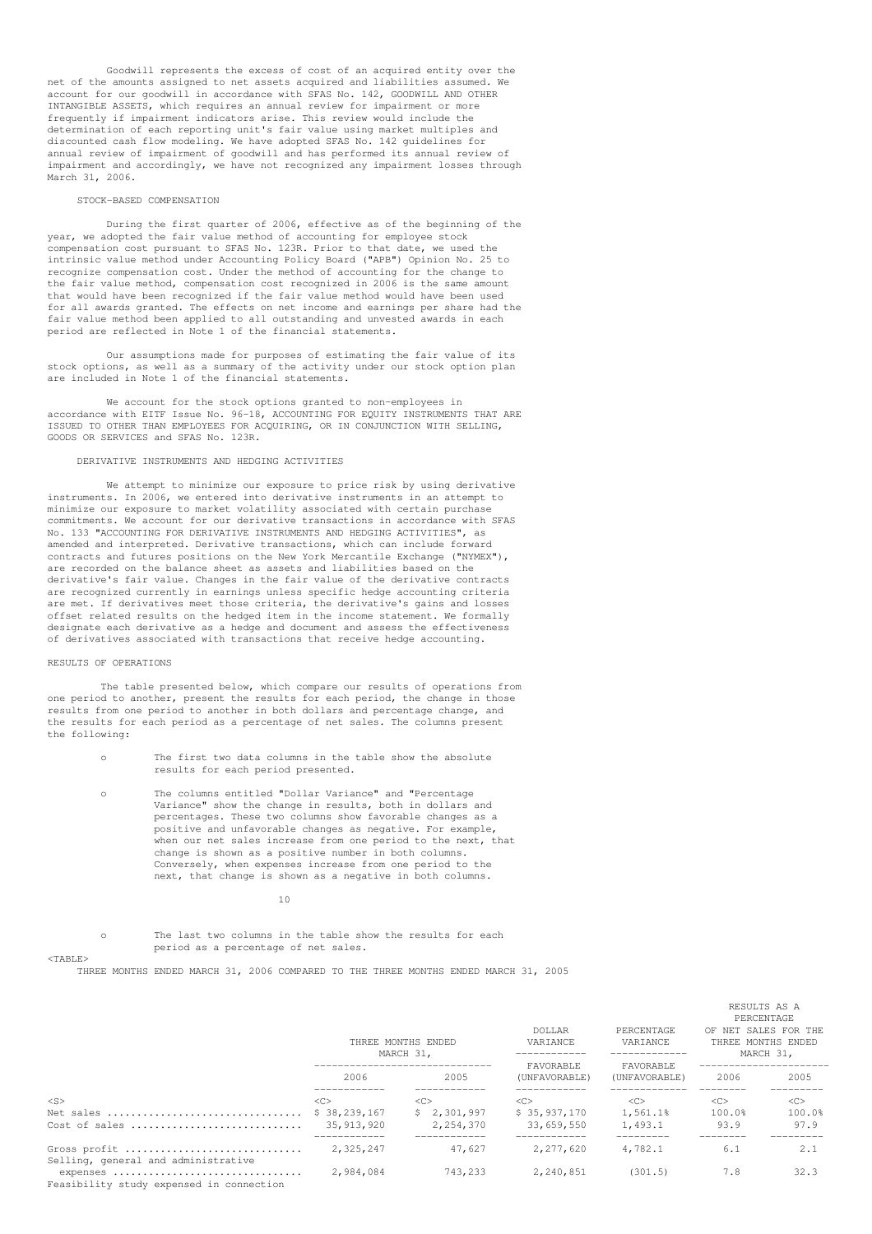Goodwill represents the excess of cost of an acquired entity over the net of the amounts assigned to net assets acquired and liabilities assumed. We account for our goodwill in accordance with SFAS No. 142, GOODWILL AND OTHER INTANGIBLE ASSETS, which requires an annual review for impairment or more frequently if impairment indicators arise. This review would include the determination of each reporting unit's fair value using market multiples and discounted cash flow modeling. We have adopted SFAS No. 142 guidelines for annual review of impairment of goodwill and has performed its annual review of impairment and accordingly, we have not recognized any impairment losses through March 31, 2006.

## STOCK-BASED COMPENSATION

During the first quarter of 2006, effective as of the beginning of the year, we adopted the fair value method of accounting for employee stock compensation cost pursuant to SFAS No. 123R. Prior to that date, we used the intrinsic value method under Accounting Policy Board ("APB") Opinion No. 25 to recognize compensation cost. Under the method of accounting for the change to the fair value method, compensation cost recognized in 2006 is the same amount that would have been recognized if the fair value method would have been used for all awards granted. The effects on net income and earnings per share had the fair value method been applied to all outstanding and unvested awards in each period are reflected in Note 1 of the financial statements.

Our assumptions made for purposes of estimating the fair value of its stock options, as well as a summary of the activity under our stock option plan are included in Note 1 of the financial statements.

We account for the stock options granted to non-employees in accordance with EITF Issue No. 96-18, ACCOUNTING FOR EQUITY INSTRUMENTS THAT ARE ISSUED TO OTHER THAN EMPLOYEES FOR ACQUIRING, OR IN CONJUNCTION WITH SELLING, GOODS OR SERVICES and SFAS No. 123R.

## DERIVATIVE INSTRUMENTS AND HEDGING ACTIVITIES

We attempt to minimize our exposure to price risk by using derivative instruments. In 2006, we entered into derivative instruments in an attempt to minimize our exposure to market volatility associated with certain purchase commitments. We account for our derivative transactions in accordance with SFAS No. 133 "ACCOUNTING FOR DERIVATIVE INSTRUMENTS AND HEDGING ACTIVITIES", as amended and interpreted. Derivative transactions, which can include forward contracts and futures positions on the New York Mercantile Exchange ("NYMEX"), are recorded on the balance sheet as assets and liabilities based on the derivative's fair value. Changes in the fair value of the derivative contracts are recognized currently in earnings unless specific hedge accounting criteria are met. If derivatives meet those criteria, the derivative's gains and losses offset related results on the hedged item in the income statement. We formally designate each derivative as a hedge and document and assess the effectiveness of derivatives associated with transactions that receive hedge accounting.

## RESULTS OF OPERATIONS

The table presented below, which compare our results of operations from one period to another, present the results for each period, the change in those results from one period to another in both dollars and percentage change, and the results for each period as a percentage of net sales. The columns present the following:

- o The first two data columns in the table show the absolute results for each period presented.
- The columns entitled "Dollar Variance" and "Percentage Variance" show the change in results, both in dollars and percentages. These two columns show favorable changes as a positive and unfavorable changes as negative. For example, when our net sales increase from one period to the next, that change is shown as a positive number in both columns. Conversely, when expenses increase from one period to the next, that change is shown as a negative in both columns.

#### $10$

period as a percentage of net sales.

# $<$ TARLE>

THREE MONTHS ENDED MARCH 31, 2006 COMPARED TO THE THREE MONTHS ENDED MARCH 31, 2005

o The last two columns in the table show the results for each

|                                                                                 |                              | THREE MONTHS ENDED<br>MARCH 31, | <b>DOLLAR</b><br>VARIANCE<br>FAVORABLE | PERCENTAGE<br>VARIANCE<br>FAVORABLE | RESULTS AS A<br>PERCENTAGE<br>OF NET SALES FOR THE<br>THREE MONTHS ENDED<br>MARCH 31, |                |
|---------------------------------------------------------------------------------|------------------------------|---------------------------------|----------------------------------------|-------------------------------------|---------------------------------------------------------------------------------------|----------------|
|                                                                                 | 2006                         | 2005                            | (UNFAVORABLE)                          | (UNFAVORABLE)                       | 2006                                                                                  | 2005           |
| $<$ S>                                                                          | <<                           | $<\infty$                       | <<                                     | <<                                  | <<                                                                                    | <<             |
| Net sales<br>Cost of sales $\dots\dots\dots\dots\dots\dots\dots\dots\dots\dots$ | \$38,239,167<br>35, 913, 920 | \$2,301,997<br>2,254,370        | \$35,937,170<br>33,659,550             | 1,561.1%<br>1,493.1                 | 100.0%<br>93.9                                                                        | 100.0%<br>97.9 |
| Gross profit<br>Selling, general and administrative                             | 2,325,247                    | 47.627                          | 2.277.620                              | 4,782.1                             | 6.1                                                                                   | 2.1            |
| expenses<br>Feasibility study expensed in connection                            | 2,984,084                    | 743,233                         | 2,240,851                              | (301.5)                             | 7.8                                                                                   | 32.3           |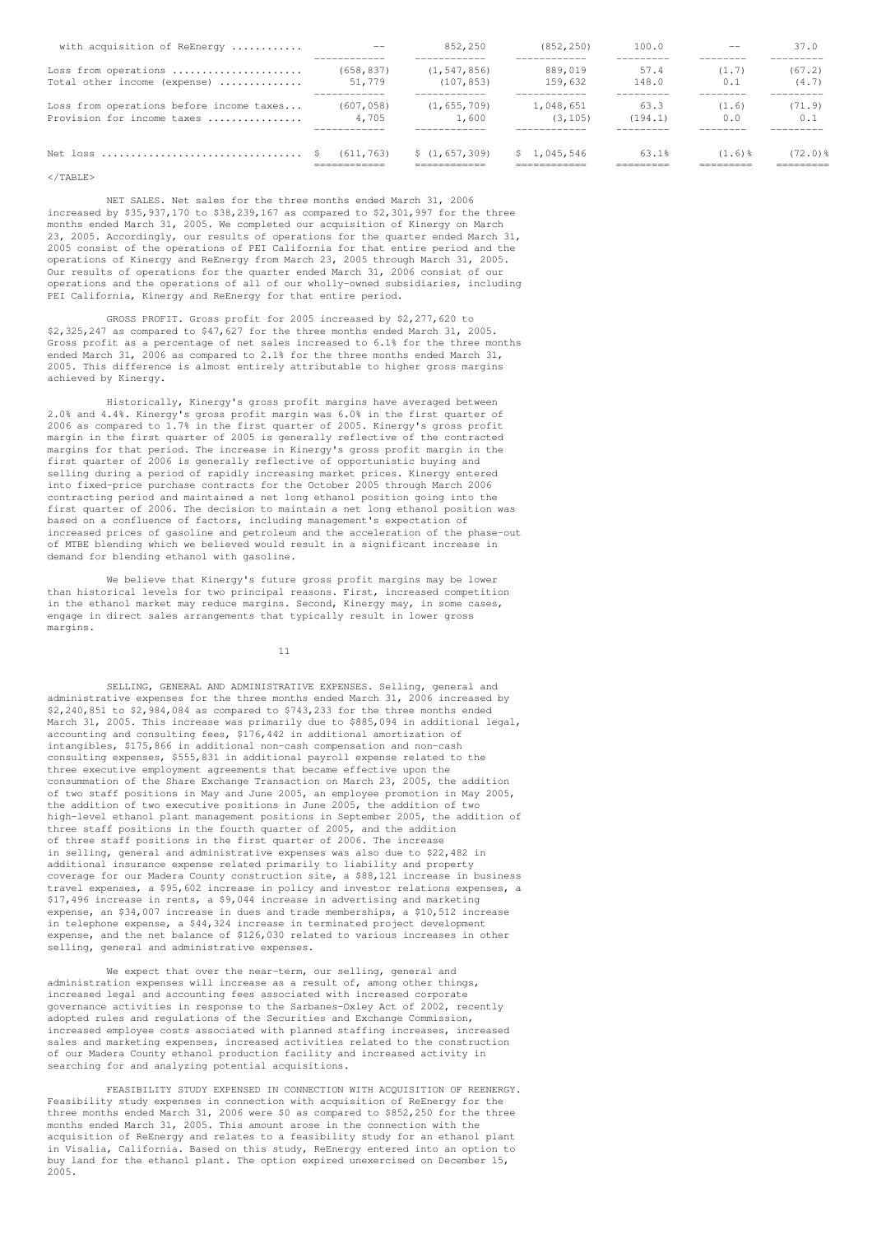| with acquisition of ReEnergy             | $\qquad \qquad -$ | 852,250         | (852, 250)  | 100.0   |                       | 37.0                   |
|------------------------------------------|-------------------|-----------------|-------------|---------|-----------------------|------------------------|
|                                          |                   |                 |             |         |                       |                        |
| Loss from operations                     | (658, 837)        | (1, 547, 856)   | 889,019     | 57.4    | (1.7)                 | (67.2)                 |
| Total other income (expense)             | 51,779            | (107, 853)      | 159,632     | 148.0   | 0.1                   | (4.7)                  |
|                                          |                   |                 |             |         |                       |                        |
| Loss from operations before income taxes | (607, 058)        | (1, 655, 709)   | 1,048,651   | 63.3    | (1.6)                 | (71.9)                 |
| Provision for income taxes               | 4,705             | 1,600           | (3, 105)    | (194.1) | 0.0                   | 0.1                    |
|                                          |                   |                 |             |         |                       |                        |
|                                          | (611,763)         | \$(1, 657, 309) | \$1,045,546 | 63.1%   | $(1.6)$ $\frac{6}{5}$ | $(72.0)$ $\frac{6}{3}$ |
|                                          |                   |                 |             |         |                       |                        |

 $<$ /TABLE>

NET SALES. Net sales for the three months ended March 31, 2006 increased by \$35,937,170 to \$38,239,167 as compared to \$2,301,997 for the three months ended March 31, 2005. We completed our acquisition of Kinergy on March 23, 2005. Accordingly, our results of operations for the quarter ended March 31, 2005 consist of the operations of PEI California for that entire period and the operations of Kinergy and ReEnergy from March 23, 2005 through March 31, 2005. Our results of operations for the quarter ended March 31, 2006 consist of our operations and the operations of all of our wholly-owned subsidiaries, including PEI California, Kinergy and ReEnergy for that entire period.

GROSS PROFIT. Gross profit for 2005 increased by \$2,277,620 to  $$2,325,247$  as compared to  $$47,627$  for the three months ended March 31, 2005. Gross profit as a percentage of net sales increased to 6.1% for the three months ended March 31, 2006 as compared to 2.1% for the three months ended March 31, 2005. This difference is almost entirely attributable to higher gross margins achieved by Kinergy.

Historically, Kinergy's gross profit margins have averaged between 2.0% and 4.4%. Kinergy's gross profit margin was 6.0% in the first quarter of 2006 as compared to 1.7% in the first quarter of 2005. Kinergy's gross profit margin in the first quarter of 2005 is generally reflective of the contracted margins for that period. The increase in Kinergy's gross profit margin in the first quarter of 2006 is generally reflective of opportunistic buying and selling during a period of rapidly increasing market prices. Kinergy entered into fixed-price purchase contracts for the October 2005 through March 2006 contracting period and maintained a net long ethanol position going into the first quarter of 2006. The decision to maintain a net long ethanol position was based on a confluence of factors, including management's expectation of increased prices of gasoline and petroleum and the acceleration of the phase-out of MTBE blending which we believed would result in a significant increase in demand for blending ethanol with gasoline.

We believe that Kinergy's future gross profit margins may be lower than historical levels for two principal reasons. First, increased competition in the ethanol market may reduce margins. Second, Kinergy may, in some cases, engage in direct sales arrangements that typically result in lower gross margins.

11

SELLING, GENERAL AND ADMINISTRATIVE EXPENSES. Selling, general and administrative expenses for the three months ended March 31, 2006 increased by  $$2,240,851$  to  $$2,984,084$  as compared to  $$743,233$  for the three months ended March 31, 2005. This increase was primarily due to \$885,094 in additional legal, accounting and consulting fees, \$176,442 in additional amortization of intangibles, \$175,866 in additional non-cash compensation and non-cash consulting expenses, \$555,831 in additional payroll expense related to the three executive employment agreements that became effective upon the consummation of the Share Exchange Transaction on March 23, 2005, the addition of two staff positions in May and June 2005, an employee promotion in May 2005, the addition of two executive positions in June 2005, the addition of two high-level ethanol plant management positions in September 2005, the addition of three staff positions in the fourth quarter of 2005, and the addition of three staff positions in the first quarter of 2006. The increase in selling, general and administrative expenses was also due to \$22,482 in additional insurance expense related primarily to liability and property coverage for our Madera County construction site, a \$88,121 increase in business travel expenses, a \$95,602 increase in policy and investor relations expenses, a \$17,496 increase in rents, a \$9,044 increase in advertising and marketing expense, an \$34,007 increase in dues and trade memberships, a \$10,512 increase in telephone expense, a \$44,324 increase in terminated project development expense, and the net balance of \$126,030 related to various increases in other selling, general and administrative expenses.

We expect that over the near-term, our selling, general and administration expenses will increase as a result of, among other things, increased legal and accounting fees associated with increased corporate governance activities in response to the Sarbanes-Oxley Act of 2002, recently adopted rules and regulations of the Securities and Exchange Commission, increased employee costs associated with planned staffing increases, increased sales and marketing expenses, increased activities related to the construction of our Madera County ethanol production facility and increased activity in searching for and analyzing potential acquisitions.

FEASIBILITY STUDY EXPENSED IN CONNECTION WITH ACQUISITION OF REENERGY. Feasibility study expenses in connection with acquisition of ReEnergy for the three months ended March 31, 2006 were \$0 as compared to \$852,250 for the three months ended March 31, 2005. This amount arose in the connection with the acquisition of ReEnergy and relates to a feasibility study for an ethanol plant in Visalia, California. Based on this study, ReEnergy entered into an option to buy land for the ethanol plant. The option expired unexercised on December 15, 2005.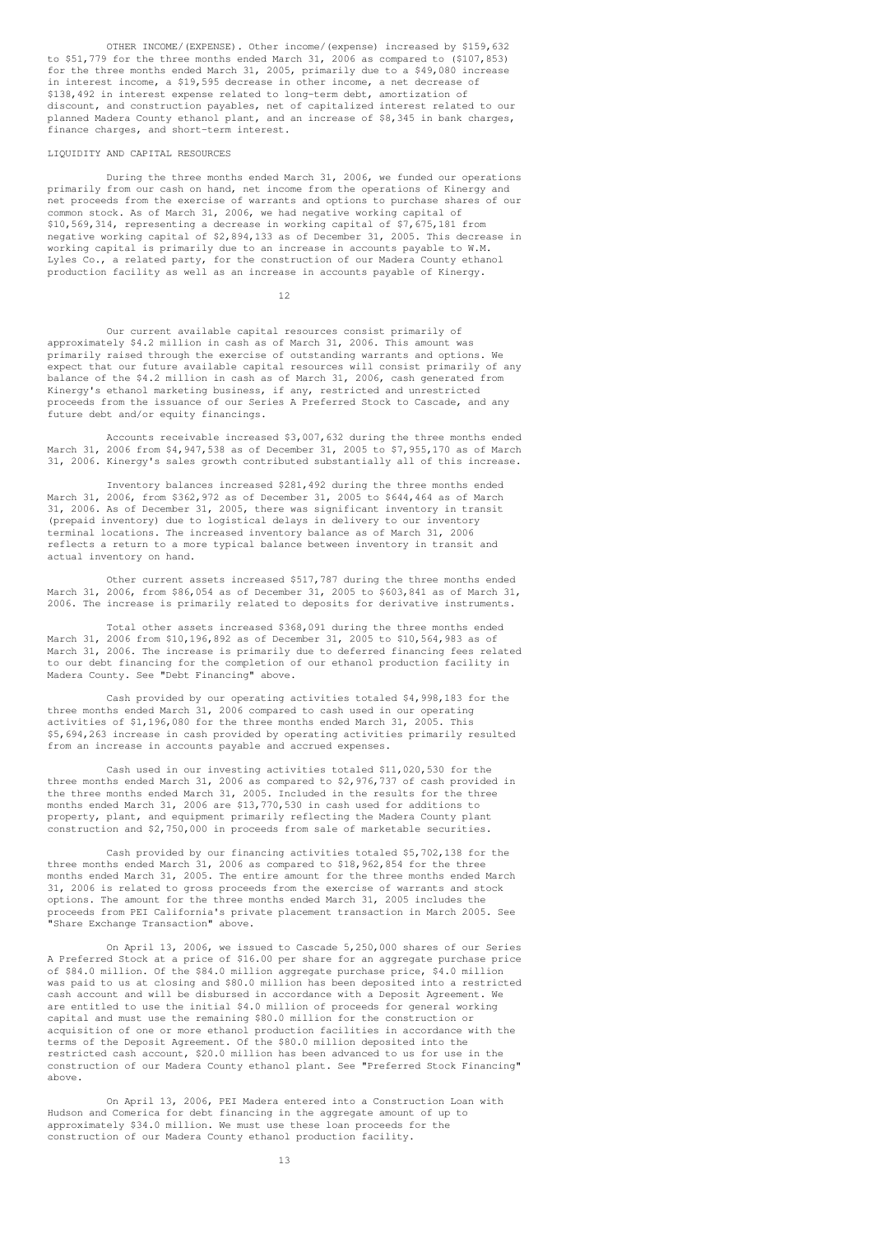OTHER INCOME/(EXPENSE). Other income/(expense) increased by \$159,632 to \$51,779 for the three months ended March 31, 2006 as compared to (\$107,853) for the three months ended March 31, 2005, primarily due to a \$49,080 increase in interest income, a \$19,595 decrease in other income, a net decrease of \$138,492 in interest expense related to long-term debt, amortization of discount, and construction payables, net of capitalized interest related to our planned Madera County ethanol plant, and an increase of \$8,345 in bank charges, finance charges, and short-term interest.

## LIQUIDITY AND CAPITAL RESOURCES

During the three months ended March 31, 2006, we funded our operations primarily from our cash on hand, net income from the operations of Kinergy and net proceeds from the exercise of warrants and options to purchase shares of our common stock. As of March 31, 2006, we had negative working capital of \$10,569,314, representing a decrease in working capital of \$7,675,181 from negative working capital of \$2,894,133 as of December 31, 2005. This decrease in working capital is primarily due to an increase in accounts payable to W.M. Lyles Co., a related party, for the construction of our Madera County ethanol production facility as well as an increase in accounts payable of Kinergy.

12

Our current available capital resources consist primarily of approximately \$4.2 million in cash as of March 31, 2006. This amount was primarily raised through the exercise of outstanding warrants and options. We expect that our future available capital resources will consist primarily of any balance of the \$4.2 million in cash as of March 31, 2006, cash generated from Kinergy's ethanol marketing business, if any, restricted and unrestricted proceeds from the issuance of our Series A Preferred Stock to Cascade, and any future debt and/or equity financings.

Accounts receivable increased \$3,007,632 during the three months ended March 31, 2006 from \$4,947,538 as of December 31, 2005 to \$7,955,170 as of March 31, 2006. Kinergy's sales growth contributed substantially all of this increase.

Inventory balances increased \$281,492 during the three months ended March 31, 2006, from \$362,972 as of December 31, 2005 to \$644,464 as of March 31, 2006. As of December 31, 2005, there was significant inventory in transit (prepaid inventory) due to logistical delays in delivery to our inventory terminal locations. The increased inventory balance as of March 31, 2006 reflects a return to a more typical balance between inventory in transit and actual inventory on hand.

Other current assets increased \$517,787 during the three months ended March 31, 2006, from \$86,054 as of December 31, 2005 to \$603,841 as of March 31, 2006. The increase is primarily related to deposits for derivative instruments.

Total other assets increased \$368,091 during the three months ended March 31, 2006 from \$10,196,892 as of December 31, 2005 to \$10,564,983 as of March 31, 2006. The increase is primarily due to deferred financing fees related to our debt financing for the completion of our ethanol production facility in Madera County. See "Debt Financing" above.

Cash provided by our operating activities totaled \$4,998,183 for the three months ended March 31, 2006 compared to cash used in our operating activities of \$1,196,080 for the three months ended March 31, 2005. This \$5,694,263 increase in cash provided by operating activities primarily resulted from an increase in accounts payable and accrued expenses.

Cash used in our investing activities totaled \$11,020,530 for the three months ended March 31, 2006 as compared to \$2,976,737 of cash provided in the three months ended March 31, 2005. Included in the results for the three months ended March 31, 2006 are \$13,770,530 in cash used for additions to property, plant, and equipment primarily reflecting the Madera County plant construction and \$2,750,000 in proceeds from sale of marketable securities.

Cash provided by our financing activities totaled \$5,702,138 for the three months ended March 31, 2006 as compared to \$18,962,854 for the three months ended March 31, 2005. The entire amount for the three months ended March 31, 2006 is related to gross proceeds from the exercise of warrants and stock options. The amount for the three months ended March 31, 2005 includes the proceeds from PEI California's private placement transaction in March 2005. See "Share Exchange Transaction" above.

On April 13, 2006, we issued to Cascade 5,250,000 shares of our Series A Preferred Stock at a price of \$16.00 per share for an aggregate purchase price of \$84.0 million. Of the \$84.0 million aggregate purchase price, \$4.0 million was paid to us at closing and \$80.0 million has been deposited into a restricted cash account and will be disbursed in accordance with a Deposit Agreement. We are entitled to use the initial \$4.0 million of proceeds for general working capital and must use the remaining \$80.0 million for the construction or acquisition of one or more ethanol production facilities in accordance with the terms of the Deposit Agreement. Of the \$80.0 million deposited into the restricted cash account, \$20.0 million has been advanced to us for use in the construction of our Madera County ethanol plant. See "Preferred Stock Financing" above.

On April 13, 2006, PEI Madera entered into a Construction Loan with Hudson and Comerica for debt financing in the aggregate amount of up to approximately \$34.0 million. We must use these loan proceeds for the construction of our Madera County ethanol production facility.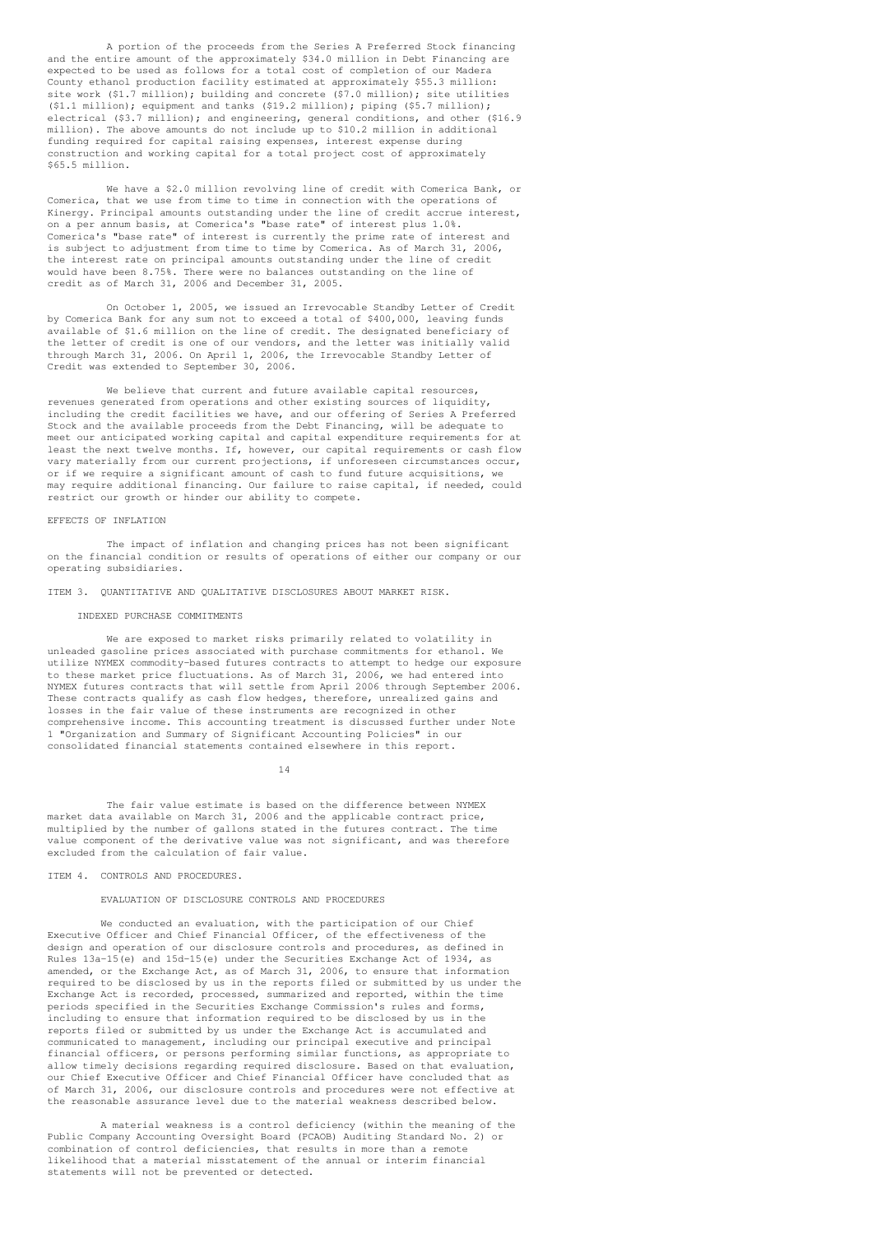A portion of the proceeds from the Series A Preferred Stock financing and the entire amount of the approximately \$34.0 million in Debt Financing are expected to be used as follows for a total cost of completion of our Madera County ethanol production facility estimated at approximately \$55.3 million: site work (\$1.7 million); building and concrete (\$7.0 million); site utilities (\$1.1 million); equipment and tanks (\$19.2 million); piping (\$5.7 million); electrical (\$3.7 million); and engineering, general conditions, and other (\$16.9 million). The above amounts do not include up to \$10.2 million in additional funding required for capital raising expenses, interest expense during construction and working capital for a total project cost of approximately \$65.5 million.

We have a \$2.0 million revolving line of credit with Comerica Bank, or Comerica, that we use from time to time in connection with the operations of Kinergy. Principal amounts outstanding under the line of credit accrue interest, on a per annum basis, at Comerica's "base rate" of interest plus 1.0%. Comerica's "base rate" of interest is currently the prime rate of interest and is subject to adjustment from time to time by Comerica. As of March 31, 2006, the interest rate on principal amounts outstanding under the line of credit would have been 8.75%. There were no balances outstanding on the line of credit as of March 31, 2006 and December 31, 2005.

On October 1, 2005, we issued an Irrevocable Standby Letter of Credit by Comerica Bank for any sum not to exceed a total of \$400,000, leaving funds available of \$1.6 million on the line of credit. The designated beneficiary of the letter of credit is one of our vendors, and the letter was initially valid through March 31, 2006. On April 1, 2006, the Irrevocable Standby Letter of Credit was extended to September 30, 2006.

We believe that current and future available capital resources, revenues generated from operations and other existing sources of liquidity, including the credit facilities we have, and our offering of Series A Preferred Stock and the available proceeds from the Debt Financing, will be adequate to meet our anticipated working capital and capital expenditure requirements for at least the next twelve months. If, however, our capital requirements or cash flow vary materially from our current projections, if unforeseen circumstances occur, or if we require a significant amount of cash to fund future acquisitions, we may require additional financing. Our failure to raise capital, if needed, could restrict our growth or hinder our ability to compete.

#### EFFECTS OF INFLATION

The impact of inflation and changing prices has not been significant on the financial condition or results of operations of either our company or our operating subsidiaries.

ITEM 3. QUANTITATIVE AND QUALITATIVE DISCLOSURES ABOUT MARKET RISK.

#### INDEXED PURCHASE COMMITMENTS

We are exposed to market risks primarily related to volatility in unleaded gasoline prices associated with purchase commitments for ethanol. We utilize NYMEX commodity-based futures contracts to attempt to hedge our exposure to these market price fluctuations. As of March 31, 2006, we had entered into NYMEX futures contracts that will settle from April 2006 through September 2006. These contracts qualify as cash flow hedges, therefore, unrealized gains and losses in the fair value of these instruments are recognized in other comprehensive income. This accounting treatment is discussed further under Note 1 "Organization and Summary of Significant Accounting Policies" in our consolidated financial statements contained elsewhere in this report.

14

The fair value estimate is based on the difference between NYMEX market data available on March 31, 2006 and the applicable contract price, multiplied by the number of gallons stated in the futures contract. The time value component of the derivative value was not significant, and was therefore excluded from the calculation of fair value.

ITEM 4. CONTROLS AND PROCEDURES.

#### EVALUATION OF DISCLOSURE CONTROLS AND PROCEDURES

We conducted an evaluation, with the participation of our Chief Executive Officer and Chief Financial Officer, of the effectiveness of the design and operation of our disclosure controls and procedures, as defined in Rules 13a-15(e) and 15d-15(e) under the Securities Exchange Act of 1934, as amended, or the Exchange Act, as of March 31, 2006, to ensure that information required to be disclosed by us in the reports filed or submitted by us under the Exchange Act is recorded, processed, summarized and reported, within the time periods specified in the Securities Exchange Commission's rules and forms, including to ensure that information required to be disclosed by us in the reports filed or submitted by us under the Exchange Act is accumulated and communicated to management, including our principal executive and principal financial officers, or persons performing similar functions, as appropriate to allow timely decisions regarding required disclosure. Based on that evaluation, our Chief Executive Officer and Chief Financial Officer have concluded that as of March 31, 2006, our disclosure controls and procedures were not effective at the reasonable assurance level due to the material weakness described below.

A material weakness is a control deficiency (within the meaning of the Public Company Accounting Oversight Board (PCAOB) Auditing Standard No. 2) or combination of control deficiencies, that results in more than a remote likelihood that a material misstatement of the annual or interim financial statements will not be prevented or detected.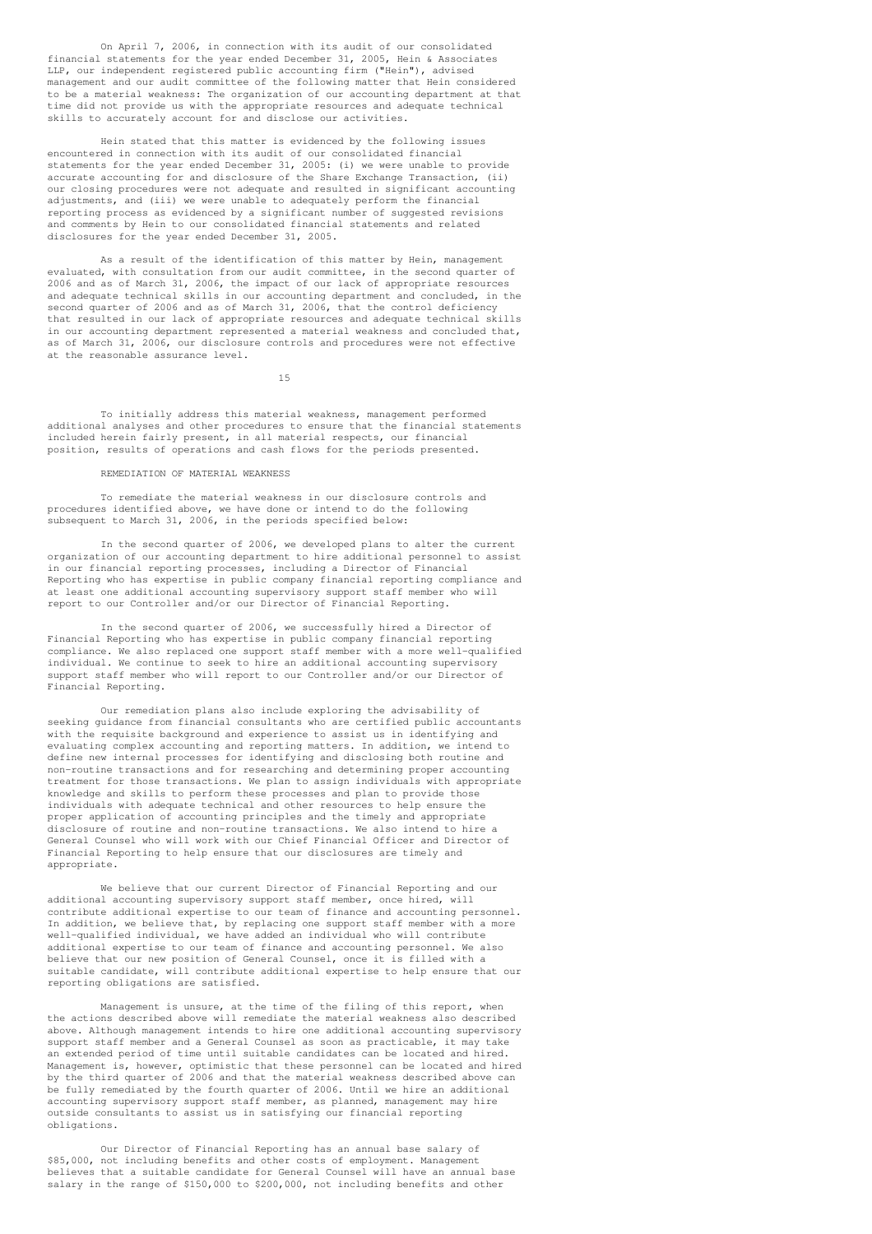On April 7, 2006, in connection with its audit of our consolidated financial statements for the year ended December 31, 2005, Hein & Associates LLP, our independent registered public accounting firm ("Hein"), advised management and our audit committee of the following matter that Hein considered to be a material weakness: The organization of our accounting department at that time did not provide us with the appropriate resources and adequate technical skills to accurately account for and disclose our activities.

Hein stated that this matter is evidenced by the following issues encountered in connection with its audit of our consolidated financial statements for the year ended December 31, 2005: (i) we were unable to provide accurate accounting for and disclosure of the Share Exchange Transaction, (ii) our closing procedures were not adequate and resulted in significant accounting adjustments, and (iii) we were unable to adequately perform the financial reporting process as evidenced by a significant number of suggested revisions and comments by Hein to our consolidated financial statements and related disclosures for the year ended December 31, 2005.

As a result of the identification of this matter by Hein, management evaluated, with consultation from our audit committee, in the second quarter of 2006 and as of March 31, 2006, the impact of our lack of appropriate resources and adequate technical skills in our accounting department and concluded, in the second quarter of 2006 and as of March 31, 2006, that the control deficiency that resulted in our lack of appropriate resources and adequate technical skills in our accounting department represented a material weakness and concluded that, as of March 31, 2006, our disclosure controls and procedures were not effective at the reasonable assurance level.

15

To initially address this material weakness, management performed additional analyses and other procedures to ensure that the financial statements included herein fairly present, in all material respects, our financial position, results of operations and cash flows for the periods presented.

## REMEDIATION OF MATERIAL WEAKNESS

To remediate the material weakness in our disclosure controls and procedures identified above, we have done or intend to do the following subsequent to March 31, 2006, in the periods specified below:

In the second quarter of 2006, we developed plans to alter the current organization of our accounting department to hire additional personnel to assist in our financial reporting processes, including a Director of Financial Reporting who has expertise in public company financial reporting compliance and at least one additional accounting supervisory support staff member who will report to our Controller and/or our Director of Financial Reporting.

In the second quarter of 2006, we successfully hired a Director of Financial Reporting who has expertise in public company financial reporting compliance. We also replaced one support staff member with a more well-qualified individual. We continue to seek to hire an additional accounting supervisory support staff member who will report to our Controller and/or our Director of Financial Reporting.

Our remediation plans also include exploring the advisability of seeking guidance from financial consultants who are certified public accountants with the requisite background and experience to assist us in identifying and evaluating complex accounting and reporting matters. In addition, we intend to define new internal processes for identifying and disclosing both routine and non-routine transactions and for researching and determining proper accounting treatment for those transactions. We plan to assign individuals with appropriate knowledge and skills to perform these processes and plan to provide those individuals with adequate technical and other resources to help ensure the proper application of accounting principles and the timely and appropriate disclosure of routine and non-routine transactions. We also intend to hire a General Counsel who will work with our Chief Financial Officer and Director of Financial Reporting to help ensure that our disclosures are timely and appropriate.

We believe that our current Director of Financial Reporting and our additional accounting supervisory support staff member, once hired, will contribute additional expertise to our team of finance and accounting personnel. In addition, we believe that, by replacing one support staff member with a more well-qualified individual, we have added an individual who will contribute additional expertise to our team of finance and accounting personnel. We also believe that our new position of General Counsel, once it is filled with a suitable candidate, will contribute additional expertise to help ensure that our reporting obligations are satisfied.

Management is unsure, at the time of the filing of this report, when the actions described above will remediate the material weakness also described above. Although management intends to hire one additional accounting supervisory support staff member and a General Counsel as soon as practicable, it may take an extended period of time until suitable candidates can be located and hired. Management is, however, optimistic that these personnel can be located and hired by the third quarter of 2006 and that the material weakness described above can be fully remediated by the fourth quarter of 2006. Until we hire an additional accounting supervisory support staff member, as planned, management may hire outside consultants to assist us in satisfying our financial reporting obligations.

Our Director of Financial Reporting has an annual base salary of \$85,000, not including benefits and other costs of employment. Management believes that a suitable candidate for General Counsel will have an annual base salary in the range of \$150,000 to \$200,000, not including benefits and other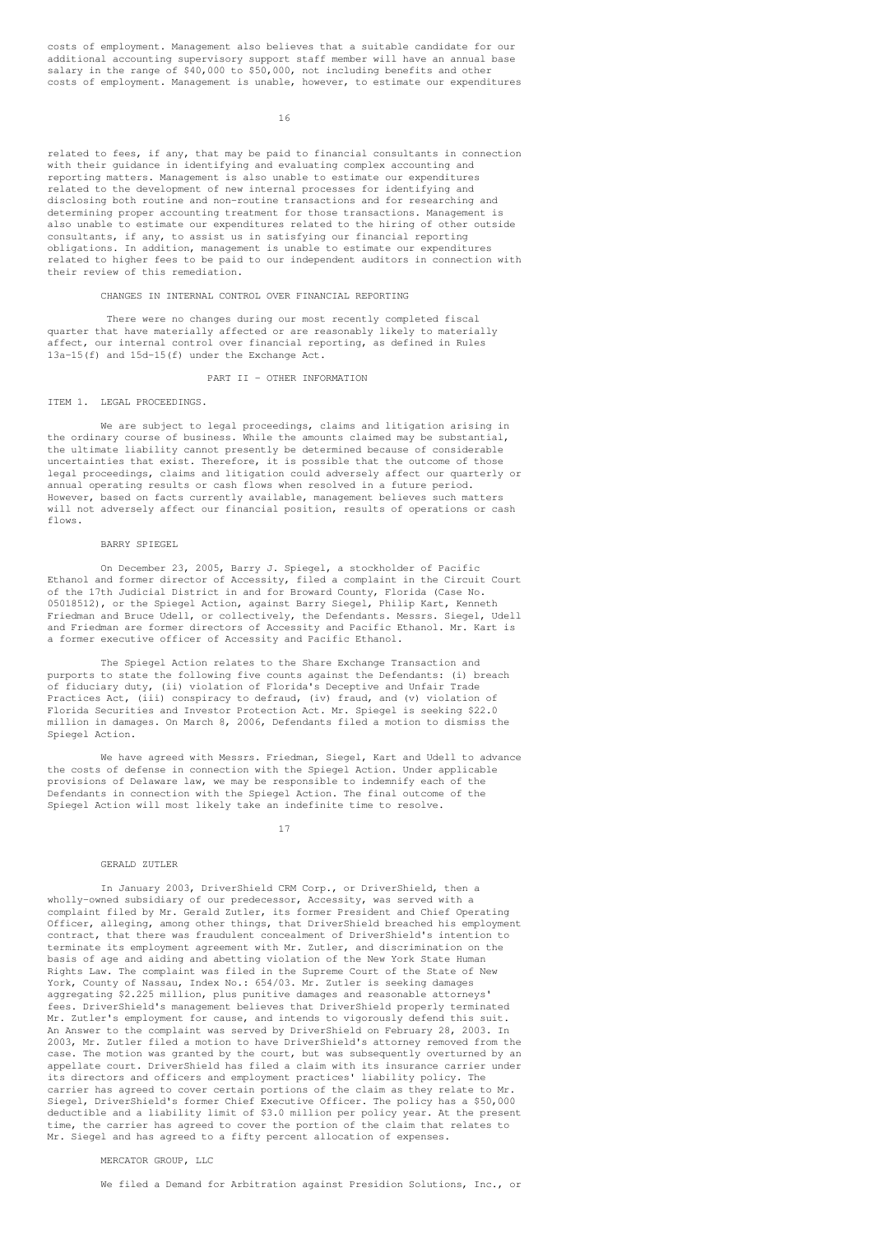costs of employment. Management also believes that a suitable candidate for our additional accounting supervisory support staff member will have an annual base salary in the range of \$40,000 to \$50,000, not including benefits and other costs of employment. Management is unable, however, to estimate our expenditures

16

related to fees, if any, that may be paid to financial consultants in connection with their guidance in identifying and evaluating complex accounting and reporting matters. Management is also unable to estimate our expenditures related to the development of new internal processes for identifying and disclosing both routine and non-routine transactions and for researching and determining proper accounting treatment for those transactions. Management is also unable to estimate our expenditures related to the hiring of other outside consultants, if any, to assist us in satisfying our financial reporting obligations. In addition, management is unable to estimate our expenditures related to higher fees to be paid to our independent auditors in connection with their review of this remediation.

## CHANGES IN INTERNAL CONTROL OVER FINANCIAL REPORTING

There were no changes during our most recently completed fiscal quarter that have materially affected or are reasonably likely to materially affect, our internal control over financial reporting, as defined in Rules 13a-15(f) and 15d-15(f) under the Exchange Act.

## PART II - OTHER INFORMATION

ITEM 1. LEGAL PROCEEDINGS.

We are subject to legal proceedings, claims and litigation arising in the ordinary course of business. While the amounts claimed may be substantial, the ultimate liability cannot presently be determined because of considerable uncertainties that exist. Therefore, it is possible that the outcome of those legal proceedings, claims and litigation could adversely affect our quarterly or annual operating results or cash flows when resolved in a future period. However, based on facts currently available, management believes such matters will not adversely affect our financial position, results of operations or cash flows.

## BARRY SPIEGEL

On December 23, 2005, Barry J. Spiegel, a stockholder of Pacific Ethanol and former director of Accessity, filed a complaint in the Circuit Court of the 17th Judicial District in and for Broward County, Florida (Case No. 05018512), or the Spiegel Action, against Barry Siegel, Philip Kart, Kenneth Friedman and Bruce Udell, or collectively, the Defendants. Messrs. Siegel, Udell and Friedman are former directors of Accessity and Pacific Ethanol. Mr. Kart is a former executive officer of Accessity and Pacific Ethanol.

The Spiegel Action relates to the Share Exchange Transaction and purports to state the following five counts against the Defendants: (i) breach of fiduciary duty, (ii) violation of Florida's Deceptive and Unfair Trade Practices Act, (iii) conspiracy to defraud, (iv) fraud, and (v) violation of Florida Securities and Investor Protection Act. Mr. Spiegel is seeking \$22.0 million in damages. On March 8, 2006, Defendants filed a motion to dismiss the Spiegel Action.

We have agreed with Messrs. Friedman, Siegel, Kart and Udell to advance the costs of defense in connection with the Spiegel Action. Under applicable provisions of Delaware law, we may be responsible to indemnify each of the Defendants in connection with the Spiegel Action. The final outcome of the Spiegel Action will most likely take an indefinite time to resolve.

17

#### GERALD ZUTLER

In January 2003, DriverShield CRM Corp., or DriverShield, then a wholly-owned subsidiary of our predecessor, Accessity, was served with a complaint filed by Mr. Gerald Zutler, its former President and Chief Operating Officer, alleging, among other things, that DriverShield breached his employment contract, that there was fraudulent concealment of DriverShield's intention to terminate its employment agreement with Mr. Zutler, and discrimination on the basis of age and aiding and abetting violation of the New York State Human Rights Law. The complaint was filed in the Supreme Court of the State of New York, County of Nassau, Index No.: 654/03. Mr. Zutler is seeking damages aggregating \$2.225 million, plus punitive damages and reasonable attorneys' fees. DriverShield's management believes that DriverShield properly terminated Mr. Zutler's employment for cause, and intends to vigorously defend this suit. An Answer to the complaint was served by DriverShield on February 28, 2003. In 2003, Mr. Zutler filed a motion to have DriverShield's attorney removed from the case. The motion was granted by the court, but was subsequently overturned by an appellate court. DriverShield has filed a claim with its insurance carrier under its directors and officers and employment practices' liability policy. The carrier has agreed to cover certain portions of the claim as they relate to Mr. Siegel, DriverShield's former Chief Executive Officer. The policy has a \$50,000 deductible and a liability limit of \$3.0 million per policy year. At the present time, the carrier has agreed to cover the portion of the claim that relates to Mr. Siegel and has agreed to a fifty percent allocation of expenses.

## MERCATOR GROUP, LLC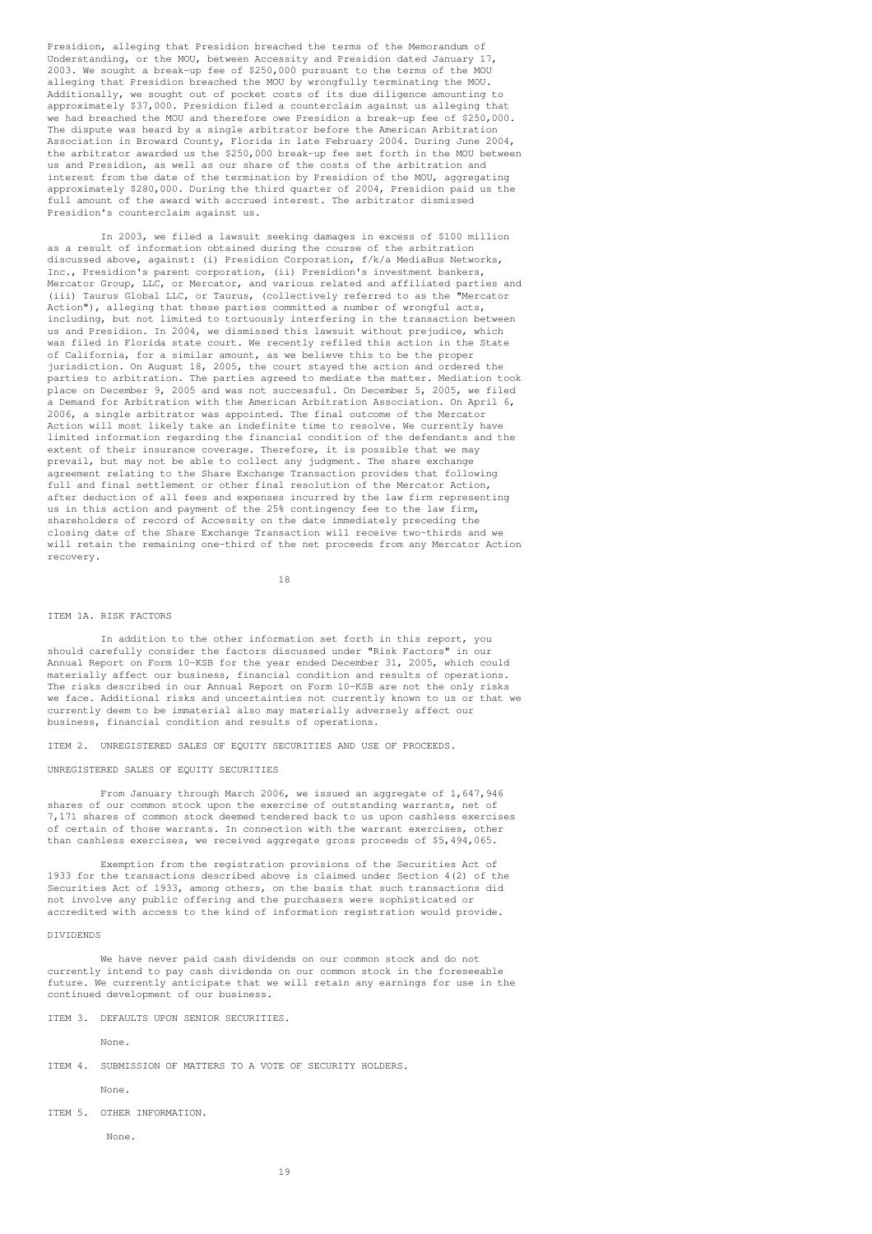Presidion, alleging that Presidion breached the terms of the Memorandum of Understanding, or the MOU, between Accessity and Presidion dated January 17, 2003. We sought a break-up fee of \$250,000 pursuant to the terms of the MOU alleging that Presidion breached the MOU by wrongfully terminating the MOU. Additionally, we sought out of pocket costs of its due diligence amounting to approximately \$37,000. Presidion filed a counterclaim against us alleging that we had breached the MOU and therefore owe Presidion a break-up fee of \$250,000. The dispute was heard by a single arbitrator before the American Arbitration Association in Broward County, Florida in late February 2004. During June 2004, the arbitrator awarded us the \$250,000 break-up fee set forth in the MOU between us and Presidion, as well as our share of the costs of the arbitration and interest from the date of the termination by Presidion of the MOU, aggregating approximately \$280,000. During the third quarter of 2004, Presidion paid us the full amount of the award with accrued interest. The arbitrator dismissed Presidion's counterclaim against us.

In 2003, we filed a lawsuit seeking damages in excess of \$100 million as a result of information obtained during the course of the arbitration discussed above, against: (i) Presidion Corporation, f/k/a MediaBus Networks, Inc., Presidion's parent corporation, (ii) Presidion's investment bankers, Mercator Group, LLC, or Mercator, and various related and affiliated parties and (iii) Taurus Global LLC, or Taurus, (collectively referred to as the "Mercator Action"), alleging that these parties committed a number of wrongful acts, including, but not limited to tortuously interfering in the transaction between us and Presidion. In 2004, we dismissed this lawsuit without prejudice, which was filed in Florida state court. We recently refiled this action in the State of California, for a similar amount, as we believe this to be the proper jurisdiction. On August 18, 2005, the court stayed the action and ordered the parties to arbitration. The parties agreed to mediate the matter. Mediation took place on December 9, 2005 and was not successful. On December 5, 2005, we filed a Demand for Arbitration with the American Arbitration Association. On April 6, 2006, a single arbitrator was appointed. The final outcome of the Mercator Action will most likely take an indefinite time to resolve. We currently have limited information regarding the financial condition of the defendants and the extent of their insurance coverage. Therefore, it is possible that we may prevail, but may not be able to collect any judgment. The share exchange agreement relating to the Share Exchange Transaction provides that following full and final settlement or other final resolution of the Mercator Action, after deduction of all fees and expenses incurred by the law firm representing us in this action and payment of the 25% contingency fee to the law firm, shareholders of record of Accessity on the date immediately preceding the closing date of the Share Exchange Transaction will receive two-thirds and we will retain the remaining one-third of the net proceeds from any Mercator Action recovery.

18

#### ITEM 1A. RISK FACTORS

In addition to the other information set forth in this report, you should carefully consider the factors discussed under "Risk Factors" in our Annual Report on Form 10-KSB for the year ended December 31, 2005, which could materially affect our business, financial condition and results of operations. The risks described in our Annual Report on Form 10-KSB are not the only risks we face. Additional risks and uncertainties not currently known to us or that we currently deem to be immaterial also may materially adversely affect our business, financial condition and results of operations.

ITEM 2. UNREGISTERED SALES OF EQUITY SECURITIES AND USE OF PROCEEDS.

## UNREGISTERED SALES OF EQUITY SECURITIES

From January through March 2006, we issued an aggregate of 1,647,946 shares of our common stock upon the exercise of outstanding warrants, net of 7,171 shares of common stock deemed tendered back to us upon cashless exercises of certain of those warrants. In connection with the warrant exercises, other than cashless exercises, we received aggregate gross proceeds of \$5,494,065.

Exemption from the registration provisions of the Securities Act of 1933 for the transactions described above is claimed under Section 4(2) of the Securities Act of 1933, among others, on the basis that such transactions did not involve any public offering and the purchasers were sophisticated or accredited with access to the kind of information registration would provide.

DIVIDENDS

We have never paid cash dividends on our common stock and do not currently intend to pay cash dividends on our common stock in the foreseeable future. We currently anticipate that we will retain any earnings for use in the continued development of our business.

ITEM 3. DEFAULTS UPON SENIOR SECURITIES.

None.

ITEM 4. SUBMISSION OF MATTERS TO A VOTE OF SECURITY HOLDERS.

None.

ITEM 5. OTHER INFORMATION.

None.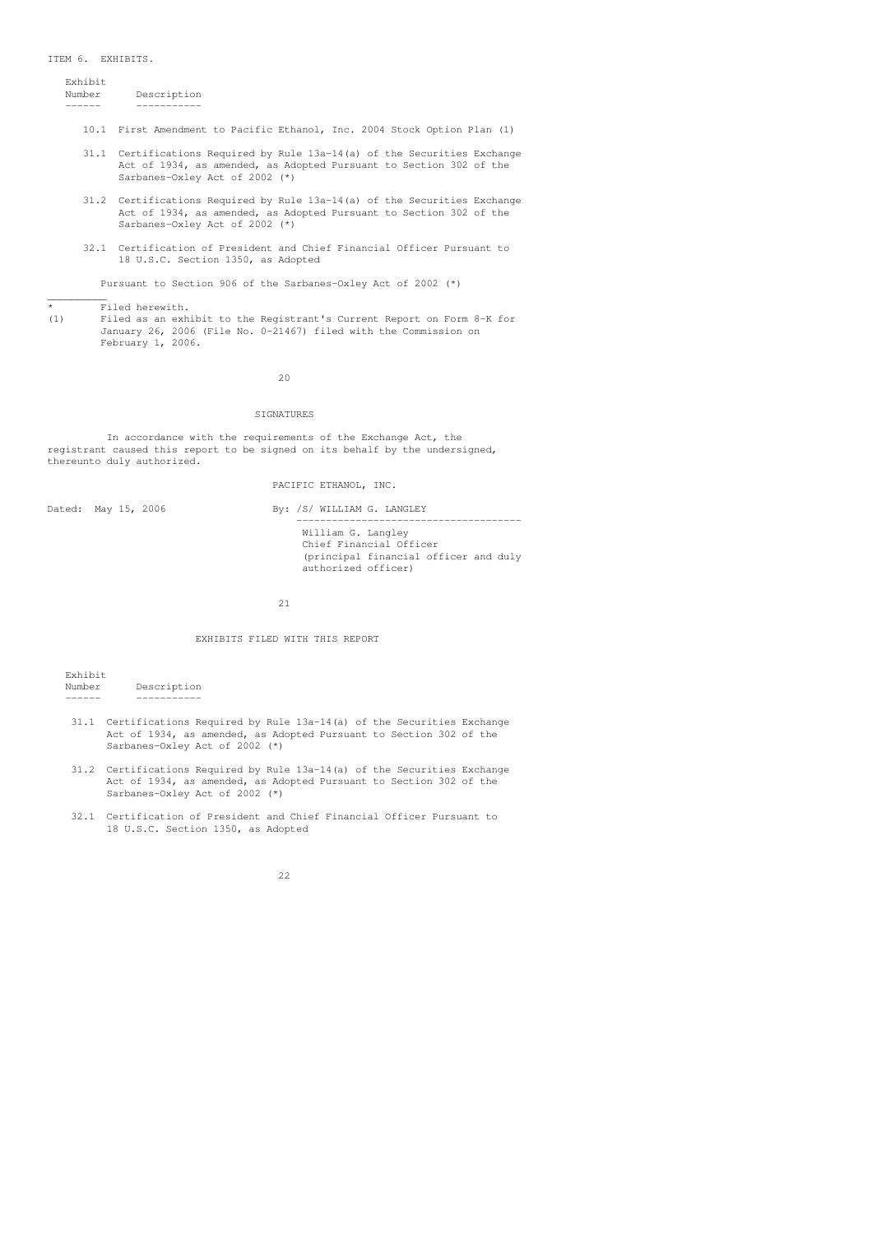## ITEM 6. EXHIBITS.

 $\overline{\phantom{a}}$ 

| Exhibit |             |
|---------|-------------|
| Number  | Description |
|         |             |

- 10.1 First Amendment to Pacific Ethanol, Inc. 2004 Stock Option Plan (1)
- 31.1 Certifications Required by Rule 13a-14(a) of the Securities Exchange Act of 1934, as amended, as Adopted Pursuant to Section 302 of the Sarbanes-Oxley Act of 2002 (\*)
- 31.2 Certifications Required by Rule 13a-14(a) of the Securities Exchange Act of 1934, as amended, as Adopted Pursuant to Section 302 of the Sarbanes-Oxley Act of 2002 (\*)
- 32.1 Certification of President and Chief Financial Officer Pursuant to 18 U.S.C. Section 1350, as Adopted

Pursuant to Section 906 of the Sarbanes-Oxley Act of 2002 (\*)

\* Filed herewith.<br>(1) Filed as an exh Filed as an exhibit to the Registrant's Current Report on Form 8-K for January 26, 2006 (File No. 0-21467) filed with the Commission on February 1, 2006.

20

#### SIGNATURES

In accordance with the requirements of the Exchange Act, the registrant caused this report to be signed on its behalf by the undersigned, thereunto duly authorized.

#### PACIFIC ETHANOL, INC.

Dated: May 15, 2006 By: /S/ WILLIAM G. LANGLEY

--------------------------------------

William G. Langley Chief Financial Officer (principal financial officer and duly authorized officer)

 $21$ 

## EXHIBITS FILED WITH THIS REPORT

| Exhibit |             |
|---------|-------------|
| Number  | Description |
|         |             |

- 31.1 Certifications Required by Rule 13a-14(a) of the Securities Exchange Act of 1934, as amended, as Adopted Pursuant to Section 302 of the Sarbanes-Oxley Act of 2002 (\*)
- 31.2 Certifications Required by Rule 13a-14(a) of the Securities Exchange Act of 1934, as amended, as Adopted Pursuant to Section 302 of the Sarbanes-Oxley Act of 2002 (\*)
- 32.1 Certification of President and Chief Financial Officer Pursuant to 18 U.S.C. Section 1350, as Adopted

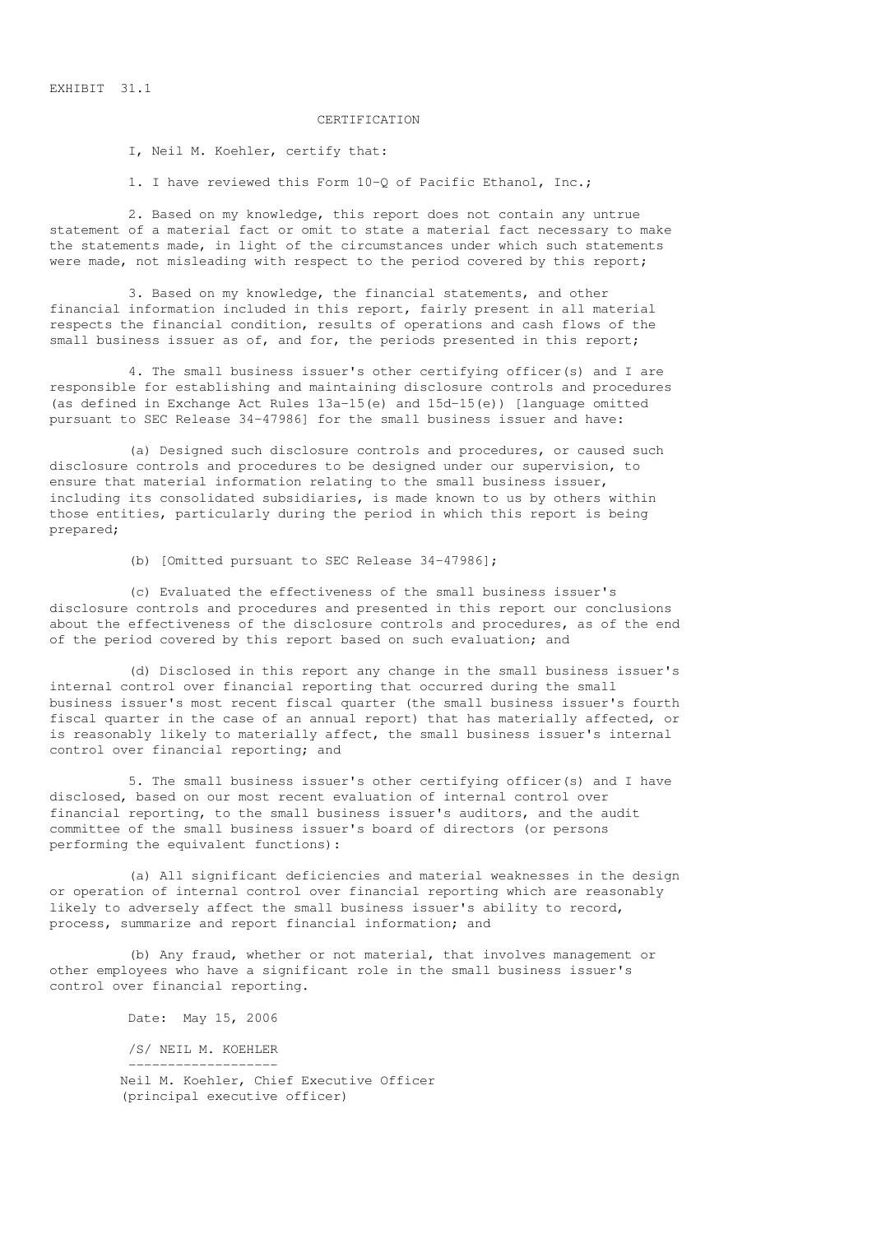EXHIBIT 31.1

## CERTIFICATION

I, Neil M. Koehler, certify that:

1. I have reviewed this Form 10-Q of Pacific Ethanol, Inc.;

2. Based on my knowledge, this report does not contain any untrue statement of a material fact or omit to state a material fact necessary to make the statements made, in light of the circumstances under which such statements were made, not misleading with respect to the period covered by this report;

3. Based on my knowledge, the financial statements, and other financial information included in this report, fairly present in all material respects the financial condition, results of operations and cash flows of the small business issuer as of, and for, the periods presented in this report;

4. The small business issuer's other certifying officer(s) and I are responsible for establishing and maintaining disclosure controls and procedures (as defined in Exchange Act Rules 13a-15(e) and 15d-15(e)) [language omitted pursuant to SEC Release 34-47986] for the small business issuer and have:

(a) Designed such disclosure controls and procedures, or caused such disclosure controls and procedures to be designed under our supervision, to ensure that material information relating to the small business issuer, including its consolidated subsidiaries, is made known to us by others within those entities, particularly during the period in which this report is being prepared;

(b) [Omitted pursuant to SEC Release 34-47986];

(c) Evaluated the effectiveness of the small business issuer's disclosure controls and procedures and presented in this report our conclusions about the effectiveness of the disclosure controls and procedures, as of the end of the period covered by this report based on such evaluation; and

(d) Disclosed in this report any change in the small business issuer's internal control over financial reporting that occurred during the small business issuer's most recent fiscal quarter (the small business issuer's fourth fiscal quarter in the case of an annual report) that has materially affected, or is reasonably likely to materially affect, the small business issuer's internal control over financial reporting; and

5. The small business issuer's other certifying officer(s) and I have disclosed, based on our most recent evaluation of internal control over financial reporting, to the small business issuer's auditors, and the audit committee of the small business issuer's board of directors (or persons performing the equivalent functions):

(a) All significant deficiencies and material weaknesses in the design or operation of internal control over financial reporting which are reasonably likely to adversely affect the small business issuer's ability to record, process, summarize and report financial information; and

(b) Any fraud, whether or not material, that involves management or other employees who have a significant role in the small business issuer's control over financial reporting.

Date: May 15, 2006

/S/ NEIL M. KOEHLER -------------------

Neil M. Koehler, Chief Executive Officer (principal executive officer)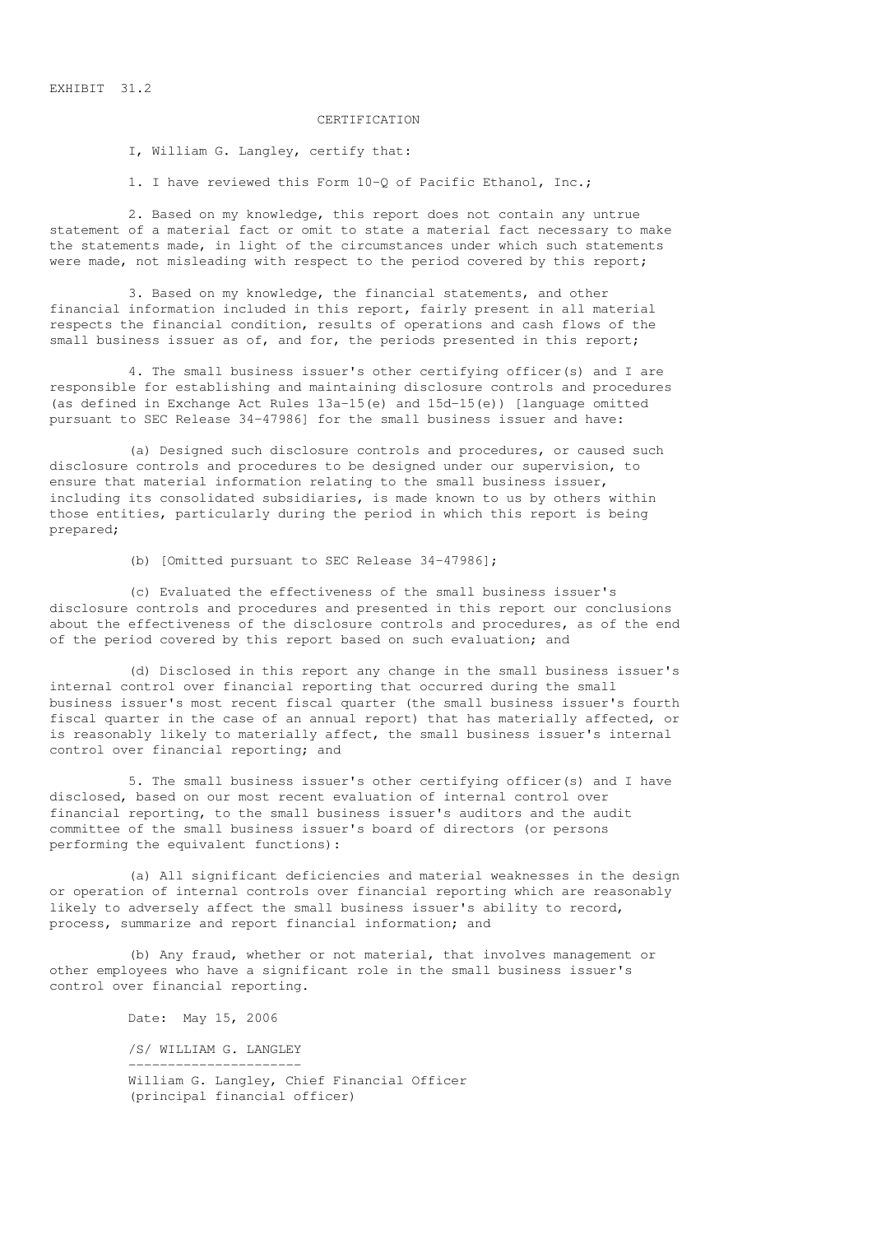EXHIBIT 31.2

## CERTIFICATION

I, William G. Langley, certify that:

1. I have reviewed this Form 10-Q of Pacific Ethanol, Inc.;

2. Based on my knowledge, this report does not contain any untrue statement of a material fact or omit to state a material fact necessary to make the statements made, in light of the circumstances under which such statements were made, not misleading with respect to the period covered by this report;

3. Based on my knowledge, the financial statements, and other financial information included in this report, fairly present in all material respects the financial condition, results of operations and cash flows of the small business issuer as of, and for, the periods presented in this report;

4. The small business issuer's other certifying officer(s) and I are responsible for establishing and maintaining disclosure controls and procedures (as defined in Exchange Act Rules 13a-15(e) and 15d-15(e)) [language omitted pursuant to SEC Release 34-47986] for the small business issuer and have:

(a) Designed such disclosure controls and procedures, or caused such disclosure controls and procedures to be designed under our supervision, to ensure that material information relating to the small business issuer, including its consolidated subsidiaries, is made known to us by others within those entities, particularly during the period in which this report is being prepared;

(b) [Omitted pursuant to SEC Release 34-47986];

(c) Evaluated the effectiveness of the small business issuer's disclosure controls and procedures and presented in this report our conclusions about the effectiveness of the disclosure controls and procedures, as of the end of the period covered by this report based on such evaluation; and

(d) Disclosed in this report any change in the small business issuer's internal control over financial reporting that occurred during the small business issuer's most recent fiscal quarter (the small business issuer's fourth fiscal quarter in the case of an annual report) that has materially affected, or is reasonably likely to materially affect, the small business issuer's internal control over financial reporting; and

5. The small business issuer's other certifying officer(s) and I have disclosed, based on our most recent evaluation of internal control over financial reporting, to the small business issuer's auditors and the audit committee of the small business issuer's board of directors (or persons performing the equivalent functions):

(a) All significant deficiencies and material weaknesses in the design or operation of internal controls over financial reporting which are reasonably likely to adversely affect the small business issuer's ability to record, process, summarize and report financial information; and

(b) Any fraud, whether or not material, that involves management or other employees who have a significant role in the small business issuer's control over financial reporting.

Date: May 15, 2006

/S/ WILLIAM G. LANGLEY ----------------------

William G. Langley, Chief Financial Officer (principal financial officer)